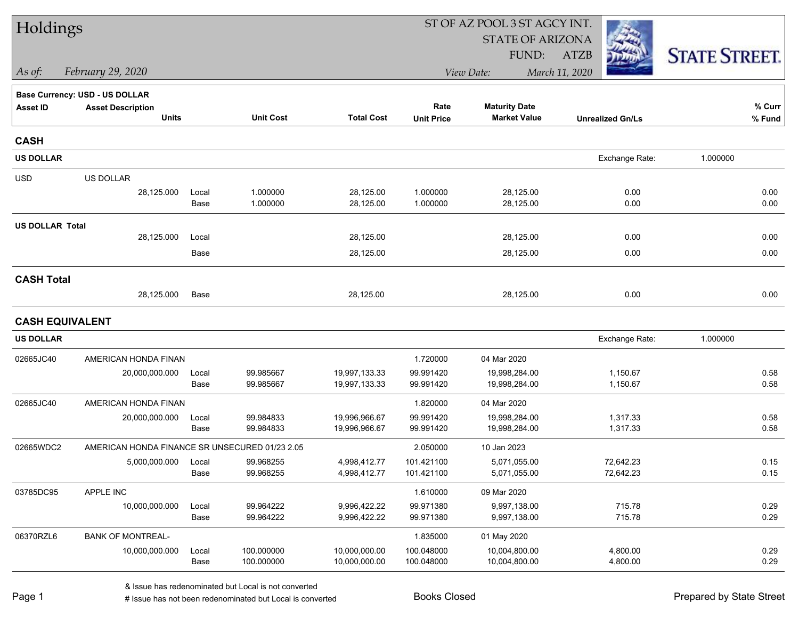| Holdings               |                                                |       |                  |                   |                   | ST OF AZ POOL 3 ST AGCY INT. |                         |                      |  |  |
|------------------------|------------------------------------------------|-------|------------------|-------------------|-------------------|------------------------------|-------------------------|----------------------|--|--|
|                        |                                                |       |                  |                   |                   | <b>STATE OF ARIZONA</b>      |                         |                      |  |  |
|                        |                                                |       |                  |                   |                   | FUND:                        | <b>ATZB</b>             | <b>STATE STREET.</b> |  |  |
| As of:                 | February 29, 2020                              |       |                  |                   |                   | View Date:                   | March 11, 2020          |                      |  |  |
|                        | <b>Base Currency: USD - US DOLLAR</b>          |       |                  |                   |                   |                              |                         |                      |  |  |
| <b>Asset ID</b>        | <b>Asset Description</b>                       |       |                  |                   | Rate              | <b>Maturity Date</b>         |                         | % Curr               |  |  |
|                        | <b>Units</b>                                   |       | <b>Unit Cost</b> | <b>Total Cost</b> | <b>Unit Price</b> | <b>Market Value</b>          | <b>Unrealized Gn/Ls</b> | % Fund               |  |  |
| <b>CASH</b>            |                                                |       |                  |                   |                   |                              |                         |                      |  |  |
| <b>US DOLLAR</b>       |                                                |       |                  |                   |                   |                              | Exchange Rate:          | 1.000000             |  |  |
| <b>USD</b>             | US DOLLAR                                      |       |                  |                   |                   |                              |                         |                      |  |  |
|                        | 28,125.000                                     | Local | 1.000000         | 28,125.00         | 1.000000          | 28,125.00                    | 0.00                    | 0.00                 |  |  |
|                        |                                                | Base  | 1.000000         | 28,125.00         | 1.000000          | 28,125.00                    | 0.00                    | 0.00                 |  |  |
| <b>US DOLLAR Total</b> |                                                |       |                  |                   |                   |                              |                         |                      |  |  |
|                        | 28,125.000                                     | Local |                  | 28,125.00         |                   | 28,125.00                    | 0.00                    | 0.00                 |  |  |
|                        |                                                | Base  |                  | 28,125.00         |                   | 28,125.00                    | 0.00                    | 0.00                 |  |  |
| <b>CASH Total</b>      |                                                |       |                  |                   |                   |                              |                         |                      |  |  |
|                        | 28,125.000                                     | Base  |                  | 28,125.00         |                   | 28,125.00                    | 0.00                    | 0.00                 |  |  |
| <b>CASH EQUIVALENT</b> |                                                |       |                  |                   |                   |                              |                         |                      |  |  |
| <b>US DOLLAR</b>       |                                                |       |                  |                   |                   |                              | Exchange Rate:          | 1.000000             |  |  |
| 02665JC40              | AMERICAN HONDA FINAN                           |       |                  |                   | 1.720000          | 04 Mar 2020                  |                         |                      |  |  |
|                        | 20,000,000.000                                 | Local | 99.985667        | 19,997,133.33     | 99.991420         | 19,998,284.00                | 1,150.67                | 0.58                 |  |  |
|                        |                                                | Base  | 99.985667        | 19,997,133.33     | 99.991420         | 19,998,284.00                | 1,150.67                | 0.58                 |  |  |
| 02665JC40              | AMERICAN HONDA FINAN                           |       |                  |                   | 1.820000          | 04 Mar 2020                  |                         |                      |  |  |
|                        | 20,000,000.000                                 | Local | 99.984833        | 19,996,966.67     | 99.991420         | 19,998,284.00                | 1,317.33                | 0.58                 |  |  |
|                        |                                                | Base  | 99.984833        | 19,996,966.67     | 99.991420         | 19,998,284.00                | 1,317.33                | 0.58                 |  |  |
| 02665WDC2              | AMERICAN HONDA FINANCE SR UNSECURED 01/23 2.05 |       |                  |                   | 2.050000          | 10 Jan 2023                  |                         |                      |  |  |
|                        | 5,000,000.000                                  | Local | 99.968255        | 4,998,412.77      | 101.421100        | 5,071,055.00                 | 72,642.23               | 0.15                 |  |  |
|                        |                                                | Base  | 99.968255        | 4,998,412.77      | 101.421100        | 5,071,055.00                 | 72,642.23               | 0.15                 |  |  |
| 03785DC95              | APPLE INC                                      |       |                  |                   | 1.610000          | 09 Mar 2020                  |                         |                      |  |  |
|                        | 10,000,000.000                                 | Local | 99.964222        | 9,996,422.22      | 99.971380         | 9,997,138.00                 | 715.78                  | 0.29                 |  |  |
|                        |                                                | Base  | 99.964222        | 9,996,422.22      | 99.971380         | 9,997,138.00                 | 715.78                  | 0.29                 |  |  |
| 06370RZL6              | <b>BANK OF MONTREAL-</b>                       |       |                  |                   | 1.835000          | 01 May 2020                  |                         |                      |  |  |
|                        | 10,000,000.000                                 | Local | 100.000000       | 10,000,000.00     | 100.048000        | 10,004,800.00                | 4,800.00                | 0.29                 |  |  |
|                        |                                                | Base  | 100.000000       | 10,000,000.00     | 100.048000        | 10,004,800.00                | 4,800.00                | 0.29                 |  |  |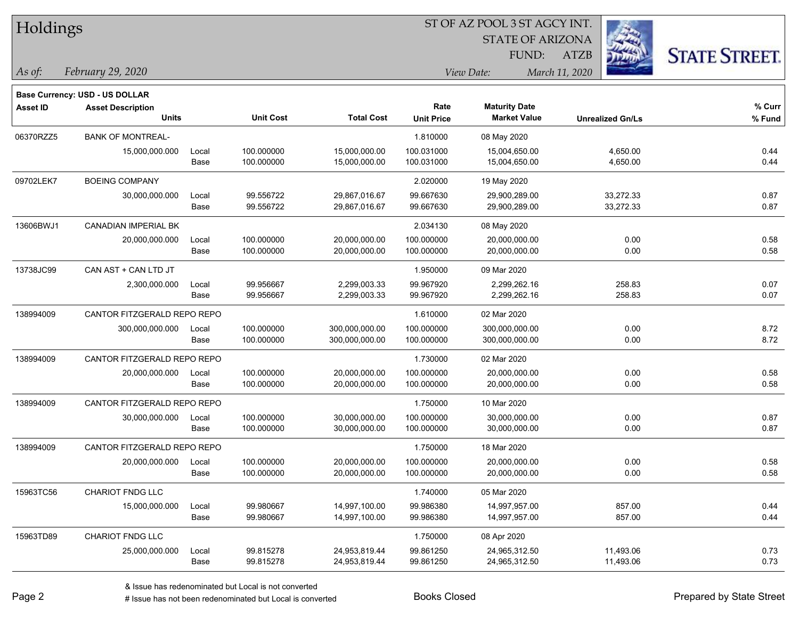| Holdings |  |
|----------|--|
|----------|--|

STATE OF ARIZONA

ATZB



*February 29, 2020 As of: View Date: March 11, 2020*

**Base Currency: USD - US DOLLAR**

| Asset ID  | <b>Asset Description</b>    |       |                  |                   | Rate              | <b>Maturity Date</b> |                         | % Curr |
|-----------|-----------------------------|-------|------------------|-------------------|-------------------|----------------------|-------------------------|--------|
|           | <b>Units</b>                |       | <b>Unit Cost</b> | <b>Total Cost</b> | <b>Unit Price</b> | <b>Market Value</b>  | <b>Unrealized Gn/Ls</b> | % Fund |
| 06370RZZ5 | <b>BANK OF MONTREAL-</b>    |       |                  |                   | 1.810000          | 08 May 2020          |                         |        |
|           | 15,000,000.000              | Local | 100.000000       | 15,000,000.00     | 100.031000        | 15,004,650.00        | 4,650.00                | 0.44   |
|           |                             | Base  | 100.000000       | 15,000,000.00     | 100.031000        | 15,004,650.00        | 4,650.00                | 0.44   |
| 09702LEK7 | <b>BOEING COMPANY</b>       |       |                  |                   | 2.020000          | 19 May 2020          |                         |        |
|           | 30,000,000.000              | Local | 99.556722        | 29,867,016.67     | 99.667630         | 29,900,289.00        | 33,272.33               | 0.87   |
|           |                             | Base  | 99.556722        | 29,867,016.67     | 99.667630         | 29,900,289.00        | 33,272.33               | 0.87   |
| 13606BWJ1 | <b>CANADIAN IMPERIAL BK</b> |       |                  |                   | 2.034130          | 08 May 2020          |                         |        |
|           | 20,000,000.000              | Local | 100.000000       | 20,000,000.00     | 100.000000        | 20,000,000.00        | 0.00                    | 0.58   |
|           |                             | Base  | 100.000000       | 20,000,000.00     | 100.000000        | 20,000,000.00        | 0.00                    | 0.58   |
| 13738JC99 | CAN AST + CAN LTD JT        |       |                  |                   | 1.950000          | 09 Mar 2020          |                         |        |
|           | 2,300,000.000               | Local | 99.956667        | 2,299,003.33      | 99.967920         | 2,299,262.16         | 258.83                  | 0.07   |
|           |                             | Base  | 99.956667        | 2,299,003.33      | 99.967920         | 2,299,262.16         | 258.83                  | 0.07   |
| 138994009 | CANTOR FITZGERALD REPO REPO |       |                  |                   | 1.610000          | 02 Mar 2020          |                         |        |
|           | 300,000,000.000             | Local | 100.000000       | 300,000,000.00    | 100.000000        | 300,000,000.00       | 0.00                    | 8.72   |
|           |                             | Base  | 100.000000       | 300,000,000.00    | 100.000000        | 300,000,000.00       | 0.00                    | 8.72   |
| 138994009 | CANTOR FITZGERALD REPO REPO |       |                  |                   | 1.730000          | 02 Mar 2020          |                         |        |
|           | 20,000,000.000              | Local | 100.000000       | 20,000,000.00     | 100.000000        | 20,000,000.00        | 0.00                    | 0.58   |
|           |                             | Base  | 100.000000       | 20,000,000.00     | 100.000000        | 20,000,000.00        | 0.00                    | 0.58   |
| 138994009 | CANTOR FITZGERALD REPO REPO |       |                  |                   | 1.750000          | 10 Mar 2020          |                         |        |
|           | 30,000,000.000              | Local | 100.000000       | 30,000,000.00     | 100.000000        | 30,000,000.00        | 0.00                    | 0.87   |
|           |                             | Base  | 100.000000       | 30,000,000.00     | 100.000000        | 30,000,000.00        | 0.00                    | 0.87   |
| 138994009 | CANTOR FITZGERALD REPO REPO |       |                  |                   | 1.750000          | 18 Mar 2020          |                         |        |
|           | 20,000,000.000              | Local | 100.000000       | 20,000,000.00     | 100.000000        | 20,000,000.00        | 0.00                    | 0.58   |
|           |                             | Base  | 100.000000       | 20,000,000.00     | 100.000000        | 20,000,000.00        | 0.00                    | 0.58   |
| 15963TC56 | <b>CHARIOT FNDG LLC</b>     |       |                  |                   | 1.740000          | 05 Mar 2020          |                         |        |
|           | 15,000,000.000              | Local | 99.980667        | 14,997,100.00     | 99.986380         | 14,997,957.00        | 857.00                  | 0.44   |
|           |                             | Base  | 99.980667        | 14,997,100.00     | 99.986380         | 14,997,957.00        | 857.00                  | 0.44   |
| 15963TD89 | <b>CHARIOT FNDG LLC</b>     |       |                  |                   | 1.750000          | 08 Apr 2020          |                         |        |
|           | 25,000,000.000              | Local | 99.815278        | 24,953,819.44     | 99.861250         | 24,965,312.50        | 11,493.06               | 0.73   |
|           |                             | Base  | 99.815278        | 24,953,819.44     | 99.861250         | 24,965,312.50        | 11,493.06               | 0.73   |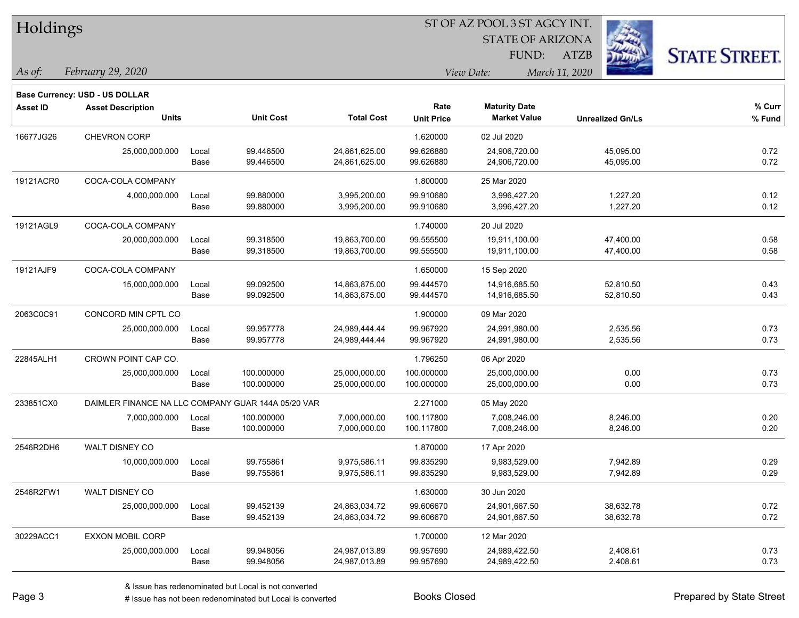| Holdings |
|----------|
|----------|

STATE OF ARIZONA

ATZB



*February 29, 2020 As of: View Date: March 11, 2020*

**Base Currency: USD - US DOLLAR**

FUND:

| <b>Asset ID</b> | <b>Asset Description</b> |       |                                                    |                   | Rate              | <b>Maturity Date</b> |                         | % Curr |
|-----------------|--------------------------|-------|----------------------------------------------------|-------------------|-------------------|----------------------|-------------------------|--------|
|                 | <b>Units</b>             |       | <b>Unit Cost</b>                                   | <b>Total Cost</b> | <b>Unit Price</b> | <b>Market Value</b>  | <b>Unrealized Gn/Ls</b> | % Fund |
| 16677JG26       | <b>CHEVRON CORP</b>      |       |                                                    |                   | 1.620000          | 02 Jul 2020          |                         |        |
|                 | 25,000,000.000           | Local | 99.446500                                          | 24,861,625.00     | 99.626880         | 24,906,720.00        | 45,095.00               | 0.72   |
|                 |                          | Base  | 99.446500                                          | 24,861,625.00     | 99.626880         | 24,906,720.00        | 45,095.00               | 0.72   |
| 19121ACR0       | COCA-COLA COMPANY        |       |                                                    |                   | 1.800000          | 25 Mar 2020          |                         |        |
|                 | 4,000,000.000            | Local | 99.880000                                          | 3,995,200.00      | 99.910680         | 3,996,427.20         | 1,227.20                | 0.12   |
|                 |                          | Base  | 99.880000                                          | 3,995,200.00      | 99.910680         | 3,996,427.20         | 1,227.20                | 0.12   |
| 19121AGL9       | COCA-COLA COMPANY        |       |                                                    |                   | 1.740000          | 20 Jul 2020          |                         |        |
|                 | 20,000,000.000           | Local | 99.318500                                          | 19,863,700.00     | 99.555500         | 19,911,100.00        | 47,400.00               | 0.58   |
|                 |                          | Base  | 99.318500                                          | 19,863,700.00     | 99.555500         | 19,911,100.00        | 47,400.00               | 0.58   |
| 19121AJF9       | COCA-COLA COMPANY        |       |                                                    |                   | 1.650000          | 15 Sep 2020          |                         |        |
|                 | 15,000,000.000           | Local | 99.092500                                          | 14,863,875.00     | 99.444570         | 14,916,685.50        | 52,810.50               | 0.43   |
|                 |                          | Base  | 99.092500                                          | 14,863,875.00     | 99.444570         | 14,916,685.50        | 52,810.50               | 0.43   |
| 2063C0C91       | CONCORD MIN CPTL CO      |       |                                                    |                   | 1.900000          | 09 Mar 2020          |                         |        |
|                 | 25,000,000.000           | Local | 99.957778                                          | 24,989,444.44     | 99.967920         | 24,991,980.00        | 2,535.56                | 0.73   |
|                 |                          | Base  | 99.957778                                          | 24,989,444.44     | 99.967920         | 24,991,980.00        | 2,535.56                | 0.73   |
| 22845ALH1       | CROWN POINT CAP CO.      |       |                                                    |                   | 1.796250          | 06 Apr 2020          |                         |        |
|                 | 25,000,000.000           | Local | 100.000000                                         | 25,000,000.00     | 100.000000        | 25,000,000.00        | 0.00                    | 0.73   |
|                 |                          | Base  | 100.000000                                         | 25,000,000.00     | 100.000000        | 25,000,000.00        | 0.00                    | 0.73   |
| 233851CX0       |                          |       | DAIMLER FINANCE NA LLC COMPANY GUAR 144A 05/20 VAR |                   | 2.271000          | 05 May 2020          |                         |        |
|                 | 7,000,000.000            | Local | 100.000000                                         | 7,000,000.00      | 100.117800        | 7,008,246.00         | 8,246.00                | 0.20   |
|                 |                          | Base  | 100.000000                                         | 7,000,000.00      | 100.117800        | 7,008,246.00         | 8,246.00                | 0.20   |
| 2546R2DH6       | WALT DISNEY CO           |       |                                                    |                   | 1.870000          | 17 Apr 2020          |                         |        |
|                 | 10,000,000.000           | Local | 99.755861                                          | 9,975,586.11      | 99.835290         | 9,983,529.00         | 7,942.89                | 0.29   |
|                 |                          | Base  | 99.755861                                          | 9,975,586.11      | 99.835290         | 9,983,529.00         | 7,942.89                | 0.29   |
| 2546R2FW1       | <b>WALT DISNEY CO</b>    |       |                                                    |                   | 1.630000          | 30 Jun 2020          |                         |        |
|                 | 25,000,000.000           | Local | 99.452139                                          | 24,863,034.72     | 99.606670         | 24,901,667.50        | 38,632.78               | 0.72   |
|                 |                          | Base  | 99.452139                                          | 24,863,034.72     | 99.606670         | 24,901,667.50        | 38,632.78               | 0.72   |
| 30229ACC1       | <b>EXXON MOBIL CORP</b>  |       |                                                    |                   | 1.700000          | 12 Mar 2020          |                         |        |
|                 | 25,000,000.000           | Local | 99.948056                                          | 24,987,013.89     | 99.957690         | 24,989,422.50        | 2,408.61                | 0.73   |
|                 |                          | Base  | 99.948056                                          | 24,987,013.89     | 99.957690         | 24,989,422.50        | 2,408.61                | 0.73   |

A ISSUE ISSUE ISSUE ISSUE ISSUE ISSUE ISSUE ISSUE ISSUE ISSUE ISSUE ISSUE ISSUE ISSUE ISSUE ISSUE ISSUE ISSUE I<br>
# Issue has not been redenominated but Local is converted **BOOKS** Closed **Prepared by State Street**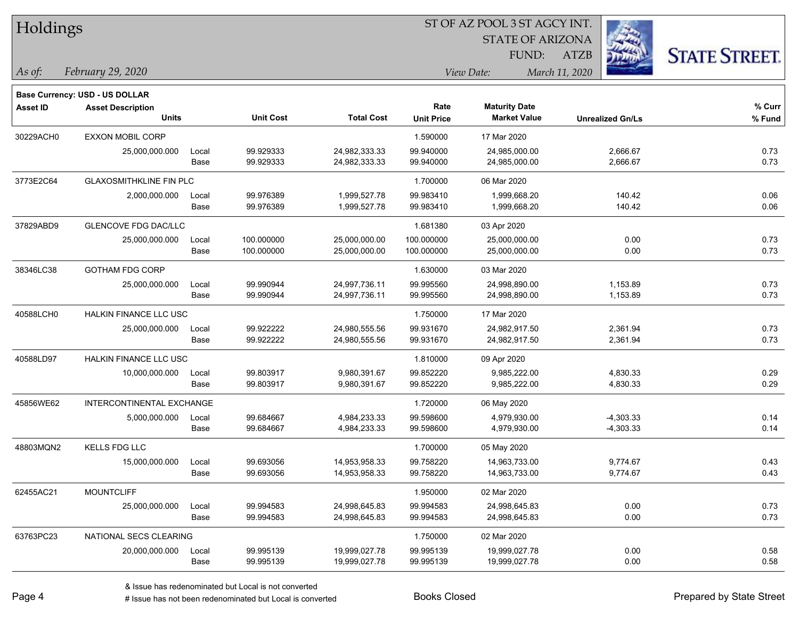| Holdings        |                                       |       |                  |                   | ST OF AZ POOL 3 ST AGCY INT. |                         |                         |                      |  |  |
|-----------------|---------------------------------------|-------|------------------|-------------------|------------------------------|-------------------------|-------------------------|----------------------|--|--|
|                 |                                       |       |                  |                   |                              | <b>STATE OF ARIZONA</b> | 23                      |                      |  |  |
|                 |                                       |       |                  |                   |                              | FUND:                   | <b>ATZB</b>             | <b>STATE STREET.</b> |  |  |
| As of:          | February 29, 2020                     |       |                  |                   |                              | View Date:              | March 11, 2020          |                      |  |  |
|                 | <b>Base Currency: USD - US DOLLAR</b> |       |                  |                   |                              |                         |                         |                      |  |  |
| <b>Asset ID</b> | <b>Asset Description</b>              |       |                  |                   | Rate                         | <b>Maturity Date</b>    |                         | % Curr               |  |  |
|                 | <b>Units</b>                          |       | <b>Unit Cost</b> | <b>Total Cost</b> | <b>Unit Price</b>            | <b>Market Value</b>     | <b>Unrealized Gn/Ls</b> | % Fund               |  |  |
| 30229ACH0       | <b>EXXON MOBIL CORP</b>               |       |                  |                   | 1.590000                     | 17 Mar 2020             |                         |                      |  |  |
|                 | 25,000,000.000                        | Local | 99.929333        | 24,982,333.33     | 99.940000                    | 24,985,000.00           | 2,666.67                | 0.73                 |  |  |
|                 |                                       | Base  | 99.929333        | 24,982,333.33     | 99.940000                    | 24,985,000.00           | 2,666.67                | 0.73                 |  |  |
| 3773E2C64       | <b>GLAXOSMITHKLINE FIN PLC</b>        |       |                  |                   | 1.700000                     | 06 Mar 2020             |                         |                      |  |  |
|                 | 2,000,000.000                         | Local | 99.976389        | 1,999,527.78      | 99.983410                    | 1,999,668.20            | 140.42                  | 0.06                 |  |  |
|                 |                                       | Base  | 99.976389        | 1,999,527.78      | 99.983410                    | 1,999,668.20            | 140.42                  | 0.06                 |  |  |
| 37829ABD9       | <b>GLENCOVE FDG DAC/LLC</b>           |       |                  |                   | 1.681380                     | 03 Apr 2020             |                         |                      |  |  |
|                 | 25,000,000.000                        | Local | 100.000000       | 25,000,000.00     | 100.000000                   | 25,000,000.00           | 0.00                    | 0.73                 |  |  |
|                 |                                       | Base  | 100.000000       | 25,000,000.00     | 100.000000                   | 25,000,000.00           | 0.00                    | 0.73                 |  |  |
| 38346LC38       | <b>GOTHAM FDG CORP</b>                |       |                  |                   | 1.630000                     | 03 Mar 2020             |                         |                      |  |  |
|                 | 25,000,000.000                        | Local | 99.990944        | 24,997,736.11     | 99.995560                    | 24,998,890.00           | 1,153.89                | 0.73                 |  |  |
|                 |                                       | Base  | 99.990944        | 24,997,736.11     | 99.995560                    | 24,998,890.00           | 1,153.89                | 0.73                 |  |  |
| 40588LCH0       | HALKIN FINANCE LLC USC                |       |                  |                   | 1.750000                     | 17 Mar 2020             |                         |                      |  |  |
|                 | 25,000,000.000                        | Local | 99.922222        | 24,980,555.56     | 99.931670                    | 24,982,917.50           | 2,361.94                | 0.73                 |  |  |
|                 |                                       | Base  | 99.922222        | 24,980,555.56     | 99.931670                    | 24,982,917.50           | 2,361.94                | 0.73                 |  |  |
| 40588LD97       | <b>HALKIN FINANCE LLC USC</b>         |       |                  |                   | 1.810000                     | 09 Apr 2020             |                         |                      |  |  |
|                 | 10,000,000.000                        | Local | 99.803917        | 9,980,391.67      | 99.852220                    | 9,985,222.00            | 4,830.33                | 0.29                 |  |  |
|                 |                                       | Base  | 99.803917        | 9,980,391.67      | 99.852220                    | 9,985,222.00            | 4,830.33                | 0.29                 |  |  |
| 45856WE62       | INTERCONTINENTAL EXCHANGE             |       |                  |                   | 1.720000                     | 06 May 2020             |                         |                      |  |  |
|                 | 5,000,000.000                         | Local | 99.684667        | 4,984,233.33      | 99.598600                    | 4,979,930.00            | $-4,303.33$             | 0.14                 |  |  |
|                 |                                       | Base  | 99.684667        | 4,984,233.33      | 99.598600                    | 4,979,930.00            | $-4,303.33$             | 0.14                 |  |  |
| 48803MQN2       | <b>KELLS FDG LLC</b>                  |       |                  |                   | 1.700000                     | 05 May 2020             |                         |                      |  |  |
|                 | 15,000,000.000                        | Local | 99.693056        | 14,953,958.33     | 99.758220                    | 14,963,733.00           | 9,774.67                | 0.43                 |  |  |
|                 |                                       | Base  | 99.693056        | 14,953,958.33     | 99.758220                    | 14,963,733.00           | 9,774.67                | 0.43                 |  |  |
| 62455AC21       | <b>MOUNTCLIFF</b>                     |       |                  |                   | 1.950000                     | 02 Mar 2020             |                         |                      |  |  |
|                 | 25,000,000.000                        | Local | 99.994583        | 24,998,645.83     | 99.994583                    | 24,998,645.83           | 0.00                    | 0.73                 |  |  |
|                 |                                       | Base  | 99.994583        | 24,998,645.83     | 99.994583                    | 24,998,645.83           | 0.00                    | 0.73                 |  |  |
| 63763PC23       | NATIONAL SECS CLEARING                |       |                  |                   | 1.750000                     | 02 Mar 2020             |                         |                      |  |  |
|                 | 20,000,000.000                        | Local | 99.995139        | 19,999,027.78     | 99.995139                    | 19,999,027.78           | 0.00                    | 0.58                 |  |  |
|                 |                                       | Base  | 99.995139        | 19,999,027.78     | 99.995139                    | 19,999,027.78           | 0.00                    | 0.58                 |  |  |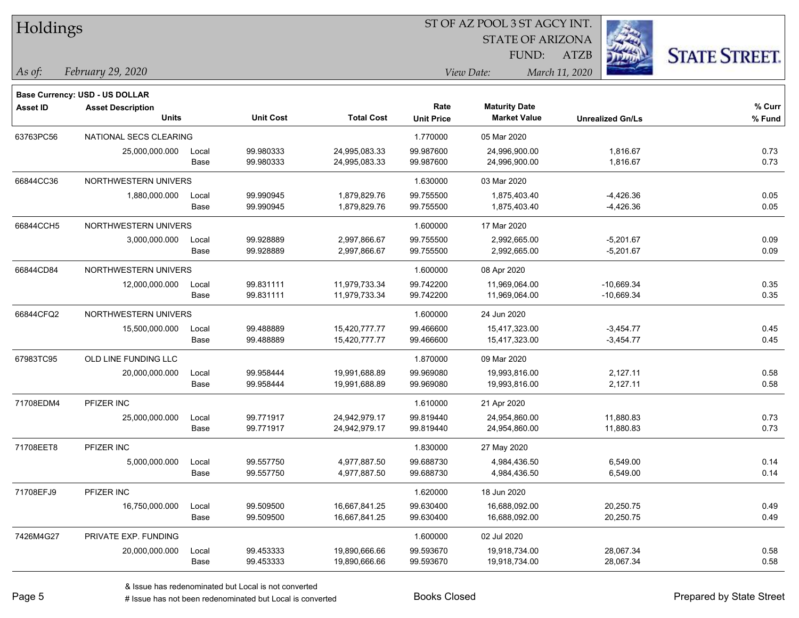| Holdings        |                                          |               |                        | ST OF AZ POOL 3 ST AGCY INT.   |                        |                                |                              |                      |  |  |
|-----------------|------------------------------------------|---------------|------------------------|--------------------------------|------------------------|--------------------------------|------------------------------|----------------------|--|--|
|                 |                                          |               |                        |                                |                        | <b>STATE OF ARIZONA</b>        |                              |                      |  |  |
|                 |                                          |               |                        |                                |                        | FUND:                          | <b>ATZB</b>                  | <b>STATE STREET.</b> |  |  |
| $\vert$ As of:  | February 29, 2020                        |               |                        |                                |                        | View Date:                     | March 11, 2020               |                      |  |  |
|                 |                                          |               |                        |                                |                        |                                |                              |                      |  |  |
|                 | <b>Base Currency: USD - US DOLLAR</b>    |               |                        |                                | Rate                   | <b>Maturity Date</b>           |                              | % Curr               |  |  |
| <b>Asset ID</b> | <b>Asset Description</b><br><b>Units</b> |               | <b>Unit Cost</b>       | <b>Total Cost</b>              | <b>Unit Price</b>      | <b>Market Value</b>            | <b>Unrealized Gn/Ls</b>      | % Fund               |  |  |
|                 |                                          |               |                        |                                |                        |                                |                              |                      |  |  |
| 63763PC56       | NATIONAL SECS CLEARING                   |               |                        |                                | 1.770000               | 05 Mar 2020                    |                              |                      |  |  |
|                 | 25,000,000.000                           | Local<br>Base | 99.980333<br>99.980333 | 24,995,083.33<br>24,995,083.33 | 99.987600<br>99.987600 | 24,996,900.00<br>24,996,900.00 | 1,816.67<br>1,816.67         | 0.73<br>0.73         |  |  |
|                 |                                          |               |                        |                                |                        |                                |                              |                      |  |  |
| 66844CC36       | NORTHWESTERN UNIVERS                     |               |                        |                                | 1.630000               | 03 Mar 2020                    |                              |                      |  |  |
|                 | 1,880,000.000                            | Local<br>Base | 99.990945<br>99.990945 | 1,879,829.76<br>1,879,829.76   | 99.755500<br>99.755500 | 1,875,403.40<br>1,875,403.40   | $-4,426.36$<br>$-4,426.36$   | 0.05<br>0.05         |  |  |
|                 |                                          |               |                        |                                |                        |                                |                              |                      |  |  |
| 66844CCH5       | NORTHWESTERN UNIVERS                     |               |                        |                                | 1.600000               | 17 Mar 2020                    |                              |                      |  |  |
|                 | 3,000,000.000                            | Local<br>Base | 99.928889<br>99.928889 | 2,997,866.67<br>2,997,866.67   | 99.755500<br>99.755500 | 2,992,665.00<br>2,992,665.00   | $-5,201.67$<br>$-5,201.67$   | 0.09<br>0.09         |  |  |
|                 |                                          |               |                        |                                |                        |                                |                              |                      |  |  |
| 66844CD84       | NORTHWESTERN UNIVERS                     |               |                        |                                | 1.600000               | 08 Apr 2020                    |                              |                      |  |  |
|                 | 12,000,000.000                           | Local<br>Base | 99.831111<br>99.831111 | 11,979,733.34<br>11,979,733.34 | 99.742200<br>99.742200 | 11,969,064.00<br>11,969,064.00 | $-10,669.34$<br>$-10,669.34$ | 0.35<br>0.35         |  |  |
|                 |                                          |               |                        |                                |                        |                                |                              |                      |  |  |
| 66844CFQ2       | NORTHWESTERN UNIVERS                     |               |                        |                                | 1.600000               | 24 Jun 2020                    |                              |                      |  |  |
|                 | 15,500,000.000                           | Local         | 99.488889              | 15,420,777.77                  | 99.466600              | 15,417,323.00                  | $-3,454.77$                  | 0.45                 |  |  |
|                 |                                          | Base          | 99.488889              | 15,420,777.77                  | 99.466600              | 15,417,323.00                  | $-3,454.77$                  | 0.45                 |  |  |
| 67983TC95       | OLD LINE FUNDING LLC                     |               |                        |                                | 1.870000               | 09 Mar 2020                    |                              |                      |  |  |
|                 | 20,000,000.000                           | Local         | 99.958444              | 19,991,688.89                  | 99.969080              | 19,993,816.00                  | 2,127.11                     | 0.58                 |  |  |
|                 |                                          | Base          | 99.958444              | 19,991,688.89                  | 99.969080              | 19,993,816.00                  | 2,127.11                     | 0.58                 |  |  |
| 71708EDM4       | PFIZER INC                               |               |                        |                                | 1.610000               | 21 Apr 2020                    |                              |                      |  |  |
|                 | 25,000,000.000                           | Local         | 99.771917              | 24,942,979.17                  | 99.819440              | 24,954,860.00                  | 11,880.83                    | 0.73                 |  |  |
|                 |                                          | Base          | 99.771917              | 24,942,979.17                  | 99.819440              | 24,954,860.00                  | 11,880.83                    | 0.73                 |  |  |
| 71708EET8       | PFIZER INC                               |               |                        |                                | 1.830000               | 27 May 2020                    |                              |                      |  |  |
|                 | 5,000,000.000                            | Local         | 99.557750              | 4,977,887.50                   | 99.688730              | 4,984,436.50                   | 6,549.00                     | 0.14                 |  |  |
|                 |                                          | Base          | 99.557750              | 4,977,887.50                   | 99.688730              | 4,984,436.50                   | 6,549.00                     | 0.14                 |  |  |
| 71708EFJ9       | PFIZER INC                               |               |                        |                                | 1.620000               | 18 Jun 2020                    |                              |                      |  |  |
|                 | 16,750,000.000                           | Local         | 99.509500              | 16,667,841.25                  | 99.630400              | 16,688,092.00                  | 20,250.75                    | 0.49                 |  |  |
|                 |                                          | Base          | 99.509500              | 16,667,841.25                  | 99.630400              | 16,688,092.00                  | 20,250.75                    | 0.49                 |  |  |
| 7426M4G27       | PRIVATE EXP. FUNDING                     |               |                        |                                | 1.600000               | 02 Jul 2020                    |                              |                      |  |  |
|                 | 20,000,000.000                           | Local         | 99.453333              | 19,890,666.66                  | 99.593670              | 19,918,734.00                  | 28,067.34                    | 0.58                 |  |  |
|                 |                                          | Base          | 99.453333              | 19,890,666.66                  | 99.593670              | 19,918,734.00                  | 28,067.34                    | 0.58                 |  |  |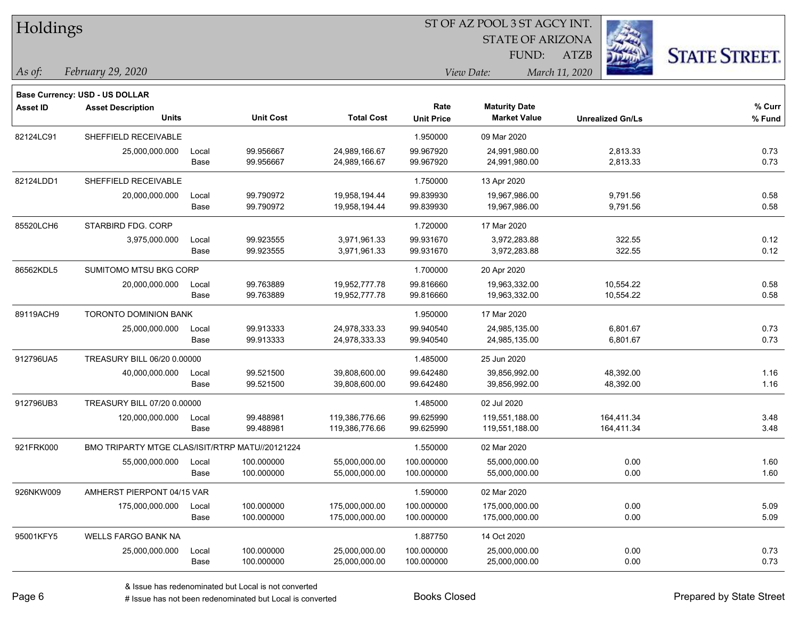| Holdings        |                                                 |       |                  |                   |                   | ST OF AZ POOL 3 ST AGCY INT. |                         |                      |
|-----------------|-------------------------------------------------|-------|------------------|-------------------|-------------------|------------------------------|-------------------------|----------------------|
|                 |                                                 |       |                  |                   |                   | <b>STATE OF ARIZONA</b>      |                         |                      |
|                 |                                                 |       |                  |                   |                   | FUND:                        | <b>ATZB</b>             | <b>STATE STREET.</b> |
| As of:          | February 29, 2020                               |       |                  |                   |                   | View Date:                   | March 11, 2020          |                      |
|                 | Base Currency: USD - US DOLLAR                  |       |                  |                   |                   |                              |                         |                      |
| <b>Asset ID</b> | <b>Asset Description</b>                        |       |                  |                   | Rate              | <b>Maturity Date</b>         |                         | % Curr               |
|                 | <b>Units</b>                                    |       | <b>Unit Cost</b> | <b>Total Cost</b> | <b>Unit Price</b> | <b>Market Value</b>          | <b>Unrealized Gn/Ls</b> | % Fund               |
| 82124LC91       | SHEFFIELD RECEIVABLE                            |       |                  |                   | 1.950000          | 09 Mar 2020                  |                         |                      |
|                 | 25,000,000.000                                  | Local | 99.956667        | 24,989,166.67     | 99.967920         | 24,991,980.00                | 2,813.33                | 0.73                 |
|                 |                                                 | Base  | 99.956667        | 24,989,166.67     | 99.967920         | 24,991,980.00                | 2,813.33                | 0.73                 |
| 82124LDD1       | SHEFFIELD RECEIVABLE                            |       |                  |                   | 1.750000          | 13 Apr 2020                  |                         |                      |
|                 | 20,000,000.000                                  | Local | 99.790972        | 19,958,194.44     | 99.839930         | 19,967,986.00                | 9,791.56                | 0.58                 |
|                 |                                                 | Base  | 99.790972        | 19,958,194.44     | 99.839930         | 19,967,986.00                | 9,791.56                | 0.58                 |
| 85520LCH6       | STARBIRD FDG. CORP                              |       |                  |                   | 1.720000          | 17 Mar 2020                  |                         |                      |
|                 | 3,975,000.000                                   | Local | 99.923555        | 3,971,961.33      | 99.931670         | 3,972,283.88                 | 322.55                  | 0.12                 |
|                 |                                                 | Base  | 99.923555        | 3,971,961.33      | 99.931670         | 3,972,283.88                 | 322.55                  | 0.12                 |
| 86562KDL5       | SUMITOMO MTSU BKG CORP                          |       |                  |                   | 1.700000          | 20 Apr 2020                  |                         |                      |
|                 | 20,000,000.000                                  | Local | 99.763889        | 19,952,777.78     | 99.816660         | 19,963,332.00                | 10,554.22               | 0.58                 |
|                 |                                                 | Base  | 99.763889        | 19,952,777.78     | 99.816660         | 19,963,332.00                | 10,554.22               | 0.58                 |
| 89119ACH9       | TORONTO DOMINION BANK                           |       |                  |                   | 1.950000          | 17 Mar 2020                  |                         |                      |
|                 | 25,000,000.000                                  | Local | 99.913333        | 24,978,333.33     | 99.940540         | 24,985,135.00                | 6,801.67                | 0.73                 |
|                 |                                                 | Base  | 99.913333        | 24,978,333.33     | 99.940540         | 24,985,135.00                | 6,801.67                | 0.73                 |
| 912796UA5       | TREASURY BILL 06/20 0.00000                     |       |                  |                   | 1.485000          | 25 Jun 2020                  |                         |                      |
|                 | 40,000,000.000                                  | Local | 99.521500        | 39,808,600.00     | 99.642480         | 39,856,992.00                | 48,392.00               | 1.16                 |
|                 |                                                 | Base  | 99.521500        | 39,808,600.00     | 99.642480         | 39,856,992.00                | 48,392.00               | 1.16                 |
| 912796UB3       | TREASURY BILL 07/20 0.00000                     |       |                  |                   | 1.485000          | 02 Jul 2020                  |                         |                      |
|                 | 120,000,000.000                                 | Local | 99.488981        | 119,386,776.66    | 99.625990         | 119,551,188.00               | 164,411.34              | 3.48                 |
|                 |                                                 | Base  | 99.488981        | 119,386,776.66    | 99.625990         | 119,551,188.00               | 164,411.34              | 3.48                 |
| 921FRK000       | BMO TRIPARTY MTGE CLAS/ISIT/RTRP MATU//20121224 |       |                  |                   | 1.550000          | 02 Mar 2020                  |                         |                      |
|                 | 55,000,000.000                                  | Local | 100.000000       | 55,000,000.00     | 100.000000        | 55,000,000.00                | 0.00                    | 1.60                 |
|                 |                                                 | Base  | 100.000000       | 55,000,000.00     | 100.000000        | 55,000,000.00                | 0.00                    | 1.60                 |
| 926NKW009       | AMHERST PIERPONT 04/15 VAR                      |       |                  |                   | 1.590000          | 02 Mar 2020                  |                         |                      |
|                 | 175,000,000.000                                 | Local | 100.000000       | 175,000,000.00    | 100.000000        | 175,000,000.00               | 0.00                    | 5.09                 |
|                 |                                                 | Base  | 100.000000       | 175,000,000.00    | 100.000000        | 175,000,000.00               | 0.00                    | 5.09                 |
| 95001KFY5       | WELLS FARGO BANK NA                             |       |                  |                   | 1.887750          | 14 Oct 2020                  |                         |                      |
|                 | 25,000,000.000                                  | Local | 100.000000       | 25,000,000.00     | 100.000000        | 25,000,000.00                | 0.00                    | 0.73                 |
|                 |                                                 | Base  | 100.000000       | 25,000,000.00     | 100.000000        | 25,000,000.00                | 0.00                    | 0.73                 |

 $\overline{\phantom{0}}$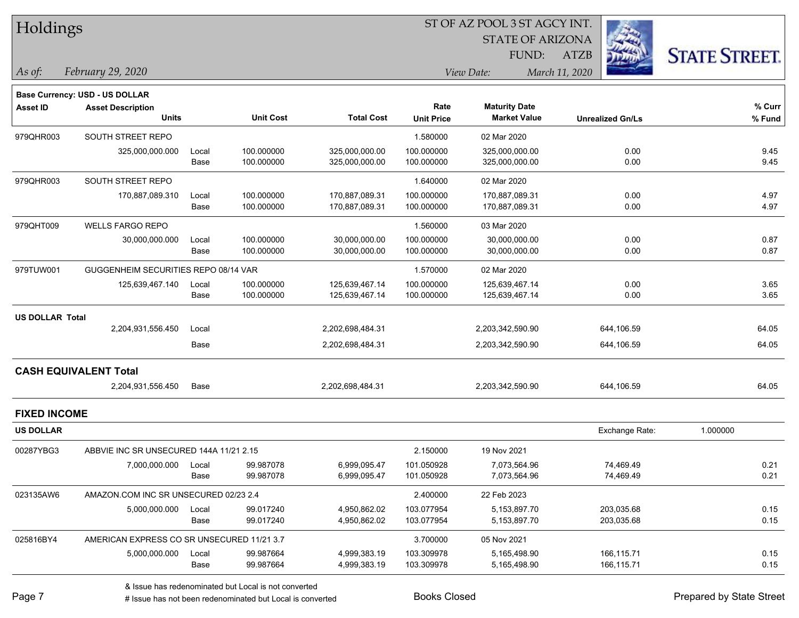| <b>Holdings</b> |  |
|-----------------|--|
|-----------------|--|

STATE OF ARIZONA

ATZB



*February 29, 2020 As of: View Date: March 11, 2020*

|                        | <b>Base Currency: USD - US DOLLAR</b>      |       |                  |                   |                   |                      |                         |          |
|------------------------|--------------------------------------------|-------|------------------|-------------------|-------------------|----------------------|-------------------------|----------|
| <b>Asset ID</b>        | <b>Asset Description</b>                   |       |                  |                   | Rate              | <b>Maturity Date</b> |                         | % Curr   |
|                        | <b>Units</b>                               |       | <b>Unit Cost</b> | <b>Total Cost</b> | <b>Unit Price</b> | <b>Market Value</b>  | <b>Unrealized Gn/Ls</b> | % Fund   |
| 979QHR003              | SOUTH STREET REPO                          |       |                  |                   | 1.580000          | 02 Mar 2020          |                         |          |
|                        | 325,000,000.000                            | Local | 100.000000       | 325,000,000.00    | 100.000000        | 325,000,000.00       | 0.00                    | 9.45     |
|                        |                                            | Base  | 100.000000       | 325,000,000.00    | 100.000000        | 325,000,000.00       | 0.00                    | 9.45     |
| 979QHR003              | SOUTH STREET REPO                          |       |                  |                   | 1.640000          | 02 Mar 2020          |                         |          |
|                        | 170,887,089.310                            | Local | 100.000000       | 170,887,089.31    | 100.000000        | 170,887,089.31       | 0.00                    | 4.97     |
|                        |                                            | Base  | 100.000000       | 170,887,089.31    | 100.000000        | 170,887,089.31       | 0.00                    | 4.97     |
| 979QHT009              | <b>WELLS FARGO REPO</b>                    |       |                  |                   | 1.560000          | 03 Mar 2020          |                         |          |
|                        | 30,000,000.000                             | Local | 100.000000       | 30,000,000.00     | 100.000000        | 30,000,000.00        | 0.00                    | 0.87     |
|                        |                                            | Base  | 100.000000       | 30,000,000.00     | 100.000000        | 30,000,000.00        | 0.00                    | 0.87     |
| 979TUW001              | GUGGENHEIM SECURITIES REPO 08/14 VAR       |       |                  |                   | 1.570000          | 02 Mar 2020          |                         |          |
|                        | 125,639,467.140                            | Local | 100.000000       | 125,639,467.14    | 100.000000        | 125,639,467.14       | 0.00                    | 3.65     |
|                        |                                            | Base  | 100.000000       | 125,639,467.14    | 100.000000        | 125,639,467.14       | 0.00                    | 3.65     |
| <b>US DOLLAR Total</b> |                                            |       |                  |                   |                   |                      |                         |          |
|                        | 2,204,931,556.450                          | Local |                  | 2,202,698,484.31  |                   | 2,203,342,590.90     | 644,106.59              | 64.05    |
|                        |                                            | Base  |                  | 2,202,698,484.31  |                   | 2,203,342,590.90     | 644,106.59              | 64.05    |
|                        | <b>CASH EQUIVALENT Total</b>               |       |                  |                   |                   |                      |                         |          |
|                        | 2,204,931,556.450                          | Base  |                  | 2,202,698,484.31  |                   | 2,203,342,590.90     | 644,106.59              | 64.05    |
| <b>FIXED INCOME</b>    |                                            |       |                  |                   |                   |                      |                         |          |
| <b>US DOLLAR</b>       |                                            |       |                  |                   |                   |                      | Exchange Rate:          | 1.000000 |
| 00287YBG3              | ABBVIE INC SR UNSECURED 144A 11/21 2.15    |       |                  |                   | 2.150000          | 19 Nov 2021          |                         |          |
|                        | 7,000,000.000                              | Local | 99.987078        | 6,999,095.47      | 101.050928        | 7,073,564.96         | 74,469.49               | 0.21     |
|                        |                                            | Base  | 99.987078        | 6,999,095.47      | 101.050928        | 7,073,564.96         | 74,469.49               | 0.21     |
| 023135AW6              | AMAZON.COM INC SR UNSECURED 02/23 2.4      |       |                  |                   | 2.400000          | 22 Feb 2023          |                         |          |
|                        | 5,000,000.000                              | Local | 99.017240        | 4,950,862.02      | 103.077954        | 5,153,897.70         | 203,035.68              | 0.15     |
|                        |                                            | Base  | 99.017240        | 4,950,862.02      | 103.077954        | 5,153,897.70         | 203,035.68              | 0.15     |
| 025816BY4              | AMERICAN EXPRESS CO SR UNSECURED 11/21 3.7 |       |                  |                   | 3.700000          | 05 Nov 2021          |                         |          |
|                        | 5,000,000.000                              | Local | 99.987664        | 4,999,383.19      | 103.309978        | 5,165,498.90         | 166,115.71              | 0.15     |
|                        |                                            | Base  | 99.987664        | 4,999,383.19      | 103.309978        | 5,165,498.90         | 166,115.71              | 0.15     |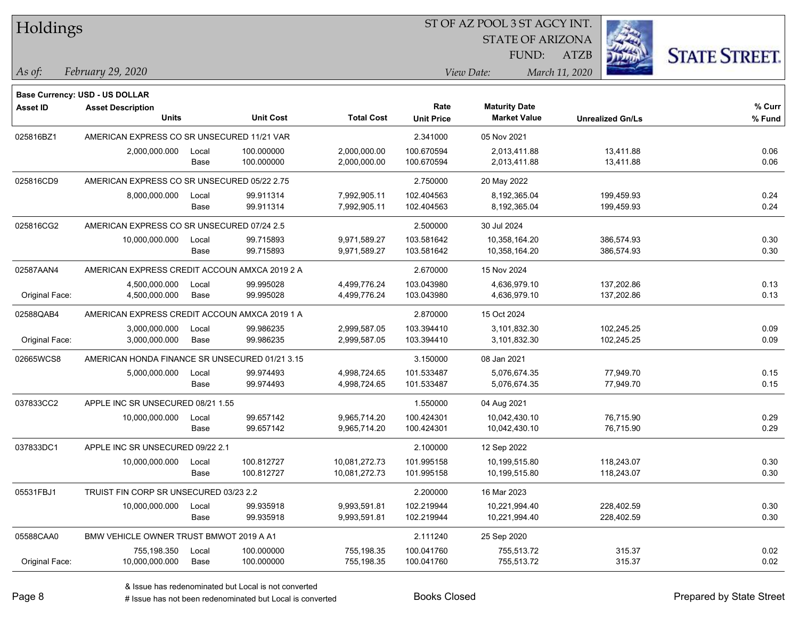| Holdings |
|----------|
|          |

STATE OF ARIZONA FUND:



*February 29, 2020 As of: View Date: March 11, 2020*

**Base Currency: USD - US DOLLAR**

ATZB

| <b>Asset ID</b> | <b>Asset Description</b>                       |       |                  |                   | Rate              | <b>Maturity Date</b> |                         | % Curr |
|-----------------|------------------------------------------------|-------|------------------|-------------------|-------------------|----------------------|-------------------------|--------|
|                 | <b>Units</b>                                   |       | <b>Unit Cost</b> | <b>Total Cost</b> | <b>Unit Price</b> | <b>Market Value</b>  | <b>Unrealized Gn/Ls</b> | % Fund |
| 025816BZ1       | AMERICAN EXPRESS CO SR UNSECURED 11/21 VAR     |       |                  | 2.341000          | 05 Nov 2021       |                      |                         |        |
|                 | 2,000,000.000                                  | Local | 100.000000       | 2,000,000.00      | 100.670594        | 2,013,411.88         | 13,411.88               | 0.06   |
|                 |                                                | Base  | 100.000000       | 2,000,000.00      | 100.670594        | 2,013,411.88         | 13,411.88               | 0.06   |
| 025816CD9       | AMERICAN EXPRESS CO SR UNSECURED 05/22 2.75    |       |                  |                   | 2.750000          | 20 May 2022          |                         |        |
|                 | 8,000,000.000                                  | Local | 99.911314        | 7,992,905.11      | 102.404563        | 8,192,365.04         | 199,459.93              | 0.24   |
|                 |                                                | Base  | 99.911314        | 7,992,905.11      | 102.404563        | 8,192,365.04         | 199,459.93              | 0.24   |
| 025816CG2       | AMERICAN EXPRESS CO SR UNSECURED 07/24 2.5     |       |                  |                   | 2.500000          | 30 Jul 2024          |                         |        |
|                 | 10,000,000.000                                 | Local | 99.715893        | 9,971,589.27      | 103.581642        | 10,358,164.20        | 386,574.93              | 0.30   |
|                 |                                                | Base  | 99.715893        | 9,971,589.27      | 103.581642        | 10,358,164.20        | 386,574.93              | 0.30   |
| 02587AAN4       | AMERICAN EXPRESS CREDIT ACCOUN AMXCA 2019 2 A  |       |                  |                   | 2.670000          | 15 Nov 2024          |                         |        |
|                 | 4,500,000.000                                  | Local | 99.995028        | 4,499,776.24      | 103.043980        | 4,636,979.10         | 137,202.86              | 0.13   |
| Original Face:  | 4,500,000.000                                  | Base  | 99.995028        | 4,499,776.24      | 103.043980        | 4,636,979.10         | 137,202.86              | 0.13   |
| 02588QAB4       | AMERICAN EXPRESS CREDIT ACCOUN AMXCA 2019 1 A  |       |                  |                   | 2.870000          | 15 Oct 2024          |                         |        |
|                 | 3,000,000.000                                  | Local | 99.986235        | 2,999,587.05      | 103.394410        | 3,101,832.30         | 102,245.25              | 0.09   |
| Original Face:  | 3,000,000.000                                  | Base  | 99.986235        | 2,999,587.05      | 103.394410        | 3,101,832.30         | 102,245.25              | 0.09   |
| 02665WCS8       | AMERICAN HONDA FINANCE SR UNSECURED 01/21 3.15 |       |                  |                   | 3.150000          | 08 Jan 2021          |                         |        |
|                 | 5,000,000.000                                  | Local | 99.974493        | 4,998,724.65      | 101.533487        | 5,076,674.35         | 77,949.70               | 0.15   |
|                 |                                                | Base  | 99.974493        | 4,998,724.65      | 101.533487        | 5,076,674.35         | 77,949.70               | 0.15   |
| 037833CC2       | APPLE INC SR UNSECURED 08/21 1.55              |       |                  |                   | 1.550000          | 04 Aug 2021          |                         |        |
|                 | 10,000,000.000                                 | Local | 99.657142        | 9,965,714.20      | 100.424301        | 10,042,430.10        | 76,715.90               | 0.29   |
|                 |                                                | Base  | 99.657142        | 9,965,714.20      | 100.424301        | 10,042,430.10        | 76,715.90               | 0.29   |
| 037833DC1       | APPLE INC SR UNSECURED 09/22 2.1               |       |                  |                   | 2.100000          | 12 Sep 2022          |                         |        |
|                 | 10,000,000.000                                 | Local | 100.812727       | 10,081,272.73     | 101.995158        | 10,199,515.80        | 118,243.07              | 0.30   |
|                 |                                                | Base  | 100.812727       | 10,081,272.73     | 101.995158        | 10,199,515.80        | 118,243.07              | 0.30   |
| 05531FBJ1       | TRUIST FIN CORP SR UNSECURED 03/23 2.2         |       |                  |                   | 2.200000          | 16 Mar 2023          |                         |        |
|                 | 10,000,000.000                                 | Local | 99.935918        | 9,993,591.81      | 102.219944        | 10,221,994.40        | 228,402.59              | 0.30   |
|                 |                                                | Base  | 99.935918        | 9,993,591.81      | 102.219944        | 10,221,994.40        | 228,402.59              | 0.30   |
| 05588CAA0       | BMW VEHICLE OWNER TRUST BMWOT 2019 A A1        |       |                  |                   | 2.111240          | 25 Sep 2020          |                         |        |
|                 | 755,198.350                                    | Local | 100.000000       | 755,198.35        | 100.041760        | 755,513.72           | 315.37                  | 0.02   |
| Original Face:  | 10,000,000.000                                 | Base  | 100.000000       | 755,198.35        | 100.041760        | 755,513.72           | 315.37                  | 0.02   |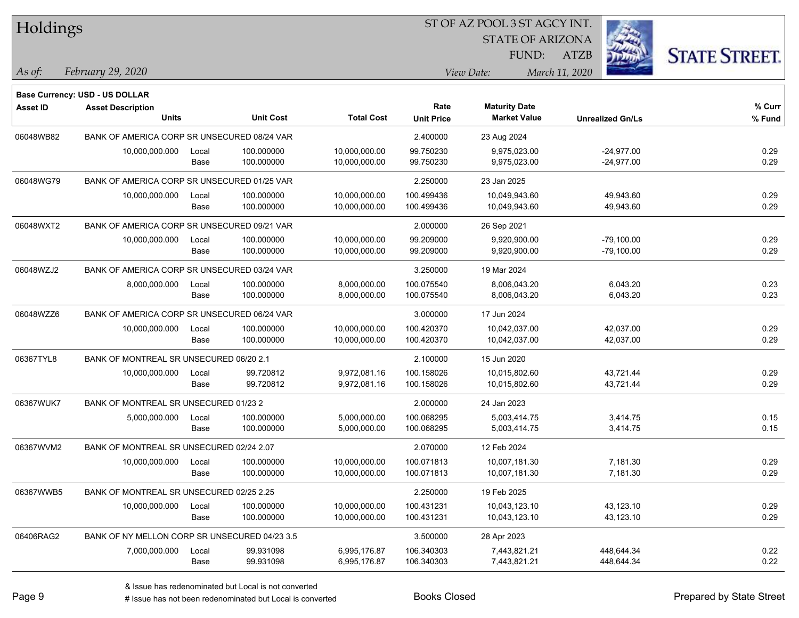| Holdings        |                                               |       |                  |                   |                   |                         |                         |                      |
|-----------------|-----------------------------------------------|-------|------------------|-------------------|-------------------|-------------------------|-------------------------|----------------------|
|                 |                                               |       |                  |                   |                   | <b>STATE OF ARIZONA</b> |                         |                      |
|                 |                                               |       |                  |                   |                   | FUND:                   | <b>ATZB</b>             | <b>STATE STREET.</b> |
| As of:          | February 29, 2020                             |       |                  |                   |                   | View Date:              | March 11, 2020          |                      |
|                 | <b>Base Currency: USD - US DOLLAR</b>         |       |                  |                   |                   |                         |                         |                      |
| <b>Asset ID</b> | <b>Asset Description</b>                      |       |                  |                   | Rate              | <b>Maturity Date</b>    |                         | % Curr               |
|                 | <b>Units</b>                                  |       | <b>Unit Cost</b> | <b>Total Cost</b> | <b>Unit Price</b> | <b>Market Value</b>     | <b>Unrealized Gn/Ls</b> | % Fund               |
| 06048WB82       | BANK OF AMERICA CORP SR UNSECURED 08/24 VAR   |       |                  |                   | 2.400000          | 23 Aug 2024             |                         |                      |
|                 | 10,000,000.000                                | Local | 100.000000       | 10,000,000.00     | 99.750230         | 9,975,023.00            | $-24,977.00$            | 0.29                 |
|                 |                                               | Base  | 100.000000       | 10,000,000.00     | 99.750230         | 9,975,023.00            | $-24,977.00$            | 0.29                 |
| 06048WG79       | BANK OF AMERICA CORP SR UNSECURED 01/25 VAR   |       |                  |                   | 2.250000          | 23 Jan 2025             |                         |                      |
|                 | 10,000,000.000                                | Local | 100.000000       | 10,000,000.00     | 100.499436        | 10,049,943.60           | 49,943.60               | 0.29                 |
|                 |                                               | Base  | 100.000000       | 10,000,000.00     | 100.499436        | 10,049,943.60           | 49,943.60               | 0.29                 |
| 06048WXT2       | BANK OF AMERICA CORP SR UNSECURED 09/21 VAR   |       |                  |                   | 2.000000          | 26 Sep 2021             |                         |                      |
|                 | 10,000,000.000                                | Local | 100.000000       | 10,000,000.00     | 99.209000         | 9,920,900.00            | $-79,100.00$            | 0.29                 |
|                 |                                               | Base  | 100.000000       | 10,000,000.00     | 99.209000         | 9,920,900.00            | $-79,100.00$            | 0.29                 |
| 06048WZJ2       | BANK OF AMERICA CORP SR UNSECURED 03/24 VAR   |       |                  |                   | 3.250000          | 19 Mar 2024             |                         |                      |
|                 | 8,000,000.000                                 | Local | 100.000000       | 8,000,000.00      | 100.075540        | 8,006,043.20            | 6,043.20                | 0.23                 |
|                 |                                               | Base  | 100.000000       | 8,000,000.00      | 100.075540        | 8,006,043.20            | 6,043.20                | 0.23                 |
| 06048WZZ6       | BANK OF AMERICA CORP SR UNSECURED 06/24 VAR   |       |                  |                   | 3.000000          | 17 Jun 2024             |                         |                      |
|                 | 10,000,000.000                                | Local | 100.000000       | 10,000,000.00     | 100.420370        | 10,042,037.00           | 42,037.00               | 0.29                 |
|                 |                                               | Base  | 100.000000       | 10,000,000.00     | 100.420370        | 10,042,037.00           | 42,037.00               | 0.29                 |
| 06367TYL8       | BANK OF MONTREAL SR UNSECURED 06/20 2.1       |       |                  |                   | 2.100000          | 15 Jun 2020             |                         |                      |
|                 | 10,000,000.000                                | Local | 99.720812        | 9,972,081.16      | 100.158026        | 10,015,802.60           | 43,721.44               | 0.29                 |
|                 |                                               | Base  | 99.720812        | 9,972,081.16      | 100.158026        | 10,015,802.60           | 43,721.44               | 0.29                 |
| 06367WUK7       | BANK OF MONTREAL SR UNSECURED 01/23 2         |       |                  |                   | 2.000000          | 24 Jan 2023             |                         |                      |
|                 | 5,000,000.000                                 | Local | 100.000000       | 5,000,000.00      | 100.068295        | 5,003,414.75            | 3,414.75                | 0.15                 |
|                 |                                               | Base  | 100.000000       | 5,000,000.00      | 100.068295        | 5,003,414.75            | 3,414.75                | 0.15                 |
| 06367WVM2       | BANK OF MONTREAL SR UNSECURED 02/24 2.07      |       |                  |                   | 2.070000          | 12 Feb 2024             |                         |                      |
|                 | 10,000,000.000                                | Local | 100.000000       | 10.000.000.00     | 100.071813        | 10,007,181.30           | 7,181.30                | 0.29                 |
|                 |                                               | Base  | 100.000000       | 10,000,000.00     | 100.071813        | 10,007,181.30           | 7,181.30                | 0.29                 |
| 06367WWB5       | BANK OF MONTREAL SR UNSECURED 02/25 2.25      |       |                  |                   | 2.250000          | 19 Feb 2025             |                         |                      |
|                 | 10,000,000.000                                | Local | 100.000000       | 10,000,000.00     | 100.431231        | 10,043,123.10           | 43,123.10               | 0.29                 |
|                 |                                               | Base  | 100.000000       | 10,000,000.00     | 100.431231        | 10,043,123.10           | 43,123.10               | 0.29                 |
| 06406RAG2       | BANK OF NY MELLON CORP SR UNSECURED 04/23 3.5 |       |                  |                   | 3.500000          | 28 Apr 2023             |                         |                      |
|                 | 7,000,000.000                                 | Local | 99.931098        | 6,995,176.87      | 106.340303        | 7,443,821.21            | 448,644.34              | 0.22                 |
|                 |                                               | Base  | 99.931098        | 6,995,176.87      | 106.340303        | 7,443,821.21            | 448,644.34              | 0.22                 |

denote the redenominated but Local is converted Books Closed Prepared by State Street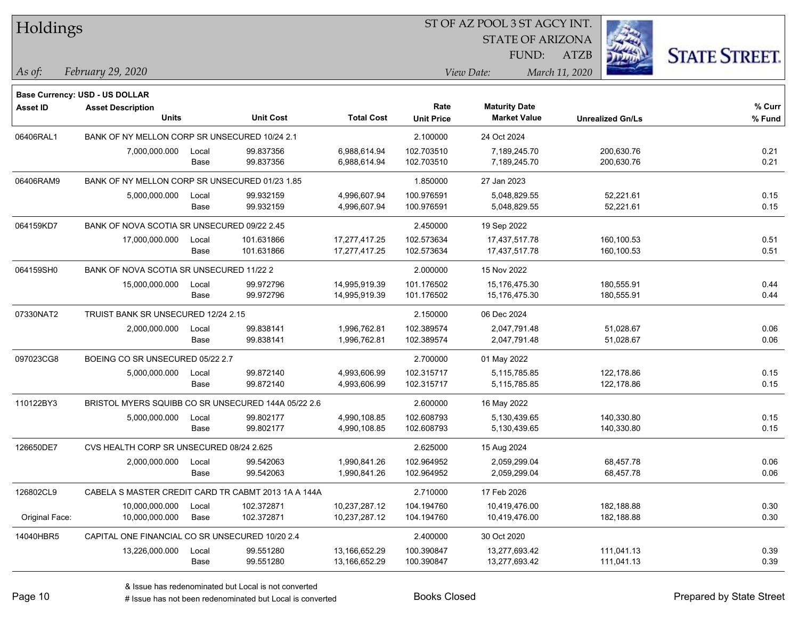| Holdings        |                                                 |       |                                                     |                   | ST OF AZ POOL 3 ST AGCY INT. |                         |                |                         |                      |  |
|-----------------|-------------------------------------------------|-------|-----------------------------------------------------|-------------------|------------------------------|-------------------------|----------------|-------------------------|----------------------|--|
|                 |                                                 |       |                                                     |                   |                              | <b>STATE OF ARIZONA</b> |                |                         |                      |  |
|                 |                                                 |       |                                                     |                   |                              | FUND:                   | ATZB           |                         | <b>STATE STREET.</b> |  |
| As of:          | February 29, 2020                               |       |                                                     |                   |                              | View Date:              | March 11, 2020 |                         |                      |  |
|                 | Base Currency: USD - US DOLLAR                  |       |                                                     |                   |                              |                         |                |                         |                      |  |
| <b>Asset ID</b> | <b>Asset Description</b>                        |       |                                                     |                   | Rate                         | <b>Maturity Date</b>    |                |                         | % Curr               |  |
|                 | <b>Units</b>                                    |       | <b>Unit Cost</b>                                    | <b>Total Cost</b> | <b>Unit Price</b>            | <b>Market Value</b>     |                | <b>Unrealized Gn/Ls</b> | % Fund               |  |
| 06406RAL1       | BANK OF NY MELLON CORP SR UNSECURED 10/24 2.1   |       |                                                     |                   | 2.100000                     | 24 Oct 2024             |                |                         |                      |  |
|                 | 7,000,000.000                                   | Local | 99.837356                                           | 6,988,614.94      | 102.703510                   | 7,189,245.70            |                | 200,630.76              | 0.21                 |  |
|                 |                                                 | Base  | 99.837356                                           | 6,988,614.94      | 102.703510                   | 7,189,245.70            |                | 200,630.76              | 0.21                 |  |
| 06406RAM9       | BANK OF NY MELLON CORP SR UNSECURED 01/23 1.85  |       |                                                     |                   | 1.850000                     | 27 Jan 2023             |                |                         |                      |  |
|                 | 5,000,000.000                                   | Local | 99.932159                                           | 4,996,607.94      | 100.976591                   | 5,048,829.55            |                | 52,221.61               | 0.15                 |  |
|                 |                                                 | Base  | 99.932159                                           | 4,996,607.94      | 100.976591                   | 5,048,829.55            |                | 52,221.61               | 0.15                 |  |
| 064159KD7       | BANK OF NOVA SCOTIA SR UNSECURED 09/22 2.45     |       |                                                     |                   | 2.450000                     | 19 Sep 2022             |                |                         |                      |  |
|                 | 17,000,000.000                                  | Local | 101.631866                                          | 17,277,417.25     | 102.573634                   | 17,437,517.78           |                | 160,100.53              | 0.51                 |  |
|                 |                                                 | Base  | 101.631866                                          | 17,277,417.25     | 102.573634                   | 17,437,517.78           |                | 160,100.53              | 0.51                 |  |
| 064159SH0       | BANK OF NOVA SCOTIA SR UNSECURED 11/22 2        |       |                                                     |                   | 2.000000                     | 15 Nov 2022             |                |                         |                      |  |
|                 | 15,000,000.000                                  | Local | 99.972796                                           | 14,995,919.39     | 101.176502                   | 15,176,475.30           |                | 180,555.91              | 0.44                 |  |
|                 |                                                 | Base  | 99.972796                                           | 14,995,919.39     | 101.176502                   | 15,176,475.30           |                | 180,555.91              | 0.44                 |  |
| 07330NAT2       | TRUIST BANK SR UNSECURED 12/24 2.15             |       |                                                     |                   | 2.150000                     | 06 Dec 2024             |                |                         |                      |  |
|                 | 2,000,000.000                                   | Local | 99.838141                                           | 1,996,762.81      | 102.389574                   | 2,047,791.48            |                | 51,028.67               | 0.06                 |  |
|                 |                                                 | Base  | 99.838141                                           | 1,996,762.81      | 102.389574                   | 2,047,791.48            |                | 51,028.67               | 0.06                 |  |
| 097023CG8       | BOEING CO SR UNSECURED 05/22 2.7                |       |                                                     |                   | 2.700000                     | 01 May 2022             |                |                         |                      |  |
|                 | 5,000,000.000                                   | Local | 99.872140                                           | 4,993,606.99      | 102.315717                   | 5,115,785.85            |                | 122,178.86              | 0.15                 |  |
|                 |                                                 | Base  | 99.872140                                           | 4,993,606.99      | 102.315717                   | 5,115,785.85            |                | 122,178.86              | 0.15                 |  |
| 110122BY3       |                                                 |       | BRISTOL MYERS SQUIBB CO SR UNSECURED 144A 05/22 2.6 |                   | 2.600000                     | 16 May 2022             |                |                         |                      |  |
|                 | 5,000,000.000                                   | Local | 99.802177                                           | 4,990,108.85      | 102.608793                   | 5,130,439.65            |                | 140,330.80              | 0.15                 |  |
|                 |                                                 | Base  | 99.802177                                           | 4,990,108.85      | 102.608793                   | 5,130,439.65            |                | 140,330.80              | 0.15                 |  |
| 126650DE7       | CVS HEALTH CORP SR UNSECURED 08/24 2.625        |       |                                                     |                   | 2.625000                     | 15 Aug 2024             |                |                         |                      |  |
|                 | 2,000,000.000                                   | Local | 99.542063                                           | 1,990,841.26      | 102.964952                   | 2,059,299.04            |                | 68,457.78               | 0.06                 |  |
|                 |                                                 | Base  | 99.542063                                           | 1,990,841.26      | 102.964952                   | 2,059,299.04            |                | 68,457.78               | 0.06                 |  |
| 126802CL9       |                                                 |       | CABELA S MASTER CREDIT CARD TR CABMT 2013 1A A 144A |                   | 2.710000                     | 17 Feb 2026             |                |                         |                      |  |
|                 | 10,000,000.000                                  | Local | 102.372871                                          | 10,237,287.12     | 104.194760                   | 10,419,476.00           |                | 182,188.88              | 0.30                 |  |
| Original Face:  | 10,000,000.000                                  | Base  | 102.372871                                          | 10,237,287.12     | 104.194760                   | 10,419,476.00           |                | 182,188.88              | 0.30                 |  |
| 14040HBR5       | CAPITAL ONE FINANCIAL CO SR UNSECURED 10/20 2.4 |       |                                                     |                   | 2.400000                     | 30 Oct 2020             |                |                         |                      |  |
|                 | 13,226,000.000                                  | Local | 99.551280                                           | 13,166,652.29     | 100.390847                   | 13,277,693.42           |                | 111,041.13              | 0.39                 |  |
|                 |                                                 | Base  | 99.551280                                           | 13,166,652.29     | 100.390847                   | 13,277,693.42           |                | 111,041.13              | 0.39                 |  |

 $\overline{\phantom{0}}$ 

 $\overline{\phantom{0}}$ 

 $\overline{\phantom{0}}$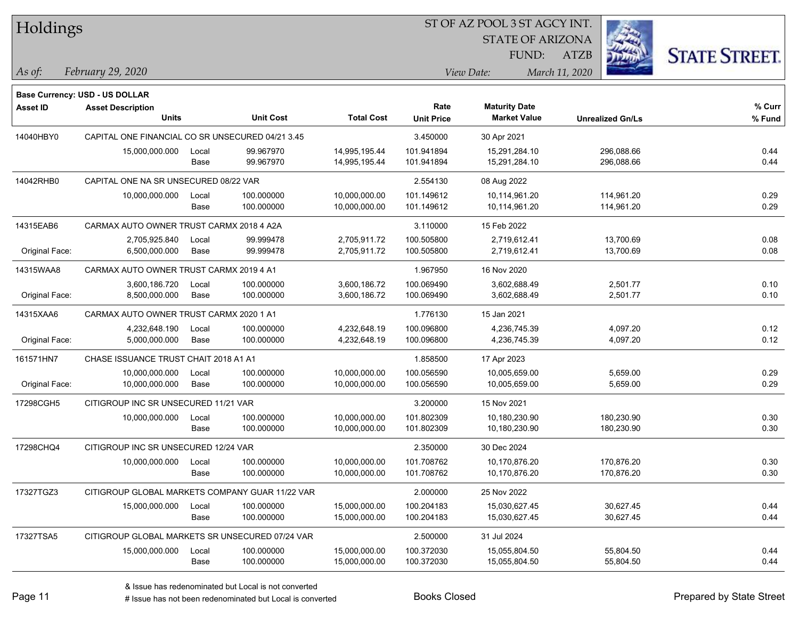Holdings

#### ST OF AZ POOL 3 ST AGCY INT.

STATE OF ARIZONA

ATZB



*February 29, 2020 As of: View Date: March 11, 2020*

**Base Currency: USD - US DOLLAR**

| <b>Asset ID</b> | <b>Asset Description</b>                         |       |                  |                   | Rate              | <b>Maturity Date</b> |                         | % Curr |
|-----------------|--------------------------------------------------|-------|------------------|-------------------|-------------------|----------------------|-------------------------|--------|
|                 | <b>Units</b>                                     |       | <b>Unit Cost</b> | <b>Total Cost</b> | <b>Unit Price</b> | <b>Market Value</b>  | <b>Unrealized Gn/Ls</b> | % Fund |
| 14040HBY0       | CAPITAL ONE FINANCIAL CO SR UNSECURED 04/21 3.45 |       |                  |                   | 3.450000          | 30 Apr 2021          |                         |        |
|                 | 15,000,000.000                                   | Local | 99.967970        | 14,995,195.44     | 101.941894        | 15,291,284.10        | 296,088.66              | 0.44   |
|                 |                                                  | Base  | 99.967970        | 14,995,195.44     | 101.941894        | 15,291,284.10        | 296,088.66              | 0.44   |
| 14042RHB0       | CAPITAL ONE NA SR UNSECURED 08/22 VAR            |       |                  | 2.554130          | 08 Aug 2022       |                      |                         |        |
|                 | 10,000,000.000                                   | Local | 100.000000       | 10,000,000.00     | 101.149612        | 10,114,961.20        | 114,961.20              | 0.29   |
|                 |                                                  | Base  | 100.000000       | 10,000,000.00     | 101.149612        | 10,114,961.20        | 114,961.20              | 0.29   |
| 14315EAB6       | CARMAX AUTO OWNER TRUST CARMX 2018 4 A2A         |       |                  |                   | 3.110000          | 15 Feb 2022          |                         |        |
|                 | 2,705,925.840                                    | Local | 99.999478        | 2,705,911.72      | 100.505800        | 2,719,612.41         | 13,700.69               | 0.08   |
| Original Face:  | 6,500,000.000                                    | Base  | 99.999478        | 2,705,911.72      | 100.505800        | 2,719,612.41         | 13,700.69               | 0.08   |
| 14315WAA8       | CARMAX AUTO OWNER TRUST CARMX 2019 4 A1          |       |                  |                   | 1.967950          | 16 Nov 2020          |                         |        |
|                 | 3,600,186.720                                    | Local | 100.000000       | 3,600,186.72      | 100.069490        | 3,602,688.49         | 2,501.77                | 0.10   |
| Original Face:  | 8,500,000.000                                    | Base  | 100.000000       | 3,600,186.72      | 100.069490        | 3,602,688.49         | 2,501.77                | 0.10   |
| 14315XAA6       | CARMAX AUTO OWNER TRUST CARMX 2020 1 A1          |       |                  |                   | 1.776130          | 15 Jan 2021          |                         |        |
|                 | 4,232,648.190                                    | Local | 100.000000       | 4,232,648.19      | 100.096800        | 4,236,745.39         | 4,097.20                | 0.12   |
| Original Face:  | 5,000,000.000                                    | Base  | 100.000000       | 4,232,648.19      | 100.096800        | 4,236,745.39         | 4,097.20                | 0.12   |
| 161571HN7       | CHASE ISSUANCE TRUST CHAIT 2018 A1 A1            |       |                  |                   | 1.858500          | 17 Apr 2023          |                         |        |
|                 | 10,000,000.000                                   | Local | 100.000000       | 10,000,000.00     | 100.056590        | 10,005,659.00        | 5,659.00                | 0.29   |
| Original Face:  | 10,000,000.000                                   | Base  | 100.000000       | 10,000,000.00     | 100.056590        | 10,005,659.00        | 5,659.00                | 0.29   |
| 17298CGH5       | CITIGROUP INC SR UNSECURED 11/21 VAR             |       |                  |                   | 3.200000          | 15 Nov 2021          |                         |        |
|                 | 10,000,000.000                                   | Local | 100.000000       | 10,000,000.00     | 101.802309        | 10,180,230.90        | 180,230.90              | 0.30   |
|                 |                                                  | Base  | 100.000000       | 10,000,000.00     | 101.802309        | 10,180,230.90        | 180,230.90              | 0.30   |
| 17298CHQ4       | CITIGROUP INC SR UNSECURED 12/24 VAR             |       |                  |                   | 2.350000          | 30 Dec 2024          |                         |        |
|                 | 10,000,000.000                                   | Local | 100.000000       | 10,000,000.00     | 101.708762        | 10,170,876.20        | 170,876.20              | 0.30   |
|                 |                                                  | Base  | 100.000000       | 10,000,000.00     | 101.708762        | 10,170,876.20        | 170,876.20              | 0.30   |
| 17327TGZ3       | CITIGROUP GLOBAL MARKETS COMPANY GUAR 11/22 VAR  |       |                  |                   | 2.000000          | 25 Nov 2022          |                         |        |
|                 | 15,000,000.000                                   | Local | 100.000000       | 15,000,000.00     | 100.204183        | 15,030,627.45        | 30,627.45               | 0.44   |
|                 |                                                  | Base  | 100.000000       | 15,000,000.00     | 100.204183        | 15,030,627.45        | 30,627.45               | 0.44   |
| 17327TSA5       | CITIGROUP GLOBAL MARKETS SR UNSECURED 07/24 VAR  |       |                  |                   | 2.500000          | 31 Jul 2024          |                         |        |
|                 | 15,000,000.000                                   | Local | 100.000000       | 15,000,000.00     | 100.372030        | 15,055,804.50        | 55,804.50               | 0.44   |
|                 |                                                  | Base  | 100.000000       | 15,000,000.00     | 100.372030        | 15,055,804.50        | 55,804.50               | 0.44   |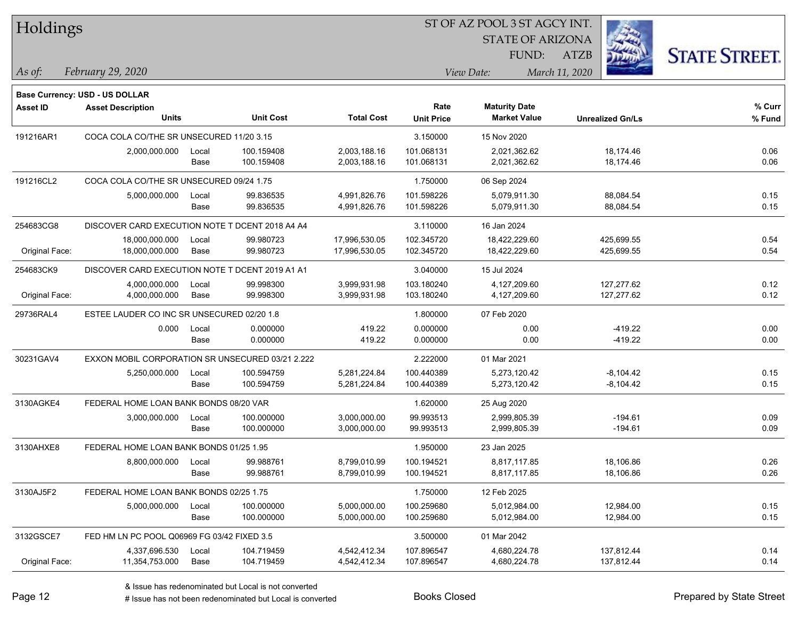| Holdings |
|----------|
|----------|

STATE OF ARIZONA

ATZB



*February 29, 2020 As of: View Date: March 11, 2020*

**Base Currency: USD - US DOLLAR**

| <b>Asset ID</b> | <b>Asset Description</b>                         |                                        |                  |                   | Rate              | <b>Maturity Date</b> |                         | % Curr |
|-----------------|--------------------------------------------------|----------------------------------------|------------------|-------------------|-------------------|----------------------|-------------------------|--------|
|                 | <b>Units</b>                                     |                                        | <b>Unit Cost</b> | <b>Total Cost</b> | <b>Unit Price</b> | <b>Market Value</b>  | <b>Unrealized Gn/Ls</b> | % Fund |
| 191216AR1       | COCA COLA CO/THE SR UNSECURED 11/20 3.15         |                                        |                  |                   | 3.150000          | 15 Nov 2020          |                         |        |
|                 | 2,000,000.000                                    | Local                                  | 100.159408       | 2,003,188.16      | 101.068131        | 2,021,362.62         | 18,174.46               | 0.06   |
|                 |                                                  | Base                                   | 100.159408       | 2,003,188.16      | 101.068131        | 2,021,362.62         | 18,174.46               | 0.06   |
| 191216CL2       | COCA COLA CO/THE SR UNSECURED 09/24 1.75         |                                        |                  |                   | 1.750000          | 06 Sep 2024          |                         |        |
|                 | 5,000,000.000                                    | Local                                  | 99.836535        | 4,991,826.76      | 101.598226        | 5,079,911.30         | 88,084.54               | 0.15   |
|                 |                                                  | Base                                   | 99.836535        | 4,991,826.76      | 101.598226        | 5,079,911.30         | 88,084.54               | 0.15   |
| 254683CG8       | DISCOVER CARD EXECUTION NOTE T DCENT 2018 A4 A4  |                                        |                  |                   | 3.110000          | 16 Jan 2024          |                         |        |
|                 | 18,000,000.000                                   | Local                                  | 99.980723        | 17,996,530.05     | 102.345720        | 18,422,229.60        | 425,699.55              | 0.54   |
| Original Face:  | 18,000,000.000                                   | Base                                   | 99.980723        | 17,996,530.05     | 102.345720        | 18,422,229.60        | 425,699.55              | 0.54   |
| 254683CK9       | DISCOVER CARD EXECUTION NOTE T DCENT 2019 A1 A1  |                                        |                  |                   | 3.040000          | 15 Jul 2024          |                         |        |
|                 | 4,000,000.000                                    | Local                                  | 99.998300        | 3,999,931.98      | 103.180240        | 4,127,209.60         | 127,277.62              | 0.12   |
| Original Face:  | 4,000,000.000                                    | Base                                   | 99.998300        | 3,999,931.98      | 103.180240        | 4,127,209.60         | 127,277.62              | 0.12   |
| 29736RAL4       | ESTEE LAUDER CO INC SR UNSECURED 02/20 1.8       |                                        |                  |                   | 1.800000          | 07 Feb 2020          |                         |        |
|                 | 0.000                                            | Local                                  | 0.000000         | 419.22            | 0.000000          | 0.00                 | $-419.22$               | 0.00   |
|                 |                                                  | Base                                   | 0.000000         | 419.22            | 0.000000          | 0.00                 | $-419.22$               | 0.00   |
| 30231GAV4       | EXXON MOBIL CORPORATION SR UNSECURED 03/21 2.222 |                                        |                  |                   | 2.222000          | 01 Mar 2021          |                         |        |
|                 | 5,250,000.000                                    | Local                                  | 100.594759       | 5,281,224.84      | 100.440389        | 5,273,120.42         | $-8,104.42$             | 0.15   |
|                 |                                                  | Base                                   | 100.594759       | 5,281,224.84      | 100.440389        | 5,273,120.42         | $-8,104.42$             | 0.15   |
| 3130AGKE4       |                                                  | FEDERAL HOME LOAN BANK BONDS 08/20 VAR |                  |                   | 1.620000          | 25 Aug 2020          |                         |        |
|                 | 3,000,000.000                                    | Local                                  | 100.000000       | 3,000,000.00      | 99.993513         | 2,999,805.39         | $-194.61$               | 0.09   |
|                 |                                                  | Base                                   | 100.000000       | 3,000,000.00      | 99.993513         | 2,999,805.39         | $-194.61$               | 0.09   |
| 3130AHXE8       | FEDERAL HOME LOAN BANK BONDS 01/25 1.95          |                                        |                  |                   | 1.950000          | 23 Jan 2025          |                         |        |
|                 | 8,800,000.000                                    | Local                                  | 99.988761        | 8,799,010.99      | 100.194521        | 8,817,117.85         | 18,106.86               | 0.26   |
|                 |                                                  | Base                                   | 99.988761        | 8,799,010.99      | 100.194521        | 8,817,117.85         | 18,106.86               | 0.26   |
| 3130AJ5F2       | FEDERAL HOME LOAN BANK BONDS 02/25 1.75          |                                        |                  |                   | 1.750000          | 12 Feb 2025          |                         |        |
|                 | 5,000,000.000                                    | Local                                  | 100.000000       | 5,000,000.00      | 100.259680        | 5.012.984.00         | 12,984.00               | 0.15   |
|                 |                                                  | Base                                   | 100.000000       | 5,000,000.00      | 100.259680        | 5,012,984.00         | 12,984.00               | 0.15   |
| 3132GSCE7       | FED HM LN PC POOL Q06969 FG 03/42 FIXED 3.5      |                                        |                  |                   | 3.500000          | 01 Mar 2042          |                         |        |
|                 | 4,337,696.530                                    | Local                                  | 104.719459       | 4,542,412.34      | 107.896547        | 4,680,224.78         | 137,812.44              | 0.14   |
| Original Face:  | 11,354,753.000                                   | Base                                   | 104.719459       | 4,542,412.34      | 107.896547        | 4,680,224.78         | 137,812.44              | 0.14   |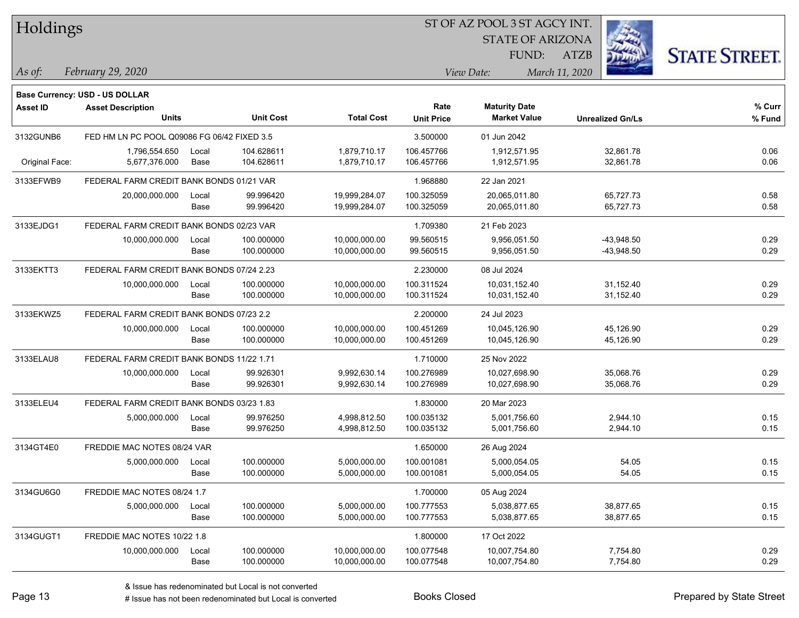| Holdings        |                                             |       |                  |                   | ST OF AZ POOL 3 ST AGCY INT. |                         |                         |                      |  |  |
|-----------------|---------------------------------------------|-------|------------------|-------------------|------------------------------|-------------------------|-------------------------|----------------------|--|--|
|                 |                                             |       |                  |                   |                              | <b>STATE OF ARIZONA</b> |                         |                      |  |  |
|                 |                                             |       |                  |                   |                              | FUND:                   | <b>ATZB</b>             | <b>STATE STREET.</b> |  |  |
| As of:          | February 29, 2020                           |       |                  |                   |                              | View Date:              | March 11, 2020          |                      |  |  |
|                 | Base Currency: USD - US DOLLAR              |       |                  |                   |                              |                         |                         |                      |  |  |
| <b>Asset ID</b> | <b>Asset Description</b>                    |       |                  |                   | Rate                         | <b>Maturity Date</b>    |                         | % Curr               |  |  |
|                 | Units                                       |       | <b>Unit Cost</b> | <b>Total Cost</b> | <b>Unit Price</b>            | <b>Market Value</b>     | <b>Unrealized Gn/Ls</b> | % Fund               |  |  |
| 3132GUNB6       | FED HM LN PC POOL Q09086 FG 06/42 FIXED 3.5 |       |                  |                   | 3.500000                     | 01 Jun 2042             |                         |                      |  |  |
|                 | 1,796,554.650                               | Local | 104.628611       | 1,879,710.17      | 106.457766                   | 1,912,571.95            | 32,861.78               | 0.06                 |  |  |
| Original Face:  | 5,677,376.000                               | Base  | 104.628611       | 1,879,710.17      | 106.457766                   | 1,912,571.95            | 32,861.78               | 0.06                 |  |  |
| 3133EFWB9       | FEDERAL FARM CREDIT BANK BONDS 01/21 VAR    |       |                  |                   | 1.968880                     | 22 Jan 2021             |                         |                      |  |  |
|                 | 20,000,000.000                              | Local | 99.996420        | 19,999,284.07     | 100.325059                   | 20,065,011.80           | 65,727.73               | 0.58                 |  |  |
|                 |                                             | Base  | 99.996420        | 19,999,284.07     | 100.325059                   | 20,065,011.80           | 65,727.73               | 0.58                 |  |  |
| 3133EJDG1       | FEDERAL FARM CREDIT BANK BONDS 02/23 VAR    |       |                  |                   | 1.709380                     | 21 Feb 2023             |                         |                      |  |  |
|                 | 10,000,000.000                              | Local | 100.000000       | 10,000,000.00     | 99.560515                    | 9,956,051.50            | $-43,948.50$            | 0.29                 |  |  |
|                 |                                             | Base  | 100.000000       | 10,000,000.00     | 99.560515                    | 9,956,051.50            | $-43,948.50$            | 0.29                 |  |  |
| 3133EKTT3       | FEDERAL FARM CREDIT BANK BONDS 07/24 2.23   |       |                  |                   | 2.230000                     | 08 Jul 2024             |                         |                      |  |  |
|                 | 10,000,000.000                              | Local | 100.000000       | 10,000,000.00     | 100.311524                   | 10,031,152.40           | 31,152.40               | 0.29                 |  |  |
|                 |                                             | Base  | 100.000000       | 10,000,000.00     | 100.311524                   | 10,031,152.40           | 31,152.40               | 0.29                 |  |  |
| 3133EKWZ5       | FEDERAL FARM CREDIT BANK BONDS 07/23 2.2    |       |                  |                   | 2.200000                     | 24 Jul 2023             |                         |                      |  |  |
|                 | 10,000,000.000                              | Local | 100.000000       | 10,000,000.00     | 100.451269                   | 10,045,126.90           | 45,126.90               | 0.29                 |  |  |
|                 |                                             | Base  | 100.000000       | 10,000,000.00     | 100.451269                   | 10,045,126.90           | 45,126.90               | 0.29                 |  |  |
| 3133ELAU8       | FEDERAL FARM CREDIT BANK BONDS 11/22 1.71   |       |                  |                   | 1.710000                     | 25 Nov 2022             |                         |                      |  |  |
|                 | 10,000,000.000                              | Local | 99.926301        | 9,992,630.14      | 100.276989                   | 10,027,698.90           | 35,068.76               | 0.29                 |  |  |
|                 |                                             | Base  | 99.926301        | 9,992,630.14      | 100.276989                   | 10,027,698.90           | 35,068.76               | 0.29                 |  |  |
| 3133ELEU4       | FEDERAL FARM CREDIT BANK BONDS 03/23 1.83   |       |                  |                   | 1.830000                     | 20 Mar 2023             |                         |                      |  |  |
|                 | 5,000,000.000                               | Local | 99.976250        | 4,998,812.50      | 100.035132                   | 5,001,756.60            | 2,944.10                | 0.15                 |  |  |
|                 |                                             | Base  | 99.976250        | 4,998,812.50      | 100.035132                   | 5,001,756.60            | 2,944.10                | 0.15                 |  |  |
| 3134GT4E0       | FREDDIE MAC NOTES 08/24 VAR                 |       |                  |                   | 1.650000                     | 26 Aug 2024             |                         |                      |  |  |
|                 | 5,000,000.000 Local                         |       | 100.000000       | 5,000,000.00      | 100.001081                   | 5.000.054.05            | 54.05                   | 0.15                 |  |  |
|                 |                                             | Base  | 100.000000       | 5,000,000.00      | 100.001081                   | 5,000,054.05            | 54.05                   | 0.15                 |  |  |
| 3134GU6G0       | FREDDIE MAC NOTES 08/24 1.7                 |       |                  |                   | 1.700000                     | 05 Aug 2024             |                         |                      |  |  |
|                 | 5,000,000.000                               | Local | 100.000000       | 5,000,000.00      | 100.777553                   | 5,038,877.65            | 38,877.65               | 0.15                 |  |  |
|                 |                                             | Base  | 100.000000       | 5,000,000.00      | 100.777553                   | 5,038,877.65            | 38,877.65               | 0.15                 |  |  |
| 3134GUGT1       | FREDDIE MAC NOTES 10/22 1.8                 |       |                  |                   | 1.800000                     | 17 Oct 2022             |                         |                      |  |  |
|                 | 10,000,000.000                              | Local | 100.000000       | 10,000,000.00     | 100.077548                   | 10,007,754.80           | 7,754.80                | 0.29                 |  |  |
|                 |                                             | Base  | 100.000000       | 10,000,000.00     | 100.077548                   | 10,007,754.80           | 7,754.80                | 0.29                 |  |  |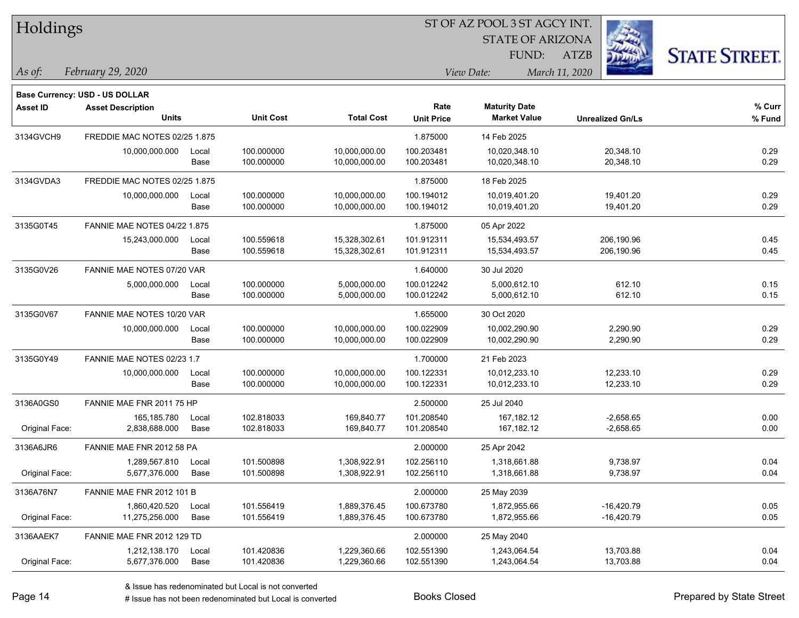| Holdings        |                                       |       |                  |                   | ST OF AZ POOL 3 ST AGCY INT. |                         |                         |                      |  |
|-----------------|---------------------------------------|-------|------------------|-------------------|------------------------------|-------------------------|-------------------------|----------------------|--|
|                 |                                       |       |                  |                   |                              | <b>STATE OF ARIZONA</b> |                         |                      |  |
|                 |                                       |       |                  |                   |                              | FUND:                   | <b>ATZB</b>             | <b>STATE STREET.</b> |  |
| As of:          | February 29, 2020                     |       |                  |                   |                              | View Date:              | March 11, 2020          |                      |  |
|                 | <b>Base Currency: USD - US DOLLAR</b> |       |                  |                   |                              |                         |                         |                      |  |
| <b>Asset ID</b> | <b>Asset Description</b>              |       |                  |                   | Rate                         | <b>Maturity Date</b>    |                         | % Curr               |  |
|                 | <b>Units</b>                          |       | <b>Unit Cost</b> | <b>Total Cost</b> | <b>Unit Price</b>            | <b>Market Value</b>     | <b>Unrealized Gn/Ls</b> | % Fund               |  |
| 3134GVCH9       | FREDDIE MAC NOTES 02/25 1.875         |       |                  |                   | 1.875000                     | 14 Feb 2025             |                         |                      |  |
|                 | 10,000,000.000                        | Local | 100.000000       | 10,000,000.00     | 100.203481                   | 10,020,348.10           | 20,348.10               | 0.29                 |  |
|                 |                                       | Base  | 100.000000       | 10,000,000.00     | 100.203481                   | 10,020,348.10           | 20,348.10               | 0.29                 |  |
| 3134GVDA3       | FREDDIE MAC NOTES 02/25 1.875         |       |                  |                   | 1.875000                     | 18 Feb 2025             |                         |                      |  |
|                 | 10,000,000.000                        | Local | 100.000000       | 10,000,000.00     | 100.194012                   | 10,019,401.20           | 19,401.20               | 0.29                 |  |
|                 |                                       | Base  | 100.000000       | 10,000,000.00     | 100.194012                   | 10,019,401.20           | 19,401.20               | 0.29                 |  |
| 3135G0T45       | <b>FANNIE MAE NOTES 04/22 1.875</b>   |       |                  |                   | 1.875000                     | 05 Apr 2022             |                         |                      |  |
|                 | 15,243,000.000                        | Local | 100.559618       | 15,328,302.61     | 101.912311                   | 15,534,493.57           | 206,190.96              | 0.45                 |  |
|                 |                                       | Base  | 100.559618       | 15,328,302.61     | 101.912311                   | 15,534,493.57           | 206,190.96              | 0.45                 |  |
| 3135G0V26       | FANNIE MAE NOTES 07/20 VAR            |       |                  |                   | 1.640000                     | 30 Jul 2020             |                         |                      |  |
|                 | 5,000,000.000                         | Local | 100.000000       | 5,000,000.00      | 100.012242                   | 5,000,612.10            | 612.10                  | 0.15                 |  |
|                 |                                       | Base  | 100.000000       | 5,000,000.00      | 100.012242                   | 5,000,612.10            | 612.10                  | 0.15                 |  |
| 3135G0V67       | FANNIE MAE NOTES 10/20 VAR            |       |                  |                   | 1.655000                     | 30 Oct 2020             |                         |                      |  |
|                 | 10,000,000.000                        | Local | 100.000000       | 10,000,000.00     | 100.022909                   | 10,002,290.90           | 2,290.90                | 0.29                 |  |
|                 |                                       | Base  | 100.000000       | 10,000,000.00     | 100.022909                   | 10,002,290.90           | 2,290.90                | 0.29                 |  |
| 3135G0Y49       | FANNIE MAE NOTES 02/23 1.7            |       |                  |                   | 1.700000                     | 21 Feb 2023             |                         |                      |  |
|                 | 10,000,000.000                        | Local | 100.000000       | 10,000,000.00     | 100.122331                   | 10,012,233.10           | 12,233.10               | 0.29                 |  |
|                 |                                       | Base  | 100.000000       | 10,000,000.00     | 100.122331                   | 10,012,233.10           | 12,233.10               | 0.29                 |  |
| 3136A0GS0       | FANNIE MAE FNR 2011 75 HP             |       |                  |                   | 2.500000                     | 25 Jul 2040             |                         |                      |  |
|                 | 165,185.780                           | Local | 102.818033       | 169,840.77        | 101.208540                   | 167,182.12              | $-2,658.65$             | 0.00                 |  |
| Original Face:  | 2,838,688.000                         | Base  | 102.818033       | 169,840.77        | 101.208540                   | 167,182.12              | $-2,658.65$             | 0.00                 |  |
| 3136A6JR6       | FANNIE MAE FNR 2012 58 PA             |       |                  |                   | 2.000000                     | 25 Apr 2042             |                         |                      |  |
|                 | 1,289,567.810                         | Local | 101.500898       | 1,308,922.91      | 102.256110                   | 1,318,661.88            | 9,738.97                | 0.04                 |  |
| Original Face:  | 5,677,376.000                         | Base  | 101.500898       | 1,308,922.91      | 102.256110                   | 1,318,661.88            | 9,738.97                | 0.04                 |  |
| 3136A76N7       | FANNIE MAE FNR 2012 101 B             |       |                  |                   | 2.000000                     | 25 May 2039             |                         |                      |  |
|                 | 1,860,420.520                         | Local | 101.556419       | 1,889,376.45      | 100.673780                   | 1,872,955.66            | $-16,420.79$            | 0.05                 |  |
| Original Face:  | 11,275,256.000                        | Base  | 101.556419       | 1,889,376.45      | 100.673780                   | 1,872,955.66            | $-16,420.79$            | 0.05                 |  |
| 3136AAEK7       | FANNIE MAE FNR 2012 129 TD            |       |                  |                   | 2.000000                     | 25 May 2040             |                         |                      |  |
|                 | 1,212,138.170                         | Local | 101.420836       | 1,229,360.66      | 102.551390                   | 1,243,064.54            | 13,703.88               | 0.04                 |  |
| Original Face:  | 5,677,376.000                         | Base  | 101.420836       | 1,229,360.66      | 102.551390                   | 1,243,064.54            | 13,703.88               | 0.04                 |  |

e e

 $\overline{\phantom{a}}$ 

 $\overline{\phantom{0}}$ 

÷.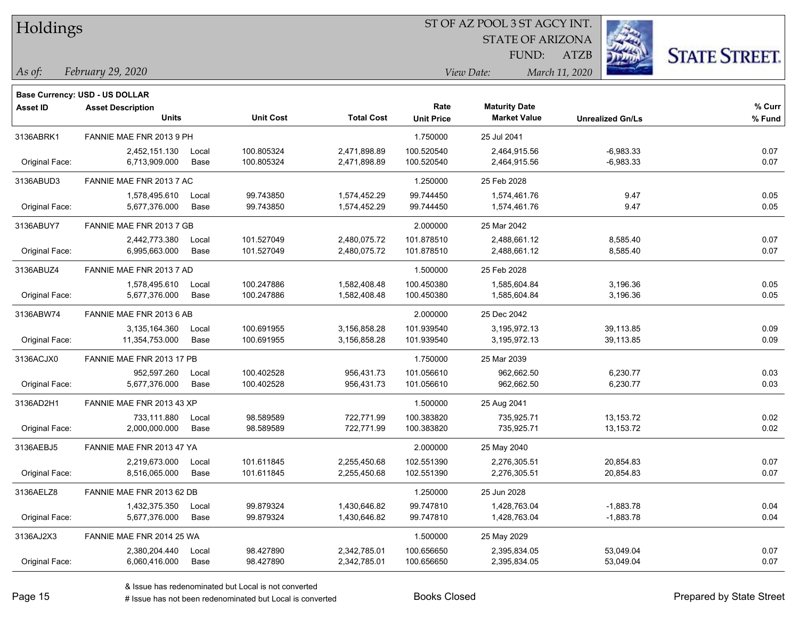| Holdings |
|----------|
|          |

STATE OF ARIZONA

ATZB



*February 29, 2020 As of: View Date: March 11, 2020*

**Base Currency: USD - US DOLLAR**

| Asset ID       | <b>Asset Description</b><br><b>Units</b> |       | <b>Unit Cost</b> | <b>Total Cost</b> | Rate              | <b>Maturity Date</b><br><b>Market Value</b> |                         | % Curr |
|----------------|------------------------------------------|-------|------------------|-------------------|-------------------|---------------------------------------------|-------------------------|--------|
|                |                                          |       |                  |                   | <b>Unit Price</b> |                                             | <b>Unrealized Gn/Ls</b> | % Fund |
| 3136ABRK1      | FANNIE MAE FNR 2013 9 PH                 |       |                  |                   | 1.750000          | 25 Jul 2041                                 |                         |        |
|                | 2,452,151.130                            | Local | 100.805324       | 2,471,898.89      | 100.520540        | 2,464,915.56                                | $-6,983.33$             | 0.07   |
| Original Face: | 6,713,909.000                            | Base  | 100.805324       | 2,471,898.89      | 100.520540        | 2,464,915.56                                | $-6,983.33$             | 0.07   |
| 3136ABUD3      | FANNIE MAE FNR 2013 7 AC                 |       |                  |                   | 1.250000          | 25 Feb 2028                                 |                         |        |
|                | 1,578,495.610                            | Local | 99.743850        | 1,574,452.29      | 99.744450         | 1,574,461.76                                | 9.47                    | 0.05   |
| Original Face: | 5,677,376.000                            | Base  | 99.743850        | 1,574,452.29      | 99.744450         | 1,574,461.76                                | 9.47                    | 0.05   |
| 3136ABUY7      | FANNIE MAE FNR 2013 7 GB                 |       |                  |                   | 2.000000          | 25 Mar 2042                                 |                         |        |
|                | 2,442,773.380                            | Local | 101.527049       | 2,480,075.72      | 101.878510        | 2,488,661.12                                | 8,585.40                | 0.07   |
| Original Face: | 6,995,663.000                            | Base  | 101.527049       | 2,480,075.72      | 101.878510        | 2,488,661.12                                | 8,585.40                | 0.07   |
| 3136ABUZ4      | FANNIE MAE FNR 2013 7 AD                 |       |                  |                   | 1.500000          | 25 Feb 2028                                 |                         |        |
|                | 1,578,495.610                            | Local | 100.247886       | 1,582,408.48      | 100.450380        | 1,585,604.84                                | 3,196.36                | 0.05   |
| Original Face: | 5,677,376.000                            | Base  | 100.247886       | 1,582,408.48      | 100.450380        | 1,585,604.84                                | 3,196.36                | 0.05   |
| 3136ABW74      | FANNIE MAE FNR 2013 6 AB                 |       |                  |                   | 2.000000          | 25 Dec 2042                                 |                         |        |
|                | 3,135,164.360                            | Local | 100.691955       | 3,156,858.28      | 101.939540        | 3,195,972.13                                | 39,113.85               | 0.09   |
| Original Face: | 11,354,753.000                           | Base  | 100.691955       | 3,156,858.28      | 101.939540        | 3,195,972.13                                | 39,113.85               | 0.09   |
| 3136ACJX0      | FANNIE MAE FNR 2013 17 PB                |       |                  |                   | 1.750000          | 25 Mar 2039                                 |                         |        |
|                | 952,597.260                              | Local | 100.402528       | 956,431.73        | 101.056610        | 962,662.50                                  | 6,230.77                | 0.03   |
| Original Face: | 5,677,376.000                            | Base  | 100.402528       | 956,431.73        | 101.056610        | 962,662.50                                  | 6,230.77                | 0.03   |
| 3136AD2H1      | FANNIE MAE FNR 2013 43 XP                |       |                  |                   | 1.500000          | 25 Aug 2041                                 |                         |        |
|                | 733,111.880                              | Local | 98.589589        | 722,771.99        | 100.383820        | 735,925.71                                  | 13, 153. 72             | 0.02   |
| Original Face: | 2,000,000.000                            | Base  | 98.589589        | 722,771.99        | 100.383820        | 735,925.71                                  | 13,153.72               | 0.02   |
| 3136AEBJ5      | FANNIE MAE FNR 2013 47 YA                |       |                  |                   | 2.000000          | 25 May 2040                                 |                         |        |
|                | 2,219,673.000                            | Local | 101.611845       | 2,255,450.68      | 102.551390        | 2,276,305.51                                | 20,854.83               | 0.07   |
| Original Face: | 8,516,065.000                            | Base  | 101.611845       | 2,255,450.68      | 102.551390        | 2,276,305.51                                | 20,854.83               | 0.07   |
| 3136AELZ8      | FANNIE MAE FNR 2013 62 DB                |       |                  |                   | 1.250000          | 25 Jun 2028                                 |                         |        |
|                | 1,432,375.350                            | Local | 99.879324        | 1,430,646.82      | 99.747810         | 1,428,763.04                                | $-1,883.78$             | 0.04   |
| Original Face: | 5,677,376.000                            | Base  | 99.879324        | 1,430,646.82      | 99.747810         | 1,428,763.04                                | $-1,883.78$             | 0.04   |
| 3136AJ2X3      | FANNIE MAE FNR 2014 25 WA                |       |                  |                   | 1.500000          | 25 May 2029                                 |                         |        |
|                | 2,380,204.440                            | Local | 98.427890        | 2,342,785.01      | 100.656650        | 2,395,834.05                                | 53,049.04               | 0.07   |
| Original Face: | 6,060,416.000                            | Base  | 98.427890        | 2,342,785.01      | 100.656650        | 2,395,834.05                                | 53,049.04               | 0.07   |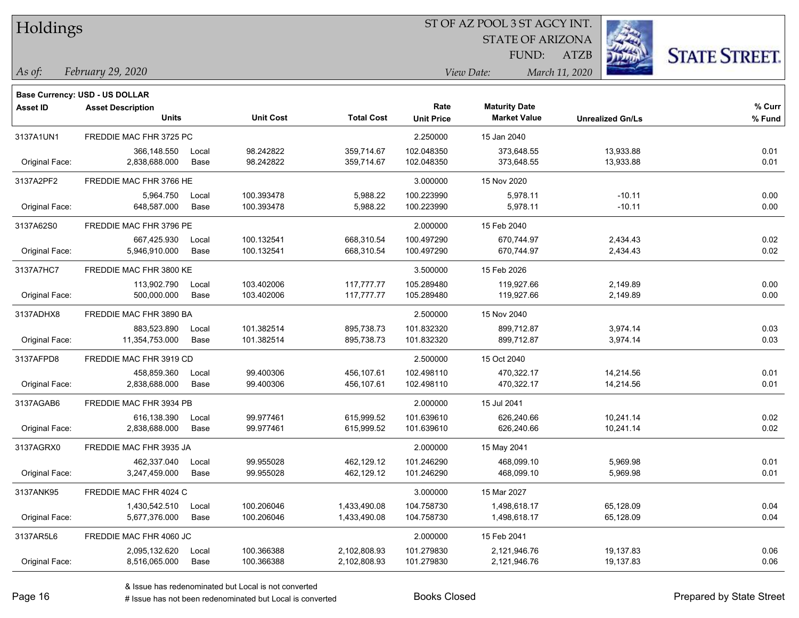| Holdings |
|----------|
|          |

STATE OF ARIZONA

ATZB



*February 29, 2020 As of: View Date: March 11, 2020*

**Base Currency: USD - US DOLLAR**

| <b>Asset ID</b> | <b>Asset Description</b><br><b>Units</b> |       | <b>Unit Cost</b> | <b>Total Cost</b> | Rate<br><b>Unit Price</b> | <b>Maturity Date</b><br><b>Market Value</b> | <b>Unrealized Gn/Ls</b> | % Curr<br>% Fund |
|-----------------|------------------------------------------|-------|------------------|-------------------|---------------------------|---------------------------------------------|-------------------------|------------------|
| 3137A1UN1       | FREDDIE MAC FHR 3725 PC                  |       |                  |                   | 2.250000                  | 15 Jan 2040                                 |                         |                  |
|                 | 366,148.550                              | Local | 98.242822        | 359,714.67        | 102.048350                | 373,648.55                                  | 13,933.88               | 0.01             |
| Original Face:  | 2,838,688.000                            | Base  | 98.242822        | 359,714.67        | 102.048350                | 373,648.55                                  | 13,933.88               | 0.01             |
| 3137A2PF2       | FREDDIE MAC FHR 3766 HE                  |       |                  |                   | 3.000000                  | 15 Nov 2020                                 |                         |                  |
|                 | 5,964.750                                | Local | 100.393478       | 5,988.22          | 100.223990                | 5,978.11                                    | $-10.11$                | 0.00             |
| Original Face:  | 648,587.000                              | Base  | 100.393478       | 5,988.22          | 100.223990                | 5,978.11                                    | $-10.11$                | 0.00             |
| 3137A62S0       | FREDDIE MAC FHR 3796 PE                  |       |                  |                   | 2.000000                  | 15 Feb 2040                                 |                         |                  |
|                 | 667,425.930                              | Local | 100.132541       | 668,310.54        | 100.497290                | 670,744.97                                  | 2,434.43                | 0.02             |
| Original Face:  | 5,946,910.000                            | Base  | 100.132541       | 668,310.54        | 100.497290                | 670,744.97                                  | 2,434.43                | 0.02             |
| 3137A7HC7       | FREDDIE MAC FHR 3800 KE                  |       |                  |                   | 3.500000                  | 15 Feb 2026                                 |                         |                  |
|                 | 113,902.790                              | Local | 103.402006       | 117,777.77        | 105.289480                | 119,927.66                                  | 2,149.89                | 0.00             |
| Original Face:  | 500,000.000                              | Base  | 103.402006       | 117,777.77        | 105.289480                | 119,927.66                                  | 2,149.89                | 0.00             |
| 3137ADHX8       | FREDDIE MAC FHR 3890 BA                  |       |                  |                   | 2.500000                  | 15 Nov 2040                                 |                         |                  |
|                 | 883,523.890                              | Local | 101.382514       | 895,738.73        | 101.832320                | 899,712.87                                  | 3,974.14                | 0.03             |
| Original Face:  | 11,354,753.000                           | Base  | 101.382514       | 895,738.73        | 101.832320                | 899,712.87                                  | 3,974.14                | 0.03             |
| 3137AFPD8       | FREDDIE MAC FHR 3919 CD                  |       |                  |                   | 2.500000                  | 15 Oct 2040                                 |                         |                  |
|                 | 458,859.360                              | Local | 99.400306        | 456,107.61        | 102.498110                | 470,322.17                                  | 14,214.56               | 0.01             |
| Original Face:  | 2,838,688.000                            | Base  | 99.400306        | 456,107.61        | 102.498110                | 470,322.17                                  | 14,214.56               | 0.01             |
| 3137AGAB6       | FREDDIE MAC FHR 3934 PB                  |       |                  |                   | 2.000000                  | 15 Jul 2041                                 |                         |                  |
|                 | 616,138.390                              | Local | 99.977461        | 615,999.52        | 101.639610                | 626,240.66                                  | 10,241.14               | 0.02             |
| Original Face:  | 2,838,688.000                            | Base  | 99.977461        | 615,999.52        | 101.639610                | 626,240.66                                  | 10,241.14               | 0.02             |
| 3137AGRX0       | FREDDIE MAC FHR 3935 JA                  |       |                  |                   | 2.000000                  | 15 May 2041                                 |                         |                  |
|                 | 462,337.040                              | Local | 99.955028        | 462,129.12        | 101.246290                | 468,099.10                                  | 5,969.98                | 0.01             |
| Original Face:  | 3,247,459.000                            | Base  | 99.955028        | 462,129.12        | 101.246290                | 468,099.10                                  | 5,969.98                | 0.01             |
| 3137ANK95       | FREDDIE MAC FHR 4024 C                   |       |                  |                   | 3.000000                  | 15 Mar 2027                                 |                         |                  |
|                 | 1,430,542.510                            | Local | 100.206046       | 1,433,490.08      | 104.758730                | 1,498,618.17                                | 65,128.09               | 0.04             |
| Original Face:  | 5,677,376.000                            | Base  | 100.206046       | 1,433,490.08      | 104.758730                | 1,498,618.17                                | 65,128.09               | 0.04             |
| 3137AR5L6       | FREDDIE MAC FHR 4060 JC                  |       |                  |                   | 2.000000                  | 15 Feb 2041                                 |                         |                  |
|                 | 2,095,132.620                            | Local | 100.366388       | 2,102,808.93      | 101.279830                | 2,121,946.76                                | 19,137.83               | 0.06             |
| Original Face:  | 8,516,065.000                            | Base  | 100.366388       | 2,102,808.93      | 101.279830                | 2,121,946.76                                | 19,137.83               | 0.06             |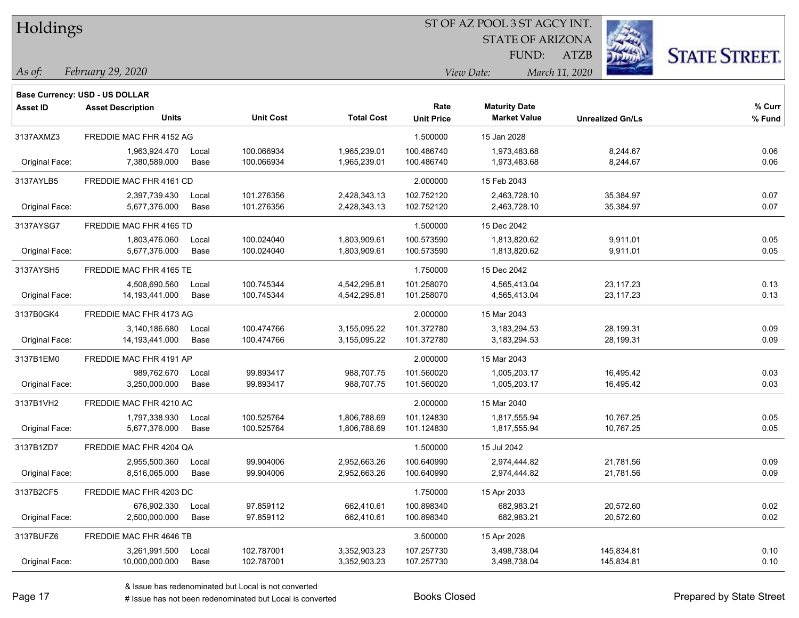| Holdings |
|----------|
|          |

STATE OF ARIZONA

ATZB



*February 29, 2020 As of: View Date: March 11, 2020*

**Base Currency: USD - US DOLLAR**

| Asset ID       | <b>Asset Description</b> |       |                  |                   | Rate              | <b>Maturity Date</b> |                         | % Curr |
|----------------|--------------------------|-------|------------------|-------------------|-------------------|----------------------|-------------------------|--------|
|                | <b>Units</b>             |       | <b>Unit Cost</b> | <b>Total Cost</b> | <b>Unit Price</b> | <b>Market Value</b>  | <b>Unrealized Gn/Ls</b> | % Fund |
| 3137AXMZ3      | FREDDIE MAC FHR 4152 AG  |       |                  |                   | 1.500000          | 15 Jan 2028          |                         |        |
|                | 1,963,924.470            | Local | 100.066934       | 1,965,239.01      | 100.486740        | 1,973,483.68         | 8,244.67                | 0.06   |
| Original Face: | 7,380,589.000            | Base  | 100.066934       | 1,965,239.01      | 100.486740        | 1,973,483.68         | 8,244.67                | 0.06   |
| 3137AYLB5      | FREDDIE MAC FHR 4161 CD  |       |                  |                   | 2.000000          | 15 Feb 2043          |                         |        |
|                | 2,397,739.430            | Local | 101.276356       | 2,428,343.13      | 102.752120        | 2,463,728.10         | 35,384.97               | 0.07   |
| Original Face: | 5,677,376.000            | Base  | 101.276356       | 2,428,343.13      | 102.752120        | 2,463,728.10         | 35,384.97               | 0.07   |
| 3137AYSG7      | FREDDIE MAC FHR 4165 TD  |       |                  |                   | 1.500000          | 15 Dec 2042          |                         |        |
|                | 1,803,476.060            | Local | 100.024040       | 1,803,909.61      | 100.573590        | 1,813,820.62         | 9,911.01                | 0.05   |
| Original Face: | 5,677,376.000            | Base  | 100.024040       | 1,803,909.61      | 100.573590        | 1,813,820.62         | 9,911.01                | 0.05   |
| 3137AYSH5      | FREDDIE MAC FHR 4165 TE  |       |                  |                   | 1.750000          | 15 Dec 2042          |                         |        |
|                | 4,508,690.560            | Local | 100.745344       | 4,542,295.81      | 101.258070        | 4,565,413.04         | 23,117.23               | 0.13   |
| Original Face: | 14,193,441.000           | Base  | 100.745344       | 4,542,295.81      | 101.258070        | 4,565,413.04         | 23,117.23               | 0.13   |
| 3137B0GK4      | FREDDIE MAC FHR 4173 AG  |       |                  | 2.000000          | 15 Mar 2043       |                      |                         |        |
|                | 3,140,186.680            | Local | 100.474766       | 3,155,095.22      | 101.372780        | 3,183,294.53         | 28,199.31               | 0.09   |
| Original Face: | 14, 193, 441.000         | Base  | 100.474766       | 3,155,095.22      | 101.372780        | 3,183,294.53         | 28,199.31               | 0.09   |
| 3137B1EM0      | FREDDIE MAC FHR 4191 AP  |       |                  |                   | 2.000000          | 15 Mar 2043          |                         |        |
|                | 989,762.670              | Local | 99.893417        | 988,707.75        | 101.560020        | 1,005,203.17         | 16,495.42               | 0.03   |
| Original Face: | 3,250,000.000            | Base  | 99.893417        | 988,707.75        | 101.560020        | 1,005,203.17         | 16,495.42               | 0.03   |
| 3137B1VH2      | FREDDIE MAC FHR 4210 AC  |       |                  |                   | 2.000000          | 15 Mar 2040          |                         |        |
|                | 1,797,338.930            | Local | 100.525764       | 1,806,788.69      | 101.124830        | 1,817,555.94         | 10,767.25               | 0.05   |
| Original Face: | 5,677,376.000            | Base  | 100.525764       | 1,806,788.69      | 101.124830        | 1,817,555.94         | 10,767.25               | 0.05   |
| 3137B1ZD7      | FREDDIE MAC FHR 4204 QA  |       |                  |                   | 1.500000          | 15 Jul 2042          |                         |        |
|                | 2,955,500.360            | Local | 99.904006        | 2,952,663.26      | 100.640990        | 2,974,444.82         | 21,781.56               | 0.09   |
| Original Face: | 8,516,065.000            | Base  | 99.904006        | 2,952,663.26      | 100.640990        | 2,974,444.82         | 21,781.56               | 0.09   |
| 3137B2CF5      | FREDDIE MAC FHR 4203 DC  |       |                  |                   | 1.750000          | 15 Apr 2033          |                         |        |
|                | 676,902.330              | Local | 97.859112        | 662,410.61        | 100.898340        | 682,983.21           | 20,572.60               | 0.02   |
| Original Face: | 2,500,000.000            | Base  | 97.859112        | 662,410.61        | 100.898340        | 682,983.21           | 20,572.60               | 0.02   |
| 3137BUFZ6      | FREDDIE MAC FHR 4646 TB  |       |                  |                   | 3.500000          | 15 Apr 2028          |                         |        |
|                | 3,261,991.500            | Local | 102.787001       | 3,352,903.23      | 107.257730        | 3,498,738.04         | 145,834.81              | 0.10   |
| Original Face: | 10,000,000.000           | Base  | 102.787001       | 3,352,903.23      | 107.257730        | 3,498,738.04         | 145,834.81              | 0.10   |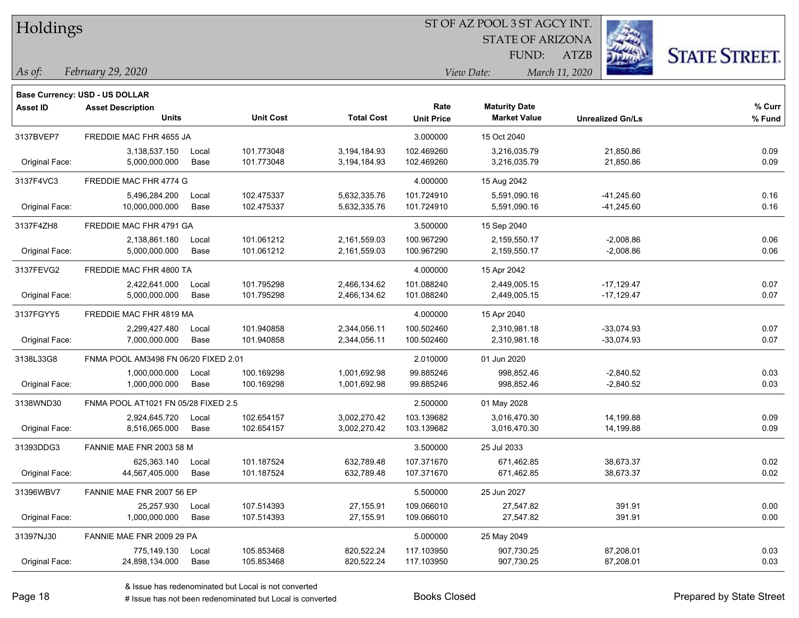| Holdings |
|----------|
|          |

STATE OF ARIZONA

ATZB



*February 29, 2020 As of: View Date: March 11, 2020*

**Base Currency: USD - US DOLLAR**

| Asset ID       | <b>Asset Description</b>             |       |                  |                   | Rate              | <b>Maturity Date</b> |                         | % Curr |
|----------------|--------------------------------------|-------|------------------|-------------------|-------------------|----------------------|-------------------------|--------|
|                | <b>Units</b>                         |       | <b>Unit Cost</b> | <b>Total Cost</b> | <b>Unit Price</b> | <b>Market Value</b>  | <b>Unrealized Gn/Ls</b> | % Fund |
| 3137BVEP7      | FREDDIE MAC FHR 4655 JA              |       |                  |                   | 3.000000          | 15 Oct 2040          |                         |        |
|                | 3,138,537.150                        | Local | 101.773048       | 3,194,184.93      | 102.469260        | 3,216,035.79         | 21,850.86               | 0.09   |
| Original Face: | 5,000,000.000                        | Base  | 101.773048       | 3,194,184.93      | 102.469260        | 3,216,035.79         | 21,850.86               | 0.09   |
| 3137F4VC3      | FREDDIE MAC FHR 4774 G               |       |                  |                   | 4.000000          | 15 Aug 2042          |                         |        |
|                | 5,496,284.200                        | Local | 102.475337       | 5,632,335.76      | 101.724910        | 5,591,090.16         | $-41,245.60$            | 0.16   |
| Original Face: | 10,000,000.000                       | Base  | 102.475337       | 5,632,335.76      | 101.724910        | 5,591,090.16         | $-41,245.60$            | 0.16   |
| 3137F4ZH8      | FREDDIE MAC FHR 4791 GA              |       |                  |                   | 3.500000          | 15 Sep 2040          |                         |        |
|                | 2,138,861.180                        | Local | 101.061212       | 2,161,559.03      | 100.967290        | 2,159,550.17         | $-2,008.86$             | 0.06   |
| Original Face: | 5,000,000.000                        | Base  | 101.061212       | 2,161,559.03      | 100.967290        | 2,159,550.17         | $-2,008.86$             | 0.06   |
| 3137FEVG2      | FREDDIE MAC FHR 4800 TA              |       |                  |                   | 4.000000          | 15 Apr 2042          |                         |        |
|                | 2,422,641.000                        | Local | 101.795298       | 2,466,134.62      | 101.088240        | 2,449,005.15         | $-17,129.47$            | 0.07   |
| Original Face: | 5,000,000.000                        | Base  | 101.795298       | 2,466,134.62      | 101.088240        | 2,449,005.15         | $-17,129.47$            | 0.07   |
| 3137FGYY5      | FREDDIE MAC FHR 4819 MA              |       |                  |                   | 4.000000          | 15 Apr 2040          |                         |        |
|                | 2,299,427.480                        | Local | 101.940858       | 2,344,056.11      | 100.502460        | 2,310,981.18         | $-33,074.93$            | 0.07   |
| Original Face: | 7,000,000.000                        | Base  | 101.940858       | 2,344,056.11      | 100.502460        | 2,310,981.18         | $-33,074.93$            | 0.07   |
| 3138L33G8      | FNMA POOL AM3498 FN 06/20 FIXED 2.01 |       |                  |                   | 2.010000          | 01 Jun 2020          |                         |        |
|                | 1,000,000.000                        | Local | 100.169298       | 1,001,692.98      | 99.885246         | 998,852.46           | $-2,840.52$             | 0.03   |
| Original Face: | 1,000,000.000                        | Base  | 100.169298       | 1,001,692.98      | 99.885246         | 998,852.46           | $-2,840.52$             | 0.03   |
| 3138WND30      | FNMA POOL AT1021 FN 05/28 FIXED 2.5  |       |                  |                   | 2.500000          | 01 May 2028          |                         |        |
|                | 2,924,645.720                        | Local | 102.654157       | 3,002,270.42      | 103.139682        | 3,016,470.30         | 14,199.88               | 0.09   |
| Original Face: | 8,516,065.000                        | Base  | 102.654157       | 3,002,270.42      | 103.139682        | 3,016,470.30         | 14,199.88               | 0.09   |
| 31393DDG3      | FANNIE MAE FNR 2003 58 M             |       |                  |                   | 3.500000          | 25 Jul 2033          |                         |        |
|                | 625,363.140                          | Local | 101.187524       | 632,789.48        | 107.371670        | 671,462.85           | 38,673.37               | 0.02   |
| Original Face: | 44,567,405.000                       | Base  | 101.187524       | 632,789.48        | 107.371670        | 671,462.85           | 38,673.37               | 0.02   |
| 31396WBV7      | FANNIE MAE FNR 2007 56 EP            |       |                  |                   | 5.500000          | 25 Jun 2027          |                         |        |
|                | 25,257.930                           | Local | 107.514393       | 27,155.91         | 109.066010        | 27,547.82            | 391.91                  | 0.00   |
| Original Face: | 1,000,000.000                        | Base  | 107.514393       | 27,155.91         | 109.066010        | 27,547.82            | 391.91                  | 0.00   |
| 31397NJ30      | FANNIE MAE FNR 2009 29 PA            |       |                  |                   | 5.000000          | 25 May 2049          |                         |        |
|                | 775,149.130                          | Local | 105.853468       | 820,522.24        | 117.103950        | 907,730.25           | 87,208.01               | 0.03   |
| Original Face: | 24,898,134.000                       | Base  | 105.853468       | 820,522.24        | 117.103950        | 907,730.25           | 87,208.01               | 0.03   |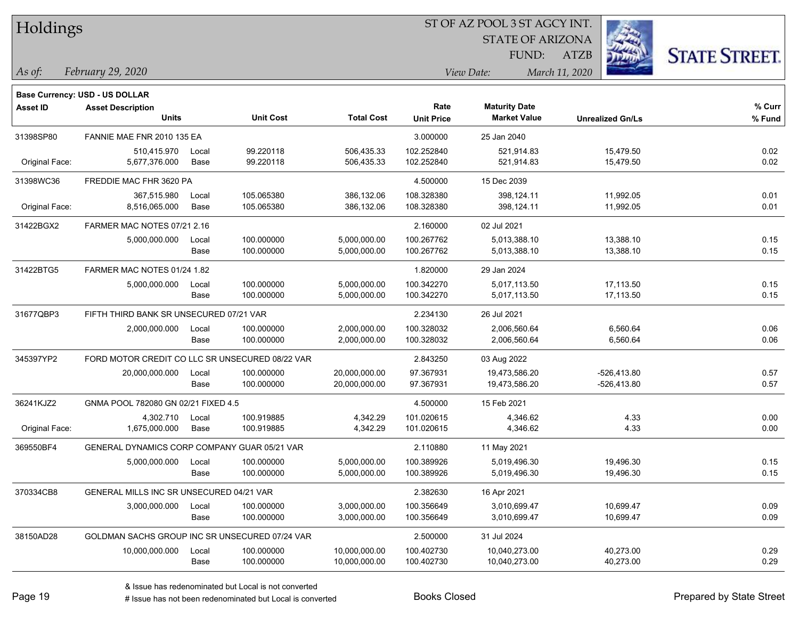|  | <b>Holdings</b> |
|--|-----------------|
|  |                 |

STATE OF ARIZONA

ATZB



*February 29, 2020 As of: View Date: March 11, 2020*

**Base Currency: USD - US DOLLAR**

| <b>Asset ID</b> | <b>Asset Description</b>                        |       |                  |                   | Rate              | <b>Maturity Date</b> |                         | % Curr |
|-----------------|-------------------------------------------------|-------|------------------|-------------------|-------------------|----------------------|-------------------------|--------|
|                 | Units                                           |       | <b>Unit Cost</b> | <b>Total Cost</b> | <b>Unit Price</b> | <b>Market Value</b>  | <b>Unrealized Gn/Ls</b> | % Fund |
| 31398SP80       | FANNIE MAE FNR 2010 135 EA                      |       |                  |                   | 3.000000          | 25 Jan 2040          |                         |        |
|                 | 510,415.970                                     | Local | 99.220118        | 506,435.33        | 102.252840        | 521,914.83           | 15,479.50               | 0.02   |
| Original Face:  | 5,677,376.000                                   | Base  | 99.220118        | 506,435.33        | 102.252840        | 521,914.83           | 15,479.50               | 0.02   |
| 31398WC36       | FREDDIE MAC FHR 3620 PA                         |       |                  |                   | 4.500000          | 15 Dec 2039          |                         |        |
|                 | 367,515.980                                     | Local | 105.065380       | 386,132.06        | 108.328380        | 398,124.11           | 11,992.05               | 0.01   |
| Original Face:  | 8,516,065.000                                   | Base  | 105.065380       | 386,132.06        | 108.328380        | 398,124.11           | 11,992.05               | 0.01   |
| 31422BGX2       | FARMER MAC NOTES 07/21 2.16                     |       |                  |                   | 2.160000          | 02 Jul 2021          |                         |        |
|                 | 5.000.000.000                                   | Local | 100.000000       | 5,000,000.00      | 100.267762        | 5,013,388.10         | 13,388.10               | 0.15   |
|                 |                                                 | Base  | 100.000000       | 5,000,000.00      | 100.267762        | 5,013,388.10         | 13,388.10               | 0.15   |
| 31422BTG5       | FARMER MAC NOTES 01/24 1.82                     |       |                  |                   | 1.820000          | 29 Jan 2024          |                         |        |
|                 | 5,000,000.000                                   | Local | 100.000000       | 5,000,000.00      | 100.342270        | 5,017,113.50         | 17,113.50               | 0.15   |
|                 |                                                 | Base  | 100.000000       | 5,000,000.00      | 100.342270        | 5,017,113.50         | 17,113.50               | 0.15   |
| 31677QBP3       | FIFTH THIRD BANK SR UNSECURED 07/21 VAR         |       |                  |                   | 2.234130          | 26 Jul 2021          |                         |        |
|                 | 2,000,000.000                                   | Local | 100.000000       | 2,000,000.00      | 100.328032        | 2,006,560.64         | 6,560.64                | 0.06   |
|                 |                                                 | Base  | 100.000000       | 2,000,000.00      | 100.328032        | 2,006,560.64         | 6,560.64                | 0.06   |
| 345397YP2       | FORD MOTOR CREDIT CO LLC SR UNSECURED 08/22 VAR |       |                  |                   | 2.843250          | 03 Aug 2022          |                         |        |
|                 | 20,000,000.000                                  | Local | 100.000000       | 20,000,000.00     | 97.367931         | 19,473,586.20        | $-526,413.80$           | 0.57   |
|                 |                                                 | Base  | 100.000000       | 20,000,000.00     | 97.367931         | 19,473,586.20        | $-526,413.80$           | 0.57   |
| 36241KJZ2       | GNMA POOL 782080 GN 02/21 FIXED 4.5             |       |                  |                   | 4.500000          | 15 Feb 2021          |                         |        |
|                 | 4,302.710                                       | Local | 100.919885       | 4,342.29          | 101.020615        | 4,346.62             | 4.33                    | 0.00   |
| Original Face:  | 1,675,000.000                                   | Base  | 100.919885       | 4,342.29          | 101.020615        | 4,346.62             | 4.33                    | 0.00   |
| 369550BF4       | GENERAL DYNAMICS CORP COMPANY GUAR 05/21 VAR    |       |                  |                   | 2.110880          | 11 May 2021          |                         |        |
|                 | 5,000,000.000                                   | Local | 100.000000       | 5,000,000.00      | 100.389926        | 5,019,496.30         | 19,496.30               | 0.15   |
|                 |                                                 | Base  | 100.000000       | 5,000,000.00      | 100.389926        | 5,019,496.30         | 19,496.30               | 0.15   |
| 370334CB8       | GENERAL MILLS INC SR UNSECURED 04/21 VAR        |       |                  |                   | 2.382630          | 16 Apr 2021          |                         |        |
|                 | 3,000,000.000                                   | Local | 100.000000       | 3,000,000.00      | 100.356649        | 3,010,699.47         | 10,699.47               | 0.09   |
|                 |                                                 | Base  | 100.000000       | 3,000,000.00      | 100.356649        | 3,010,699.47         | 10,699.47               | 0.09   |
| 38150AD28       | GOLDMAN SACHS GROUP INC SR UNSECURED 07/24 VAR  |       |                  |                   | 2.500000          | 31 Jul 2024          |                         |        |
|                 | 10,000,000.000                                  | Local | 100.000000       | 10,000,000.00     | 100.402730        | 10,040,273.00        | 40,273.00               | 0.29   |
|                 |                                                 | Base  | 100.000000       | 10,000,000.00     | 100.402730        | 10,040,273.00        | 40,273.00               | 0.29   |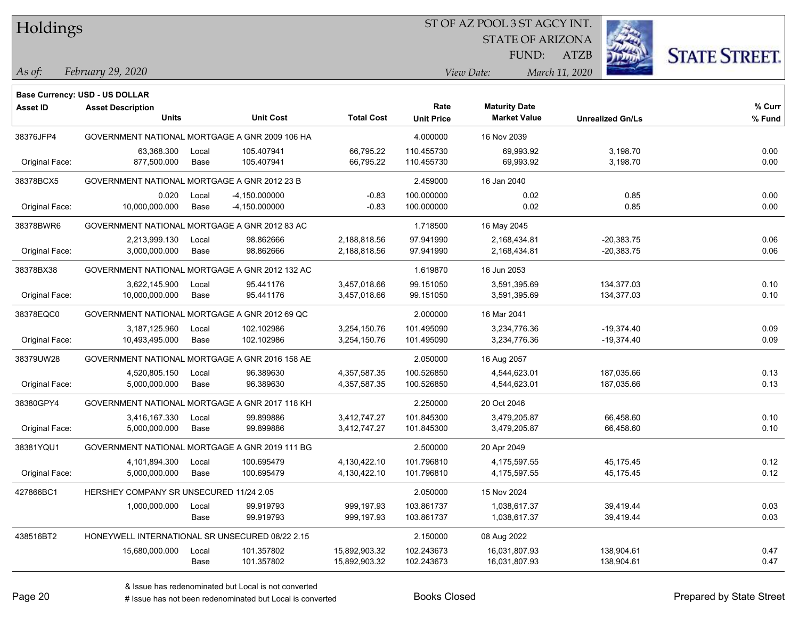Holdings

#### ST OF AZ POOL 3 ST AGCY INT.

STATE OF ARIZONA

ATZB



*February 29, 2020 As of: View Date: March 11, 2020*

|                 | <b>Base Currency: USD - US DOLLAR</b>           |       |                  |                   |                   |                      |                         |        |
|-----------------|-------------------------------------------------|-------|------------------|-------------------|-------------------|----------------------|-------------------------|--------|
| <b>Asset ID</b> | <b>Asset Description</b>                        |       |                  |                   | Rate              | <b>Maturity Date</b> |                         | % Curr |
|                 | <b>Units</b>                                    |       | <b>Unit Cost</b> | <b>Total Cost</b> | <b>Unit Price</b> | <b>Market Value</b>  | <b>Unrealized Gn/Ls</b> | % Fund |
| 38376JFP4       | GOVERNMENT NATIONAL MORTGAGE A GNR 2009 106 HA  |       |                  |                   | 4.000000          | 16 Nov 2039          |                         |        |
|                 | 63,368.300                                      | Local | 105.407941       | 66,795.22         | 110.455730        | 69,993.92            | 3,198.70                | 0.00   |
| Original Face:  | 877,500.000                                     | Base  | 105.407941       | 66,795.22         | 110.455730        | 69,993.92            | 3,198.70                | 0.00   |
| 38378BCX5       | GOVERNMENT NATIONAL MORTGAGE A GNR 2012 23 B    |       |                  |                   | 2.459000          | 16 Jan 2040          |                         |        |
|                 | 0.020                                           | Local | -4,150.000000    | $-0.83$           | 100.000000        | 0.02                 | 0.85                    | 0.00   |
| Original Face:  | 10,000,000.000                                  | Base  | -4,150.000000    | $-0.83$           | 100.000000        | 0.02                 | 0.85                    | 0.00   |
| 38378BWR6       | GOVERNMENT NATIONAL MORTGAGE A GNR 2012 83 AC   |       |                  |                   | 1.718500          | 16 May 2045          |                         |        |
|                 | 2,213,999.130                                   | Local | 98.862666        | 2,188,818.56      | 97.941990         | 2,168,434.81         | $-20,383.75$            | 0.06   |
| Original Face:  | 3,000,000.000                                   | Base  | 98.862666        | 2,188,818.56      | 97.941990         | 2,168,434.81         | $-20,383.75$            | 0.06   |
| 38378BX38       | GOVERNMENT NATIONAL MORTGAGE A GNR 2012 132 AC  |       |                  |                   | 1.619870          | 16 Jun 2053          |                         |        |
|                 | 3,622,145.900                                   | Local | 95.441176        | 3,457,018.66      | 99.151050         | 3,591,395.69         | 134,377.03              | 0.10   |
| Original Face:  | 10,000,000.000                                  | Base  | 95.441176        | 3,457,018.66      | 99.151050         | 3,591,395.69         | 134,377.03              | 0.10   |
| 38378EQC0       | GOVERNMENT NATIONAL MORTGAGE A GNR 2012 69 QC   |       |                  |                   | 2.000000          | 16 Mar 2041          |                         |        |
|                 | 3,187,125.960                                   | Local | 102.102986       | 3,254,150.76      | 101.495090        | 3,234,776.36         | $-19,374.40$            | 0.09   |
| Original Face:  | 10,493,495.000                                  | Base  | 102.102986       | 3,254,150.76      | 101.495090        | 3,234,776.36         | $-19,374.40$            | 0.09   |
| 38379UW28       | GOVERNMENT NATIONAL MORTGAGE A GNR 2016 158 AE  |       |                  |                   | 2.050000          | 16 Aug 2057          |                         |        |
|                 | 4,520,805.150                                   | Local | 96.389630        | 4,357,587.35      | 100.526850        | 4,544,623.01         | 187,035.66              | 0.13   |
| Original Face:  | 5,000,000.000                                   | Base  | 96.389630        | 4,357,587.35      | 100.526850        | 4,544,623.01         | 187,035.66              | 0.13   |
| 38380GPY4       | GOVERNMENT NATIONAL MORTGAGE A GNR 2017 118 KH  |       |                  |                   | 2.250000          | 20 Oct 2046          |                         |        |
|                 | 3,416,167.330                                   | Local | 99.899886        | 3,412,747.27      | 101.845300        | 3,479,205.87         | 66,458.60               | 0.10   |
| Original Face:  | 5,000,000.000                                   | Base  | 99.899886        | 3,412,747.27      | 101.845300        | 3,479,205.87         | 66,458.60               | 0.10   |
| 38381YQU1       | GOVERNMENT NATIONAL MORTGAGE A GNR 2019 111 BG  |       |                  |                   | 2.500000          | 20 Apr 2049          |                         |        |
|                 | 4,101,894.300                                   | Local | 100.695479       | 4,130,422.10      | 101.796810        | 4,175,597.55         | 45,175.45               | 0.12   |
| Original Face:  | 5,000,000.000                                   | Base  | 100.695479       | 4,130,422.10      | 101.796810        | 4,175,597.55         | 45,175.45               | 0.12   |
| 427866BC1       | HERSHEY COMPANY SR UNSECURED 11/24 2.05         |       |                  |                   | 2.050000          | 15 Nov 2024          |                         |        |
|                 | 1,000,000.000                                   | Local | 99.919793        | 999,197.93        | 103.861737        | 1,038,617.37         | 39,419.44               | 0.03   |
|                 |                                                 | Base  | 99.919793        | 999,197.93        | 103.861737        | 1,038,617.37         | 39,419.44               | 0.03   |
| 438516BT2       | HONEYWELL INTERNATIONAL SR UNSECURED 08/22 2.15 |       |                  |                   | 2.150000          | 08 Aug 2022          |                         |        |
|                 | 15,680,000.000                                  | Local | 101.357802       | 15,892,903.32     | 102.243673        | 16,031,807.93        | 138,904.61              | 0.47   |
|                 |                                                 | Base  | 101.357802       | 15,892,903.32     | 102.243673        | 16,031,807.93        | 138,904.61              | 0.47   |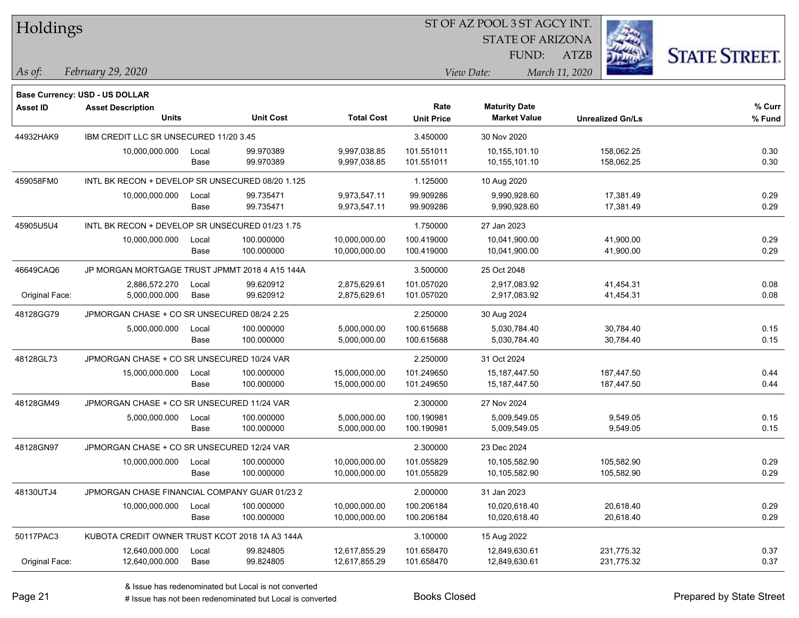| Holdings        |                                                  |       |                  |                   | 51 OF AZ POOL 351 AGCY INT. |                         |                         |                      |  |
|-----------------|--------------------------------------------------|-------|------------------|-------------------|-----------------------------|-------------------------|-------------------------|----------------------|--|
|                 |                                                  |       |                  |                   |                             | <b>STATE OF ARIZONA</b> |                         |                      |  |
|                 |                                                  |       |                  |                   |                             | FUND:                   | <b>ATZB</b>             | <b>STATE STREET.</b> |  |
| $ $ As of:      | February 29, 2020                                |       |                  |                   |                             | View Date:              | March 11, 2020          |                      |  |
|                 |                                                  |       |                  |                   |                             |                         |                         |                      |  |
|                 | <b>Base Currency: USD - US DOLLAR</b>            |       |                  |                   |                             |                         |                         |                      |  |
| <b>Asset ID</b> | <b>Asset Description</b>                         |       |                  |                   | Rate                        | <b>Maturity Date</b>    |                         | $%$ Curr             |  |
|                 | <b>Units</b>                                     |       | <b>Unit Cost</b> | <b>Total Cost</b> | <b>Unit Price</b>           | <b>Market Value</b>     | <b>Unrealized Gn/Ls</b> | % Fund               |  |
| 44932HAK9       | IBM CREDIT LLC SR UNSECURED 11/20 3.45           |       |                  |                   | 3.450000                    | 30 Nov 2020             |                         |                      |  |
|                 | 10,000,000.000                                   | Local | 99.970389        | 9,997,038.85      | 101.551011                  | 10,155,101.10           | 158,062.25              | 0.30                 |  |
|                 |                                                  | Base  | 99.970389        | 9,997,038.85      | 101.551011                  | 10,155,101.10           | 158,062.25              | 0.30                 |  |
| 459058FM0       | INTL BK RECON + DEVELOP SR UNSECURED 08/20 1.125 |       |                  |                   | 1.125000                    | 10 Aug 2020             |                         |                      |  |
|                 | 10,000,000.000                                   | Local | 99.735471        | 9,973,547.11      | 99.909286                   | 9,990,928.60            | 17,381.49               | 0.29                 |  |
|                 |                                                  | Base  | 99.735471        | 9,973,547.11      | 99.909286                   | 9,990,928.60            | 17,381.49               | 0.29                 |  |
| 45905U5U4       | INTL BK RECON + DEVELOP SR UNSECURED 01/23 1.75  |       |                  |                   | 1.750000                    | 27 Jan 2023             |                         |                      |  |
|                 | 10,000,000.000                                   | Local | 100.000000       | 10,000,000.00     | 100.419000                  | 10,041,900.00           | 41,900.00               | 0.29                 |  |
|                 |                                                  | Base  | 100.000000       | 10,000,000.00     | 100.419000                  | 10,041,900.00           | 41,900.00               | 0.29                 |  |
| 46649CAQ6       | JP MORGAN MORTGAGE TRUST JPMMT 2018 4 A15 144A   |       |                  |                   | 3.500000                    | 25 Oct 2048             |                         |                      |  |
|                 | 2,886,572.270                                    | Local | 99.620912        | 2,875,629.61      | 101.057020                  | 2,917,083.92            | 41,454.31               | 0.08                 |  |
| Original Face:  | 5,000,000.000                                    | Base  | 99.620912        | 2,875,629.61      | 101.057020                  | 2,917,083.92            | 41,454.31               | 0.08                 |  |
| 48128GG79       | JPMORGAN CHASE + CO SR UNSECURED 08/24 2.25      |       |                  |                   | 2.250000                    | 30 Aug 2024             |                         |                      |  |
|                 | 5,000,000.000                                    | Local | 100.000000       | 5,000,000.00      | 100.615688                  | 5,030,784.40            | 30,784.40               | 0.15                 |  |
|                 |                                                  | Base  | 100.000000       | 5,000,000.00      | 100.615688                  | 5,030,784.40            | 30,784.40               | 0.15                 |  |
| 48128GL73       | JPMORGAN CHASE + CO SR UNSECURED 10/24 VAR       |       |                  |                   | 2.250000                    | 31 Oct 2024             |                         |                      |  |
|                 | 15,000,000.000                                   | Local | 100.000000       | 15,000,000.00     | 101.249650                  | 15,187,447.50           | 187,447.50              | 0.44                 |  |
|                 |                                                  | Base  | 100.000000       | 15,000,000.00     | 101.249650                  | 15,187,447.50           | 187,447.50              | 0.44                 |  |
| 48128GM49       | JPMORGAN CHASE + CO SR UNSECURED 11/24 VAR       |       |                  |                   | 2.300000                    | 27 Nov 2024             |                         |                      |  |
|                 | 5,000,000.000                                    | Local | 100.000000       | 5,000,000.00      | 100.190981                  | 5,009,549.05            | 9,549.05                | 0.15                 |  |
|                 |                                                  | Base  | 100.000000       | 5,000,000.00      | 100.190981                  | 5,009,549.05            | 9,549.05                | 0.15                 |  |
| 48128GN97       | JPMORGAN CHASE + CO SR UNSECURED 12/24 VAR       |       |                  |                   | 2.300000                    | 23 Dec 2024             |                         |                      |  |
|                 | 10,000,000.000                                   | Local | 100.000000       | 10,000,000.00     | 101.055829                  | 10,105,582.90           | 105,582.90              | 0.29                 |  |
|                 |                                                  | Base  | 100.000000       | 10,000,000.00     | 101.055829                  | 10,105,582.90           | 105,582.90              | 0.29                 |  |
| 48130UTJ4       | JPMORGAN CHASE FINANCIAL COMPANY GUAR 01/23 2    |       |                  |                   | 2.000000                    | 31 Jan 2023             |                         |                      |  |
|                 | 10,000,000.000                                   | Local | 100.000000       | 10,000,000.00     | 100.206184                  | 10,020,618.40           | 20,618.40               | 0.29                 |  |
|                 |                                                  | Base  | 100.000000       | 10,000,000.00     | 100.206184                  | 10,020,618.40           | 20,618.40               | 0.29                 |  |
| 50117PAC3       | KUBOTA CREDIT OWNER TRUST KCOT 2018 1A A3 144A   |       |                  |                   | 3.100000                    | 15 Aug 2022             |                         |                      |  |
|                 | 12,640,000.000                                   | Local | 99.824805        | 12,617,855.29     | 101.658470                  | 12,849,630.61           | 231,775.32              | 0.37                 |  |
| Original Face:  | 12,640,000.000                                   | Base  | 99.824805        | 12,617,855.29     | 101.658470                  | 12,849,630.61           | 231,775.32              | 0.37                 |  |

ST OF A Z POOL 2 ST ACCV INT

**CONTRACTOR**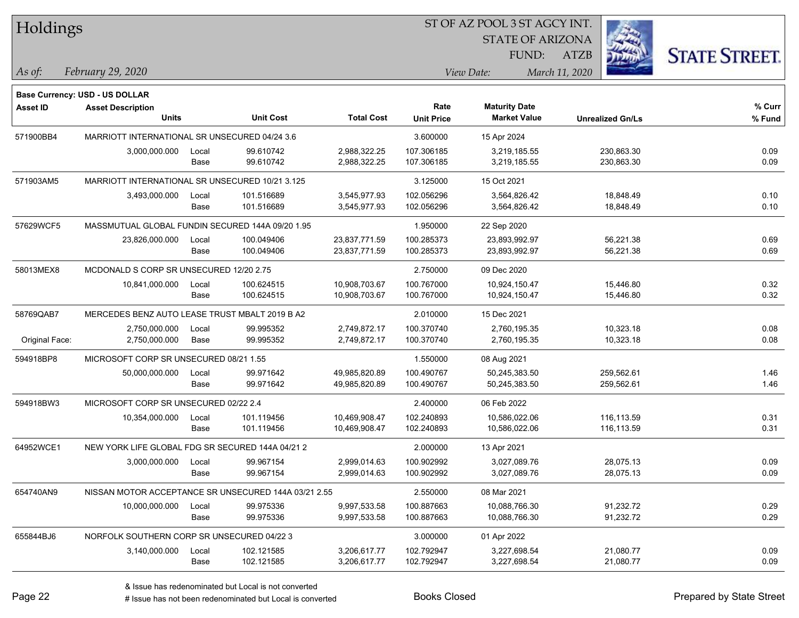| Holdings        |                                                      |       |                  |                   |                   | ST OF AZ POOL 3 ST AGCY INT. |                         |                      |  |  |
|-----------------|------------------------------------------------------|-------|------------------|-------------------|-------------------|------------------------------|-------------------------|----------------------|--|--|
|                 |                                                      |       |                  |                   |                   | <b>STATE OF ARIZONA</b>      |                         |                      |  |  |
|                 |                                                      |       |                  |                   |                   | FUND:                        | <b>ATZB</b>             | <b>STATE STREET.</b> |  |  |
| As of:          | February 29, 2020                                    |       |                  |                   |                   | View Date:                   | March 11, 2020          |                      |  |  |
|                 | Base Currency: USD - US DOLLAR                       |       |                  |                   |                   |                              |                         |                      |  |  |
| <b>Asset ID</b> | <b>Asset Description</b>                             |       |                  |                   | Rate              | <b>Maturity Date</b>         |                         | $%$ Curr             |  |  |
|                 | Units                                                |       | <b>Unit Cost</b> | <b>Total Cost</b> | <b>Unit Price</b> | <b>Market Value</b>          | <b>Unrealized Gn/Ls</b> | % Fund               |  |  |
| 571900BB4       | MARRIOTT INTERNATIONAL SR UNSECURED 04/24 3.6        |       |                  |                   | 3.600000          | 15 Apr 2024                  |                         |                      |  |  |
|                 | 3,000,000.000                                        | Local | 99.610742        | 2,988,322.25      | 107.306185        | 3,219,185.55                 | 230.863.30              | 0.09                 |  |  |
|                 |                                                      | Base  | 99.610742        | 2,988,322.25      | 107.306185        | 3,219,185.55                 | 230,863.30              | 0.09                 |  |  |
| 571903AM5       | MARRIOTT INTERNATIONAL SR UNSECURED 10/21 3.125      |       |                  |                   | 3.125000          | 15 Oct 2021                  |                         |                      |  |  |
|                 | 3,493,000.000                                        | Local | 101.516689       | 3,545,977.93      | 102.056296        | 3,564,826.42                 | 18,848.49               | 0.10                 |  |  |
|                 |                                                      | Base  | 101.516689       | 3,545,977.93      | 102.056296        | 3,564,826.42                 | 18,848.49               | 0.10                 |  |  |
| 57629WCF5       | MASSMUTUAL GLOBAL FUNDIN SECURED 144A 09/20 1.95     |       |                  |                   | 1.950000          | 22 Sep 2020                  |                         |                      |  |  |
|                 | 23,826,000.000                                       | Local | 100.049406       | 23,837,771.59     | 100.285373        | 23,893,992.97                | 56,221.38               | 0.69                 |  |  |
|                 |                                                      | Base  | 100.049406       | 23,837,771.59     | 100.285373        | 23,893,992.97                | 56,221.38               | 0.69                 |  |  |
| 58013MEX8       | MCDONALD S CORP SR UNSECURED 12/20 2.75              |       |                  |                   | 2.750000          | 09 Dec 2020                  |                         |                      |  |  |
|                 | 10,841,000.000                                       | Local | 100.624515       | 10,908,703.67     | 100.767000        | 10,924,150.47                | 15,446.80               | 0.32                 |  |  |
|                 |                                                      | Base  | 100.624515       | 10,908,703.67     | 100.767000        | 10,924,150.47                | 15,446.80               | 0.32                 |  |  |
| 58769QAB7       | MERCEDES BENZ AUTO LEASE TRUST MBALT 2019 B A2       |       |                  |                   | 2.010000          | 15 Dec 2021                  |                         |                      |  |  |
|                 | 2,750,000.000                                        | Local | 99.995352        | 2,749,872.17      | 100.370740        | 2,760,195.35                 | 10,323.18               | 0.08                 |  |  |
| Original Face:  | 2,750,000.000                                        | Base  | 99.995352        | 2,749,872.17      | 100.370740        | 2,760,195.35                 | 10,323.18               | 0.08                 |  |  |
| 594918BP8       | MICROSOFT CORP SR UNSECURED 08/21 1.55               |       |                  |                   | 1.550000          | 08 Aug 2021                  |                         |                      |  |  |
|                 | 50,000,000.000                                       | Local | 99.971642        | 49,985,820.89     | 100.490767        | 50,245,383.50                | 259,562.61              | 1.46                 |  |  |
|                 |                                                      | Base  | 99.971642        | 49,985,820.89     | 100.490767        | 50,245,383.50                | 259,562.61              | 1.46                 |  |  |
| 594918BW3       | MICROSOFT CORP SR UNSECURED 02/22 2.4                |       |                  |                   | 2.400000          | 06 Feb 2022                  |                         |                      |  |  |
|                 | 10,354,000.000                                       | Local | 101.119456       | 10,469,908.47     | 102.240893        | 10.586.022.06                | 116,113.59              | 0.31                 |  |  |
|                 |                                                      | Base  | 101.119456       | 10,469,908.47     | 102.240893        | 10,586,022.06                | 116,113.59              | 0.31                 |  |  |
| 64952WCE1       | NEW YORK LIFE GLOBAL FDG SR SECURED 144A 04/21 2     |       |                  |                   | 2.000000          | 13 Apr 2021                  |                         |                      |  |  |
|                 | 3,000,000.000                                        | Local | 99.967154        | 2,999,014.63      | 100.902992        | 3,027,089.76                 | 28,075.13               | 0.09                 |  |  |
|                 |                                                      | Base  | 99.967154        | 2,999,014.63      | 100.902992        | 3,027,089.76                 | 28,075.13               | 0.09                 |  |  |
| 654740AN9       | NISSAN MOTOR ACCEPTANCE SR UNSECURED 144A 03/21 2.55 |       |                  |                   | 2.550000          | 08 Mar 2021                  |                         |                      |  |  |
|                 | 10,000,000.000                                       | Local | 99.975336        | 9,997,533.58      | 100.887663        | 10,088,766.30                | 91,232.72               | 0.29                 |  |  |
|                 |                                                      | Base  | 99.975336        | 9,997,533.58      | 100.887663        | 10,088,766.30                | 91,232.72               | 0.29                 |  |  |
| 655844BJ6       | NORFOLK SOUTHERN CORP SR UNSECURED 04/22 3           |       |                  |                   | 3.000000          | 01 Apr 2022                  |                         |                      |  |  |
|                 | 3,140,000.000                                        | Local | 102.121585       | 3,206,617.77      | 102.792947        | 3,227,698.54                 | 21,080.77               | 0.09                 |  |  |
|                 |                                                      | Base  | 102.121585       | 3,206,617.77      | 102.792947        | 3,227,698.54                 | 21,080.77               | 0.09                 |  |  |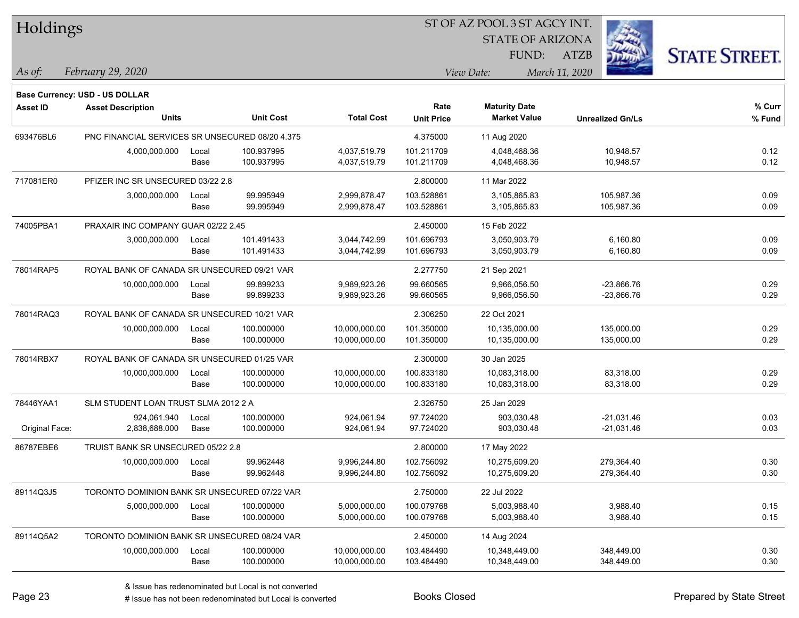| <b>Holdings</b> |  |
|-----------------|--|
|-----------------|--|

STATE OF ARIZONA

ATZB



*February 29, 2020 As of: View Date: March 11, 2020*

**Base Currency: USD - US DOLLAR**

| Asset ID       | <b>Asset Description</b><br><b>Units</b>        |               | <b>Unit Cost</b>         | <b>Total Cost</b>              | Rate<br><b>Unit Price</b> | <b>Maturity Date</b><br><b>Market Value</b> | <b>Unrealized Gn/Ls</b>      | % Curr<br>% Fund |
|----------------|-------------------------------------------------|---------------|--------------------------|--------------------------------|---------------------------|---------------------------------------------|------------------------------|------------------|
| 693476BL6      | PNC FINANCIAL SERVICES SR UNSECURED 08/20 4.375 |               |                          |                                | 4.375000                  | 11 Aug 2020                                 |                              |                  |
|                | 4,000,000.000                                   | Local<br>Base | 100.937995<br>100.937995 | 4,037,519.79<br>4,037,519.79   | 101.211709<br>101.211709  | 4,048,468.36<br>4,048,468.36                | 10,948.57<br>10,948.57       | 0.12<br>0.12     |
| 717081ER0      | PFIZER INC SR UNSECURED 03/22 2.8               |               |                          |                                | 2.800000                  | 11 Mar 2022                                 |                              |                  |
|                | 3,000,000.000                                   | Local<br>Base | 99.995949<br>99.995949   | 2,999,878.47<br>2,999,878.47   | 103.528861<br>103.528861  | 3,105,865.83<br>3,105,865.83                | 105,987.36<br>105,987.36     | 0.09<br>0.09     |
| 74005PBA1      | PRAXAIR INC COMPANY GUAR 02/22 2.45             |               |                          |                                | 2.450000                  | 15 Feb 2022                                 |                              |                  |
|                | 3,000,000.000                                   | Local<br>Base | 101.491433<br>101.491433 | 3,044,742.99<br>3,044,742.99   | 101.696793<br>101.696793  | 3,050,903.79<br>3,050,903.79                | 6,160.80<br>6,160.80         | 0.09<br>0.09     |
| 78014RAP5      | ROYAL BANK OF CANADA SR UNSECURED 09/21 VAR     |               |                          |                                | 2.277750                  | 21 Sep 2021                                 |                              |                  |
|                | 10,000,000.000                                  | Local<br>Base | 99.899233<br>99.899233   | 9,989,923.26<br>9,989,923.26   | 99.660565<br>99.660565    | 9,966,056.50<br>9,966,056.50                | -23,866.76<br>$-23,866.76$   | 0.29<br>0.29     |
| 78014RAQ3      | ROYAL BANK OF CANADA SR UNSECURED 10/21 VAR     |               |                          |                                | 2.306250                  | 22 Oct 2021                                 |                              |                  |
|                | 10,000,000.000                                  | Local<br>Base | 100.000000<br>100.000000 | 10,000,000.00<br>10,000,000.00 | 101.350000<br>101.350000  | 10,135,000.00<br>10,135,000.00              | 135,000.00<br>135,000.00     | 0.29<br>0.29     |
| 78014RBX7      | ROYAL BANK OF CANADA SR UNSECURED 01/25 VAR     |               |                          |                                | 2.300000                  | 30 Jan 2025                                 |                              |                  |
|                | 10,000,000.000                                  | Local<br>Base | 100.000000<br>100.000000 | 10,000,000.00<br>10,000,000.00 | 100.833180<br>100.833180  | 10,083,318.00<br>10,083,318.00              | 83,318.00<br>83,318.00       | 0.29<br>0.29     |
| 78446YAA1      | SLM STUDENT LOAN TRUST SLMA 2012 2 A            |               |                          |                                | 2.326750                  | 25 Jan 2029                                 |                              |                  |
| Original Face: | 924,061.940<br>2,838,688.000                    | Local<br>Base | 100.000000<br>100.000000 | 924,061.94<br>924,061.94       | 97.724020<br>97.724020    | 903,030.48<br>903,030.48                    | $-21,031.46$<br>$-21,031.46$ | 0.03<br>0.03     |
| 86787EBE6      | TRUIST BANK SR UNSECURED 05/22 2.8              |               |                          |                                | 2.800000                  | 17 May 2022                                 |                              |                  |
|                | 10,000,000.000                                  | Local<br>Base | 99.962448<br>99.962448   | 9,996,244.80<br>9,996,244.80   | 102.756092<br>102.756092  | 10,275,609.20<br>10,275,609.20              | 279,364.40<br>279,364.40     | 0.30<br>0.30     |
| 89114Q3J5      | TORONTO DOMINION BANK SR UNSECURED 07/22 VAR    |               |                          |                                | 2.750000                  | 22 Jul 2022                                 |                              |                  |
|                | 5,000,000.000                                   | Local<br>Base | 100.000000<br>100.000000 | 5,000,000.00<br>5,000,000.00   | 100.079768<br>100.079768  | 5,003,988.40<br>5,003,988.40                | 3,988.40<br>3,988.40         | 0.15<br>0.15     |
| 89114Q5A2      | TORONTO DOMINION BANK SR UNSECURED 08/24 VAR    |               |                          |                                | 2.450000                  | 14 Aug 2024                                 |                              |                  |
|                | 10,000,000.000                                  | Local<br>Base | 100.000000<br>100.000000 | 10,000,000.00<br>10,000,000.00 | 103.484490<br>103.484490  | 10,348,449.00<br>10,348,449.00              | 348,449.00<br>348,449.00     | 0.30<br>0.30     |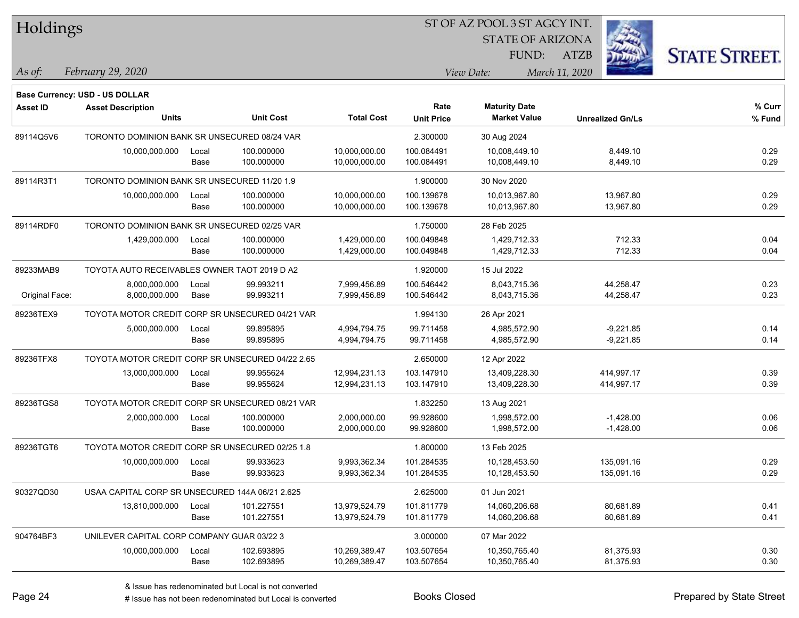| Holdings        |                                                  |       |                  |                   |                   | ST OF AZ POOL 3 ST AGCY INT. |                         |                      |
|-----------------|--------------------------------------------------|-------|------------------|-------------------|-------------------|------------------------------|-------------------------|----------------------|
|                 |                                                  |       |                  |                   |                   | <b>STATE OF ARIZONA</b>      |                         |                      |
|                 |                                                  |       |                  |                   |                   | FUND:                        | <b>ATZB</b>             | <b>STATE STREET.</b> |
| As of:          | February 29, 2020                                |       |                  |                   |                   | View Date:                   | March 11, 2020          |                      |
|                 | <b>Base Currency: USD - US DOLLAR</b>            |       |                  |                   |                   |                              |                         |                      |
| <b>Asset ID</b> | <b>Asset Description</b>                         |       |                  |                   | Rate              | <b>Maturity Date</b>         |                         | % Curr               |
|                 | <b>Units</b>                                     |       | <b>Unit Cost</b> | <b>Total Cost</b> | <b>Unit Price</b> | <b>Market Value</b>          | <b>Unrealized Gn/Ls</b> | % Fund               |
| 89114Q5V6       | TORONTO DOMINION BANK SR UNSECURED 08/24 VAR     |       |                  |                   | 2.300000          | 30 Aug 2024                  |                         |                      |
|                 | 10,000,000.000                                   | Local | 100.000000       | 10,000,000.00     | 100.084491        | 10,008,449.10                | 8,449.10                | 0.29                 |
|                 |                                                  | Base  | 100.000000       | 10,000,000.00     | 100.084491        | 10,008,449.10                | 8,449.10                | 0.29                 |
| 89114R3T1       | TORONTO DOMINION BANK SR UNSECURED 11/20 1.9     |       |                  |                   | 1.900000          | 30 Nov 2020                  |                         |                      |
|                 | 10,000,000.000                                   | Local | 100.000000       | 10,000,000.00     | 100.139678        | 10,013,967.80                | 13,967.80               | 0.29                 |
|                 |                                                  | Base  | 100.000000       | 10,000,000.00     | 100.139678        | 10,013,967.80                | 13,967.80               | 0.29                 |
| 89114RDF0       | TORONTO DOMINION BANK SR UNSECURED 02/25 VAR     |       |                  |                   | 1.750000          | 28 Feb 2025                  |                         |                      |
|                 | 1,429,000.000                                    | Local | 100.000000       | 1,429,000.00      | 100.049848        | 1,429,712.33                 | 712.33                  | 0.04                 |
|                 |                                                  | Base  | 100.000000       | 1,429,000.00      | 100.049848        | 1,429,712.33                 | 712.33                  | 0.04                 |
| 89233MAB9       | TOYOTA AUTO RECEIVABLES OWNER TAOT 2019 D A2     |       |                  |                   | 1.920000          | 15 Jul 2022                  |                         |                      |
|                 | 8,000,000.000                                    | Local | 99.993211        | 7,999,456.89      | 100.546442        | 8,043,715.36                 | 44,258.47               | 0.23                 |
| Original Face:  | 8,000,000.000                                    | Base  | 99.993211        | 7,999,456.89      | 100.546442        | 8,043,715.36                 | 44,258.47               | 0.23                 |
| 89236TEX9       | TOYOTA MOTOR CREDIT CORP SR UNSECURED 04/21 VAR  |       |                  |                   | 1.994130          | 26 Apr 2021                  |                         |                      |
|                 | 5,000,000.000                                    | Local | 99.895895        | 4,994,794.75      | 99.711458         | 4,985,572.90                 | $-9,221.85$             | 0.14                 |
|                 |                                                  | Base  | 99.895895        | 4,994,794.75      | 99.711458         | 4,985,572.90                 | $-9,221.85$             | 0.14                 |
| 89236TFX8       | TOYOTA MOTOR CREDIT CORP SR UNSECURED 04/22 2.65 |       |                  |                   | 2.650000          | 12 Apr 2022                  |                         |                      |
|                 | 13,000,000.000                                   | Local | 99.955624        | 12,994,231.13     | 103.147910        | 13,409,228.30                | 414,997.17              | 0.39                 |
|                 |                                                  | Base  | 99.955624        | 12,994,231.13     | 103.147910        | 13,409,228.30                | 414,997.17              | 0.39                 |
| 89236TGS8       | TOYOTA MOTOR CREDIT CORP SR UNSECURED 08/21 VAR  |       |                  |                   | 1.832250          | 13 Aug 2021                  |                         |                      |
|                 | 2,000,000.000                                    | Local | 100.000000       | 2,000,000.00      | 99.928600         | 1,998,572.00                 | $-1,428.00$             | 0.06                 |
|                 |                                                  | Base  | 100.000000       | 2,000,000.00      | 99.928600         | 1,998,572.00                 | $-1,428.00$             | 0.06                 |
| 89236TGT6       | TOYOTA MOTOR CREDIT CORP SR UNSECURED 02/25 1.8  |       |                  |                   | 1.800000          | 13 Feb 2025                  |                         |                      |
|                 | 10,000,000.000                                   | Local | 99.933623        | 9,993,362.34      | 101.284535        | 10,128,453.50                | 135,091.16              | 0.29                 |
|                 |                                                  | Base  | 99.933623        | 9,993,362.34      | 101.284535        | 10,128,453.50                | 135,091.16              | 0.29                 |
| 90327QD30       | USAA CAPITAL CORP SR UNSECURED 144A 06/21 2.625  |       |                  |                   | 2.625000          | 01 Jun 2021                  |                         |                      |
|                 | 13,810,000.000                                   | Local | 101.227551       | 13,979,524.79     | 101.811779        | 14,060,206.68                | 80,681.89               | 0.41                 |
|                 |                                                  | Base  | 101.227551       | 13,979,524.79     | 101.811779        | 14,060,206.68                | 80,681.89               | 0.41                 |
| 904764BF3       | UNILEVER CAPITAL CORP COMPANY GUAR 03/22 3       |       |                  |                   | 3.000000          | 07 Mar 2022                  |                         |                      |
|                 | 10,000,000.000                                   | Local | 102.693895       | 10,269,389.47     | 103.507654        | 10,350,765.40                | 81,375.93               | 0.30                 |
|                 |                                                  | Base  | 102.693895       | 10,269,389.47     | 103.507654        | 10,350,765.40                | 81,375.93               | 0.30                 |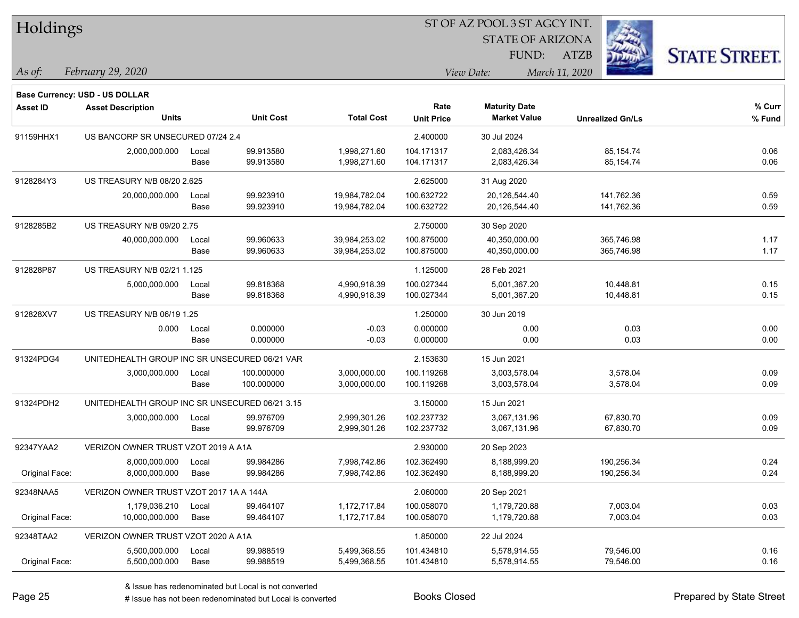| Holdings        |                                                |       |                  |                   |                   | ST OF AZ POOL 3 ST AGCY INT. |                         |                      |  |
|-----------------|------------------------------------------------|-------|------------------|-------------------|-------------------|------------------------------|-------------------------|----------------------|--|
|                 |                                                |       |                  |                   |                   | <b>STATE OF ARIZONA</b>      |                         |                      |  |
|                 |                                                |       |                  |                   |                   | FUND:                        | <b>ATZB</b>             | <b>STATE STREET.</b> |  |
| As of:          | February 29, 2020                              |       |                  |                   |                   | View Date:                   | March 11, 2020          |                      |  |
|                 | <b>Base Currency: USD - US DOLLAR</b>          |       |                  |                   |                   |                              |                         |                      |  |
| <b>Asset ID</b> | <b>Asset Description</b>                       |       |                  |                   | Rate              | <b>Maturity Date</b>         |                         | % Curr               |  |
|                 | <b>Units</b>                                   |       | <b>Unit Cost</b> | <b>Total Cost</b> | <b>Unit Price</b> | <b>Market Value</b>          | <b>Unrealized Gn/Ls</b> | % Fund               |  |
| 91159HHX1       | US BANCORP SR UNSECURED 07/24 2.4              |       |                  |                   | 2.400000          | 30 Jul 2024                  |                         |                      |  |
|                 | 2,000,000.000                                  | Local | 99.913580        | 1,998,271.60      | 104.171317        | 2,083,426.34                 | 85,154.74               | 0.06                 |  |
|                 |                                                | Base  | 99.913580        | 1,998,271.60      | 104.171317        | 2,083,426.34                 | 85, 154.74              | 0.06                 |  |
| 9128284Y3       | US TREASURY N/B 08/20 2.625                    |       |                  |                   | 2.625000          | 31 Aug 2020                  |                         |                      |  |
|                 | 20,000,000.000                                 | Local | 99.923910        | 19,984,782.04     | 100.632722        | 20,126,544.40                | 141,762.36              | 0.59                 |  |
|                 |                                                | Base  | 99.923910        | 19,984,782.04     | 100.632722        | 20,126,544.40                | 141,762.36              | 0.59                 |  |
| 9128285B2       | US TREASURY N/B 09/20 2.75                     |       |                  |                   | 2.750000          | 30 Sep 2020                  |                         |                      |  |
|                 | 40,000,000.000                                 | Local | 99.960633        | 39,984,253.02     | 100.875000        | 40,350,000.00                | 365,746.98              | 1.17                 |  |
|                 |                                                | Base  | 99.960633        | 39,984,253.02     | 100.875000        | 40,350,000.00                | 365,746.98              | 1.17                 |  |
| 912828P87       | US TREASURY N/B 02/21 1.125                    |       |                  |                   | 1.125000          | 28 Feb 2021                  |                         |                      |  |
|                 | 5,000,000.000                                  | Local | 99.818368        | 4,990,918.39      | 100.027344        | 5,001,367.20                 | 10,448.81               | 0.15                 |  |
|                 |                                                | Base  | 99.818368        | 4,990,918.39      | 100.027344        | 5,001,367.20                 | 10,448.81               | 0.15                 |  |
| 912828XV7       | US TREASURY N/B 06/19 1.25                     |       |                  |                   | 1.250000          | 30 Jun 2019                  |                         |                      |  |
|                 | 0.000                                          | Local | 0.000000         | $-0.03$           | 0.000000          | 0.00                         | 0.03                    | 0.00                 |  |
|                 |                                                | Base  | 0.000000         | $-0.03$           | 0.000000          | 0.00                         | 0.03                    | 0.00                 |  |
| 91324PDG4       | UNITEDHEALTH GROUP INC SR UNSECURED 06/21 VAR  |       |                  |                   | 2.153630          | 15 Jun 2021                  |                         |                      |  |
|                 | 3,000,000.000                                  | Local | 100.000000       | 3,000,000.00      | 100.119268        | 3,003,578.04                 | 3,578.04                | 0.09                 |  |
|                 |                                                | Base  | 100.000000       | 3,000,000.00      | 100.119268        | 3,003,578.04                 | 3,578.04                | 0.09                 |  |
| 91324PDH2       | UNITEDHEALTH GROUP INC SR UNSECURED 06/21 3.15 |       |                  |                   | 3.150000          | 15 Jun 2021                  |                         |                      |  |
|                 | 3,000,000.000                                  | Local | 99.976709        | 2,999,301.26      | 102.237732        | 3,067,131.96                 | 67,830.70               | 0.09                 |  |
|                 |                                                | Base  | 99.976709        | 2,999,301.26      | 102.237732        | 3,067,131.96                 | 67,830.70               | 0.09                 |  |
| 92347YAA2       | VERIZON OWNER TRUST VZOT 2019 A A1A            |       |                  |                   | 2.930000          | 20 Sep 2023                  |                         |                      |  |
|                 | 8,000,000.000                                  | Local | 99.984286        | 7,998,742.86      | 102.362490        | 8,188,999.20                 | 190,256.34              | 0.24                 |  |
| Original Face:  | 8,000,000.000                                  | Base  | 99.984286        | 7,998,742.86      | 102.362490        | 8,188,999.20                 | 190,256.34              | 0.24                 |  |
| 92348NAA5       | VERIZON OWNER TRUST VZOT 2017 1A A 144A        |       |                  |                   | 2.060000          | 20 Sep 2021                  |                         |                      |  |
|                 | 1,179,036.210                                  | Local | 99.464107        | 1,172,717.84      | 100.058070        | 1,179,720.88                 | 7,003.04                | 0.03                 |  |
| Original Face:  | 10,000,000.000                                 | Base  | 99.464107        | 1,172,717.84      | 100.058070        | 1,179,720.88                 | 7,003.04                | 0.03                 |  |
| 92348TAA2       | VERIZON OWNER TRUST VZOT 2020 A A1A            |       |                  |                   | 1.850000          | 22 Jul 2024                  |                         |                      |  |
|                 | 5,500,000.000                                  | Local | 99.988519        | 5,499,368.55      | 101.434810        | 5,578,914.55                 | 79,546.00               | 0.16                 |  |
| Original Face:  | 5,500,000.000                                  | Base  | 99.988519        | 5,499,368.55      | 101.434810        | 5,578,914.55                 | 79,546.00               | 0.16                 |  |

 $\overline{\phantom{a}}$ 

 $\overline{\phantom{0}}$ 

 $\overline{\phantom{a}}$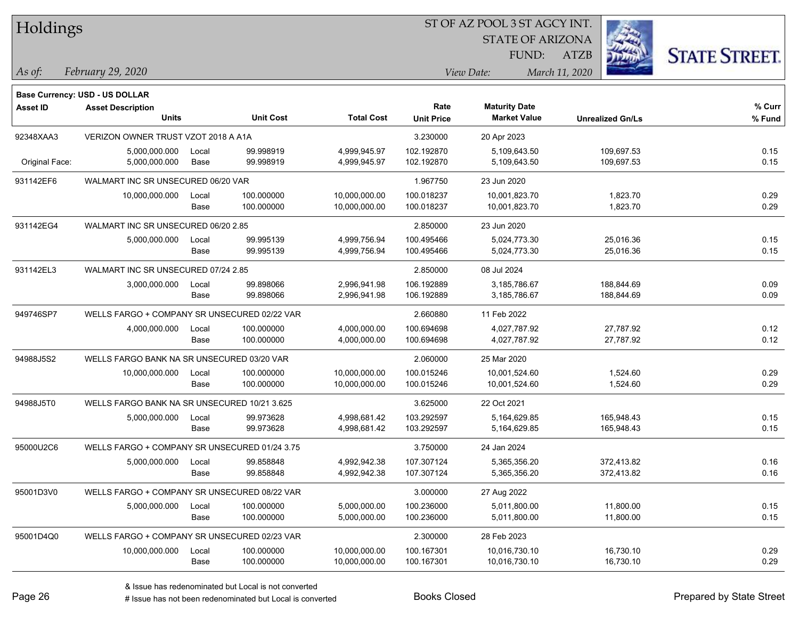| Holdings |  |  |
|----------|--|--|
|          |  |  |

STATE OF ARIZONA

ATZB



*February 29, 2020 As of: View Date: March 11, 2020*

**Base Currency: USD - US DOLLAR**

| <b>Asset ID</b> | <b>Asset Description</b><br><b>Units</b>      |               | <b>Unit Cost</b>         | <b>Total Cost</b>              | Rate<br><b>Unit Price</b> | <b>Maturity Date</b><br><b>Market Value</b> | <b>Unrealized Gn/Ls</b>  | % Curr<br>% Fund |
|-----------------|-----------------------------------------------|---------------|--------------------------|--------------------------------|---------------------------|---------------------------------------------|--------------------------|------------------|
| 92348XAA3       | VERIZON OWNER TRUST VZOT 2018 A A1A           |               |                          |                                | 3.230000                  | 20 Apr 2023                                 |                          |                  |
| Original Face:  | 5,000,000.000<br>5,000,000.000                | Local<br>Base | 99.998919<br>99.998919   | 4,999,945.97<br>4,999,945.97   | 102.192870<br>102.192870  | 5,109,643.50<br>5,109,643.50                | 109,697.53<br>109,697.53 | 0.15<br>0.15     |
| 931142EF6       | WALMART INC SR UNSECURED 06/20 VAR            |               |                          |                                | 1.967750                  | 23 Jun 2020                                 |                          |                  |
|                 | 10,000,000.000                                | Local<br>Base | 100.000000<br>100.000000 | 10,000,000.00<br>10,000,000.00 | 100.018237<br>100.018237  | 10,001,823.70<br>10,001,823.70              | 1,823.70<br>1,823.70     | 0.29<br>0.29     |
| 931142EG4       | WALMART INC SR UNSECURED 06/20 2.85           |               |                          |                                | 2.850000                  | 23 Jun 2020                                 |                          |                  |
|                 | 5,000,000.000                                 | Local<br>Base | 99.995139<br>99.995139   | 4,999,756.94<br>4,999,756.94   | 100.495466<br>100.495466  | 5,024,773.30<br>5,024,773.30                | 25,016.36<br>25,016.36   | 0.15<br>0.15     |
| 931142EL3       | WALMART INC SR UNSECURED 07/24 2.85           |               |                          |                                | 2.850000                  | 08 Jul 2024                                 |                          |                  |
|                 | 3,000,000.000                                 | Local<br>Base | 99.898066<br>99.898066   | 2,996,941.98<br>2,996,941.98   | 106.192889<br>106.192889  | 3,185,786.67<br>3,185,786.67                | 188,844.69<br>188,844.69 | 0.09<br>0.09     |
| 949746SP7       | WELLS FARGO + COMPANY SR UNSECURED 02/22 VAR  |               |                          |                                | 2.660880                  | 11 Feb 2022                                 |                          |                  |
|                 | 4,000,000.000                                 | Local<br>Base | 100.000000<br>100.000000 | 4,000,000.00<br>4,000,000.00   | 100.694698<br>100.694698  | 4,027,787.92<br>4,027,787.92                | 27,787.92<br>27,787.92   | 0.12<br>0.12     |
| 94988J5S2       | WELLS FARGO BANK NA SR UNSECURED 03/20 VAR    |               |                          |                                | 2.060000                  | 25 Mar 2020                                 |                          |                  |
|                 | 10,000,000.000                                | Local<br>Base | 100.000000<br>100.000000 | 10,000,000.00<br>10,000,000.00 | 100.015246<br>100.015246  | 10,001,524.60<br>10,001,524.60              | 1,524.60<br>1,524.60     | 0.29<br>0.29     |
| 94988J5T0       | WELLS FARGO BANK NA SR UNSECURED 10/21 3.625  |               |                          |                                | 3.625000                  | 22 Oct 2021                                 |                          |                  |
|                 | 5,000,000.000                                 | Local<br>Base | 99.973628<br>99.973628   | 4,998,681.42<br>4,998,681.42   | 103.292597<br>103.292597  | 5.164.629.85<br>5,164,629.85                | 165.948.43<br>165,948.43 | 0.15<br>0.15     |
| 95000U2C6       | WELLS FARGO + COMPANY SR UNSECURED 01/24 3.75 |               |                          |                                | 3.750000                  | 24 Jan 2024                                 |                          |                  |
|                 | 5,000,000.000                                 | Local<br>Base | 99.858848<br>99.858848   | 4,992,942.38<br>4,992,942.38   | 107.307124<br>107.307124  | 5,365,356.20<br>5,365,356.20                | 372,413.82<br>372,413.82 | 0.16<br>0.16     |
| 95001D3V0       | WELLS FARGO + COMPANY SR UNSECURED 08/22 VAR  |               |                          |                                | 3.000000                  | 27 Aug 2022                                 |                          |                  |
|                 | 5,000,000.000                                 | Local<br>Base | 100.000000<br>100.000000 | 5,000,000.00<br>5,000,000.00   | 100.236000<br>100.236000  | 5,011,800.00<br>5,011,800.00                | 11,800.00<br>11,800.00   | 0.15<br>0.15     |
| 95001D4Q0       | WELLS FARGO + COMPANY SR UNSECURED 02/23 VAR  |               |                          |                                | 2.300000                  | 28 Feb 2023                                 |                          |                  |
|                 | 10,000,000.000                                | Local<br>Base | 100.000000<br>100.000000 | 10,000,000.00<br>10,000,000.00 | 100.167301<br>100.167301  | 10,016,730.10<br>10,016,730.10              | 16,730.10<br>16,730.10   | 0.29<br>0.29     |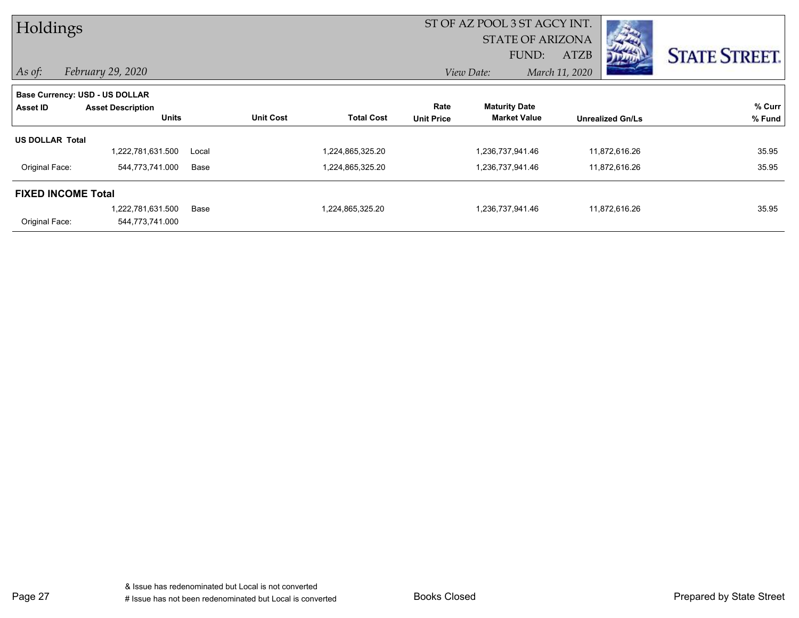| Holdings                       |                          |       |                  |                   | ST OF AZ POOL 3 ST AGCY INT. |                         |                |                         |                      |
|--------------------------------|--------------------------|-------|------------------|-------------------|------------------------------|-------------------------|----------------|-------------------------|----------------------|
|                                |                          |       |                  |                   |                              | <b>STATE OF ARIZONA</b> |                |                         |                      |
|                                |                          |       |                  |                   |                              | FUND:                   | ATZB           |                         | <b>STATE STREET.</b> |
| $\vert$ As of:                 | February 29, 2020        |       |                  |                   |                              | View Date:              | March 11, 2020 |                         |                      |
| Base Currency: USD - US DOLLAR |                          |       |                  |                   |                              |                         |                |                         |                      |
| Asset ID                       | <b>Asset Description</b> |       |                  |                   | Rate                         | <b>Maturity Date</b>    |                |                         | % Curr               |
|                                | <b>Units</b>             |       | <b>Unit Cost</b> | <b>Total Cost</b> | <b>Unit Price</b>            | <b>Market Value</b>     |                | <b>Unrealized Gn/Ls</b> | % Fund               |
| <b>US DOLLAR Total</b>         |                          |       |                  |                   |                              |                         |                |                         |                      |
|                                | 1,222,781,631.500        | Local |                  | 224,865,325.20    |                              | 1,236,737,941.46        |                | 11,872,616.26           | 35.95                |
| Original Face:                 | 544,773,741.000          | Base  |                  | 1,224,865,325.20  |                              | 1,236,737,941.46        |                | 11,872,616.26           | 35.95                |
| <b>FIXED INCOME Total</b>      |                          |       |                  |                   |                              |                         |                |                         |                      |
|                                | 1,222,781,631.500        | Base  |                  | 1,224,865,325.20  |                              | 1,236,737,941.46        |                | 11,872,616.26           | 35.95                |
| Original Face:                 | 544,773,741.000          |       |                  |                   |                              |                         |                |                         |                      |

Page 27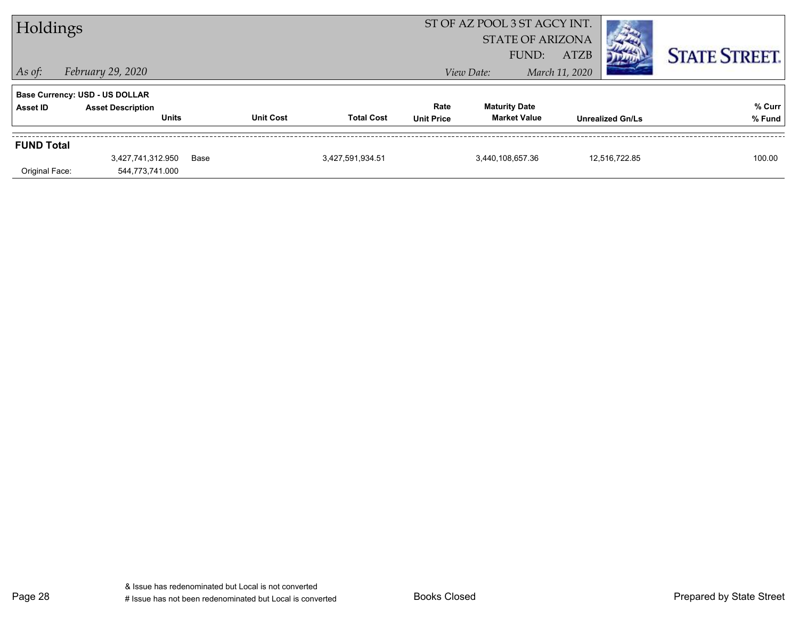| Holdings                            |                                                                                   |      |                  |                   | ST OF AZ POOL 3 ST AGCY INT.<br><b>STATE OF ARIZONA</b> |                                             |                               |                         |                      |
|-------------------------------------|-----------------------------------------------------------------------------------|------|------------------|-------------------|---------------------------------------------------------|---------------------------------------------|-------------------------------|-------------------------|----------------------|
| $\vert$ As of:                      | February 29, 2020                                                                 |      |                  |                   |                                                         | FUND:<br>View Date:                         | <b>ATZB</b><br>March 11, 2020 |                         | <b>STATE STREET.</b> |
| Asset ID                            | <b>Base Currency: USD - US DOLLAR</b><br><b>Asset Description</b><br><b>Units</b> |      | <b>Unit Cost</b> | <b>Total Cost</b> | Rate<br><b>Unit Price</b>                               | <b>Maturity Date</b><br><b>Market Value</b> |                               | <b>Unrealized Gn/Ls</b> | % Curr<br>% Fund     |
| <b>FUND Total</b><br>Original Face: | 3,427,741,312.950<br>544,773,741.000                                              | Base |                  | 3,427,591,934.51  |                                                         | 3,440,108,657.36                            |                               | 12,516,722.85           | 100.00               |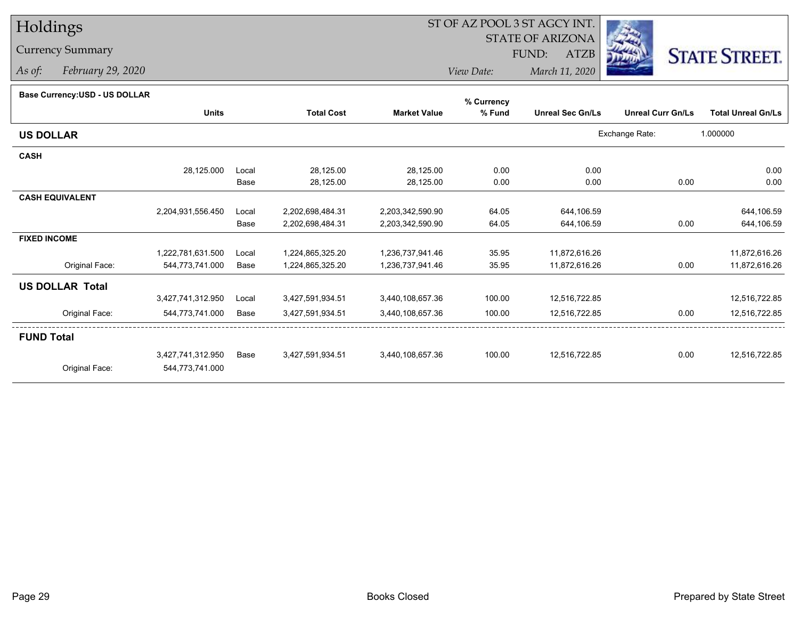# Holdings

### Currency Summary

*As of: February 29, 2020*

## ST OF AZ POOL 3 ST AGCY INT.

STATE OF ARIZONA

FUND: ATZB



*View Date:March 11, 2020*

| Dase Currency.COD - OO DOLLAR |                   |       |                   |                     | % Currency |                         |                          |                           |
|-------------------------------|-------------------|-------|-------------------|---------------------|------------|-------------------------|--------------------------|---------------------------|
|                               | <b>Units</b>      |       | <b>Total Cost</b> | <b>Market Value</b> | % Fund     | <b>Unreal Sec Gn/Ls</b> | <b>Unreal Curr Gn/Ls</b> | <b>Total Unreal Gn/Ls</b> |
| <b>US DOLLAR</b>              |                   |       |                   |                     |            |                         | Exchange Rate:           | 1.000000                  |
| <b>CASH</b>                   |                   |       |                   |                     |            |                         |                          |                           |
|                               | 28,125.000        | Local | 28,125.00         | 28,125.00           | 0.00       | 0.00                    |                          | 0.00                      |
|                               |                   | Base  | 28,125.00         | 28,125.00           | 0.00       | 0.00                    | 0.00                     | 0.00                      |
| <b>CASH EQUIVALENT</b>        |                   |       |                   |                     |            |                         |                          |                           |
|                               | 2,204,931,556.450 | Local | 2,202,698,484.31  | 2,203,342,590.90    | 64.05      | 644,106.59              |                          | 644,106.59                |
|                               |                   | Base  | 2,202,698,484.31  | 2,203,342,590.90    | 64.05      | 644,106.59              | 0.00                     | 644,106.59                |
| <b>FIXED INCOME</b>           |                   |       |                   |                     |            |                         |                          |                           |
|                               | 1,222,781,631.500 | Local | 1,224,865,325.20  | 1,236,737,941.46    | 35.95      | 11,872,616.26           |                          | 11,872,616.26             |
| Original Face:                | 544,773,741.000   | Base  | 1,224,865,325.20  | 1,236,737,941.46    | 35.95      | 11,872,616.26           | 0.00                     | 11,872,616.26             |
| <b>US DOLLAR Total</b>        |                   |       |                   |                     |            |                         |                          |                           |
|                               | 3,427,741,312.950 | Local | 3,427,591,934.51  | 3,440,108,657.36    | 100.00     | 12,516,722.85           |                          | 12,516,722.85             |
| Original Face:                | 544,773,741.000   | Base  | 3,427,591,934.51  | 3,440,108,657.36    | 100.00     | 12,516,722.85           | 0.00                     | 12,516,722.85             |
| <b>FUND Total</b>             |                   |       |                   |                     |            |                         |                          |                           |
|                               | 3,427,741,312.950 | Base  | 3,427,591,934.51  | 3,440,108,657.36    | 100.00     | 12,516,722.85           | 0.00                     | 12,516,722.85             |
| Original Face:                | 544,773,741.000   |       |                   |                     |            |                         |                          |                           |
|                               |                   |       |                   |                     |            |                         |                          |                           |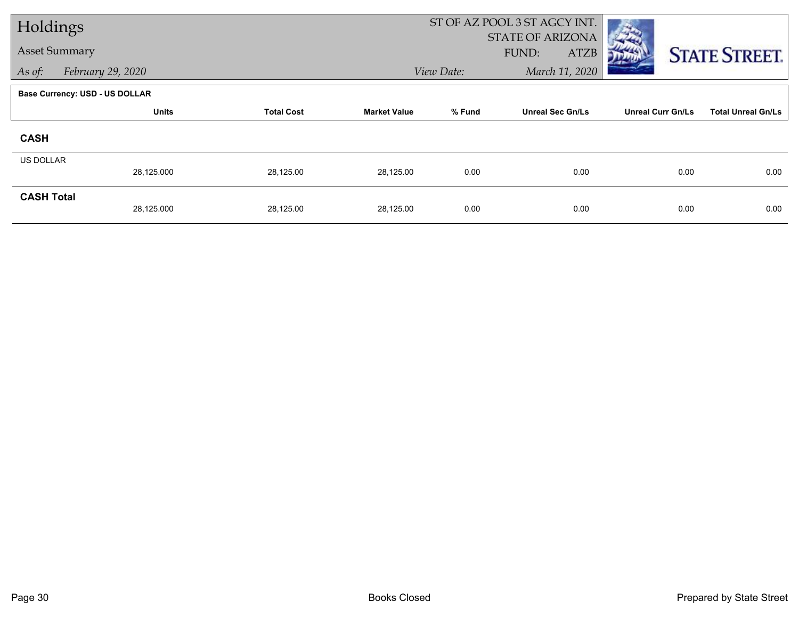| Holdings          |                                       |                   |                     |            | ST OF AZ POOL 3 ST AGCY INT.                    |                          |                           |  |
|-------------------|---------------------------------------|-------------------|---------------------|------------|-------------------------------------------------|--------------------------|---------------------------|--|
|                   | <b>Asset Summary</b>                  |                   |                     |            | <b>STATE OF ARIZONA</b><br>FUND:<br><b>ATZB</b> |                          | <b>STATE STREET.</b>      |  |
| As of:            | February 29, 2020                     |                   |                     | View Date: | March 11, 2020                                  |                          |                           |  |
|                   | <b>Base Currency: USD - US DOLLAR</b> |                   |                     |            |                                                 |                          |                           |  |
|                   | <b>Units</b>                          | <b>Total Cost</b> | <b>Market Value</b> | % Fund     | <b>Unreal Sec Gn/Ls</b>                         | <b>Unreal Curr Gn/Ls</b> | <b>Total Unreal Gn/Ls</b> |  |
| <b>CASH</b>       |                                       |                   |                     |            |                                                 |                          |                           |  |
| US DOLLAR         |                                       |                   |                     |            |                                                 |                          |                           |  |
|                   | 28,125.000                            | 28,125.00         | 28,125.00           | 0.00       | 0.00                                            | 0.00                     | 0.00                      |  |
| <b>CASH Total</b> | 28,125.000                            | 28,125.00         | 28,125.00           | 0.00       | 0.00                                            | 0.00                     | 0.00                      |  |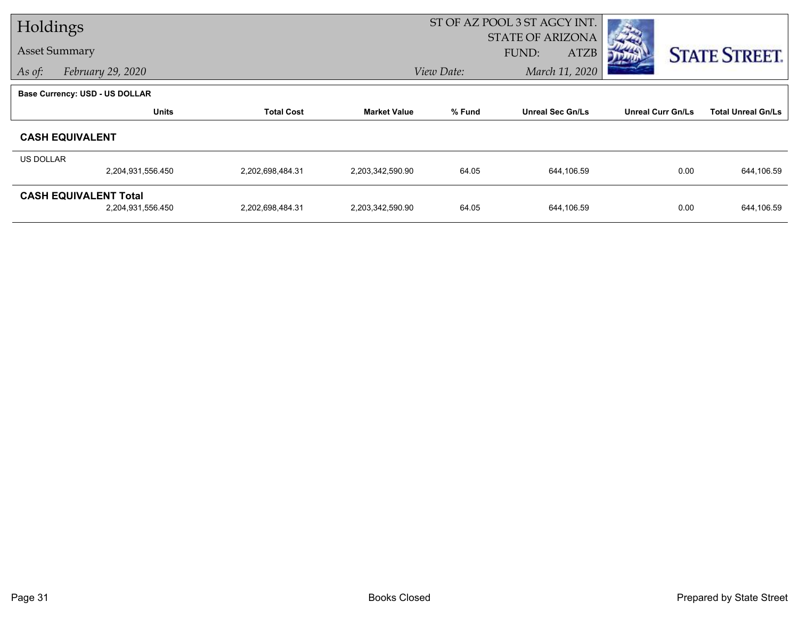| Holdings  |                                |                   |                     | ST OF AZ POOL 3 ST AGCY INT. |                             |                          |                           |
|-----------|--------------------------------|-------------------|---------------------|------------------------------|-----------------------------|--------------------------|---------------------------|
|           |                                |                   |                     |                              | <b>STATE OF ARIZONA</b>     |                          |                           |
|           | <b>Asset Summary</b>           |                   |                     |                              | <b>FUND:</b><br><b>ATZB</b> |                          | <b>STATE STREET.</b>      |
| As of:    | February 29, 2020              |                   |                     | View Date:                   | March 11, 2020              |                          |                           |
|           | Base Currency: USD - US DOLLAR |                   |                     |                              |                             |                          |                           |
|           | <b>Units</b>                   | <b>Total Cost</b> | <b>Market Value</b> | % Fund                       | <b>Unreal Sec Gn/Ls</b>     | <b>Unreal Curr Gn/Ls</b> | <b>Total Unreal Gn/Ls</b> |
|           | <b>CASH EQUIVALENT</b>         |                   |                     |                              |                             |                          |                           |
| US DOLLAR |                                |                   |                     |                              |                             |                          |                           |
|           | 2,204,931,556.450              | 2,202,698,484.31  | 2,203,342,590.90    | 64.05                        | 644,106.59                  | 0.00                     | 644,106.59                |
|           | <b>CASH EQUIVALENT Total</b>   |                   |                     |                              |                             |                          |                           |
|           | 2,204,931,556.450              | 2,202,698,484.31  | 2,203,342,590.90    | 64.05                        | 644,106.59                  | 0.00                     | 644,106.59                |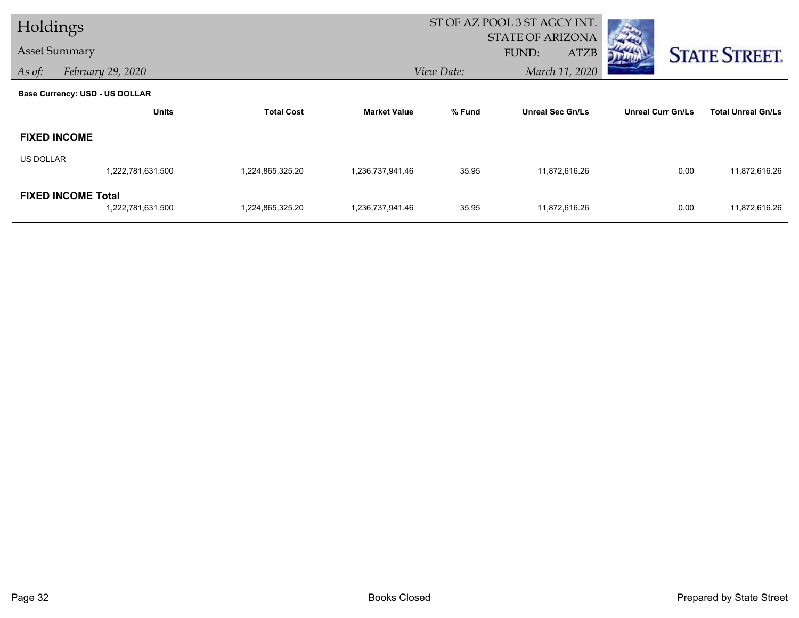| Holdings  |                                       |                   |                     | ST OF AZ POOL 3 ST AGCY INT. |                                          |                          |                           |
|-----------|---------------------------------------|-------------------|---------------------|------------------------------|------------------------------------------|--------------------------|---------------------------|
|           | <b>Asset Summary</b>                  |                   |                     |                              | <b>STATE OF ARIZONA</b><br>FUND:<br>ATZB |                          | <b>STATE STREET.</b>      |
| As of:    | February 29, 2020                     |                   |                     | View Date:                   | March 11, 2020                           |                          |                           |
|           | <b>Base Currency: USD - US DOLLAR</b> |                   |                     |                              |                                          |                          |                           |
|           | <b>Units</b>                          | <b>Total Cost</b> | <b>Market Value</b> | % Fund                       | <b>Unreal Sec Gn/Ls</b>                  | <b>Unreal Curr Gn/Ls</b> | <b>Total Unreal Gn/Ls</b> |
|           | <b>FIXED INCOME</b>                   |                   |                     |                              |                                          |                          |                           |
| US DOLLAR |                                       |                   |                     |                              |                                          |                          |                           |
|           | 1,222,781,631.500                     | 1,224,865,325.20  | 1,236,737,941.46    | 35.95                        | 11,872,616.26                            | 0.00                     | 11,872,616.26             |
|           | <b>FIXED INCOME Total</b>             |                   |                     |                              |                                          |                          |                           |
|           | 1,222,781,631.500                     | 1,224,865,325.20  | 1,236,737,941.46    | 35.95                        | 11,872,616.26                            | 0.00                     | 11,872,616.26             |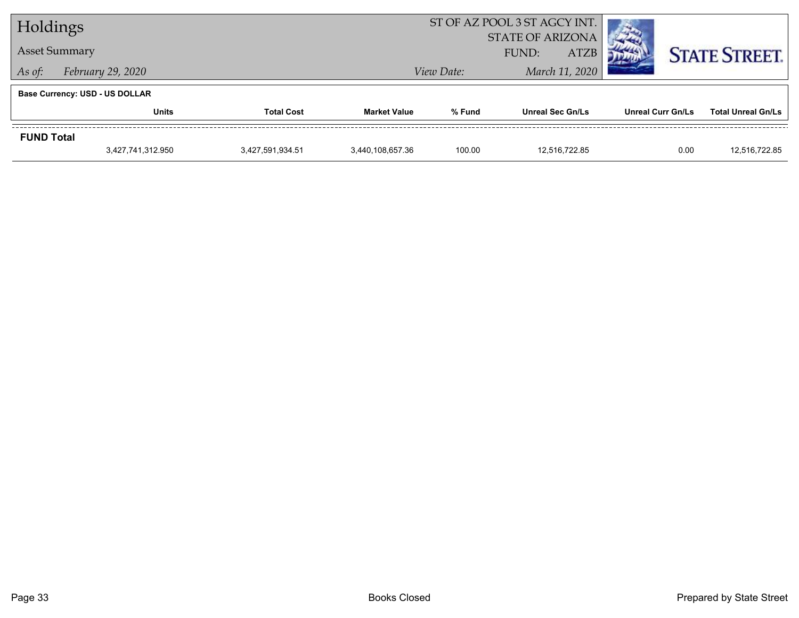| Holdings          |                                       |                   |                     |            | ST OF AZ POOL 3 ST AGCY INT.                    |                          |                           |
|-------------------|---------------------------------------|-------------------|---------------------|------------|-------------------------------------------------|--------------------------|---------------------------|
|                   | <b>Asset Summary</b>                  |                   |                     |            | <b>STATE OF ARIZONA</b><br><b>ATZB</b><br>FUND: |                          | <b>STATE STREET.</b>      |
| As of:            | February 29, 2020                     |                   |                     | View Date: | March 11, 2020                                  |                          |                           |
|                   | <b>Base Currency: USD - US DOLLAR</b> |                   |                     |            |                                                 |                          |                           |
|                   | <b>Units</b>                          | <b>Total Cost</b> | <b>Market Value</b> | % Fund     | <b>Unreal Sec Gn/Ls</b>                         | <b>Unreal Curr Gn/Ls</b> | <b>Total Unreal Gn/Ls</b> |
| <b>FUND Total</b> |                                       |                   |                     |            |                                                 |                          |                           |
|                   | 3,427,741,312.950                     | 3,427,591,934.51  | 3,440,108,657.36    | 100.00     | 12.516.722.85                                   | 0.00                     | 12.516.722.85             |